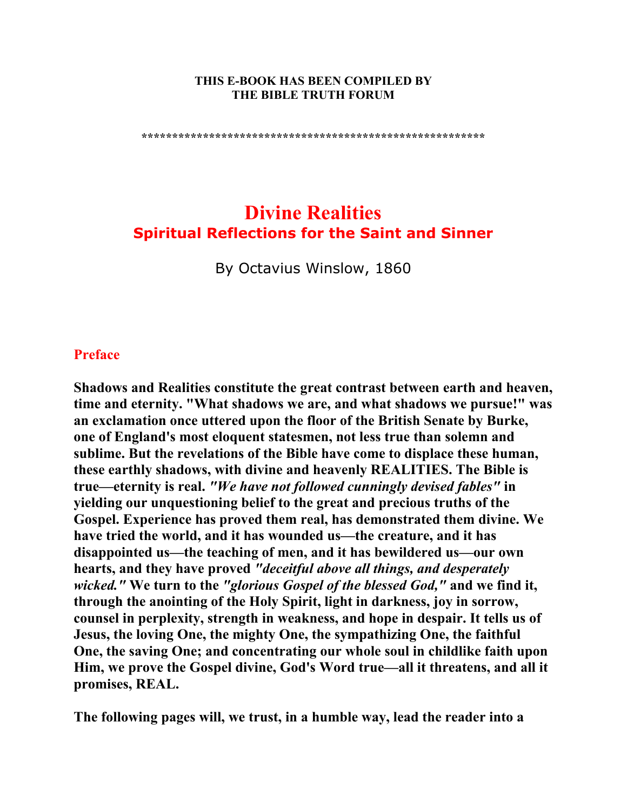#### **THIS E-BOOK HAS BEEN COMPILED BY THE BIBLE TRUTH FORUM**

**\*\*\*\*\*\*\*\*\*\*\*\*\*\*\*\*\*\*\*\*\*\*\*\*\*\*\*\*\*\*\*\*\*\*\*\*\*\*\*\*\*\*\*\*\*\*\*\*\*\*\*\*\*\*\*\*** 

# **Divine Realities Spiritual Reflections for the Saint and Sinner**

By Octavius Winslow, 1860

#### **Preface**

**Shadows and Realities constitute the great contrast between earth and heaven, time and eternity. "What shadows we are, and what shadows we pursue!" was an exclamation once uttered upon the floor of the British Senate by Burke, one of England's most eloquent statesmen, not less true than solemn and sublime. But the revelations of the Bible have come to displace these human, these earthly shadows, with divine and heavenly REALITIES. The Bible is true—eternity is real.** *"We have not followed cunningly devised fables"* **in yielding our unquestioning belief to the great and precious truths of the Gospel. Experience has proved them real, has demonstrated them divine. We have tried the world, and it has wounded us—the creature, and it has disappointed us—the teaching of men, and it has bewildered us—our own hearts, and they have proved** *"deceitful above all things, and desperately wicked."* **We turn to the** *"glorious Gospel of the blessed God,"* **and we find it, through the anointing of the Holy Spirit, light in darkness, joy in sorrow, counsel in perplexity, strength in weakness, and hope in despair. It tells us of Jesus, the loving One, the mighty One, the sympathizing One, the faithful One, the saving One; and concentrating our whole soul in childlike faith upon Him, we prove the Gospel divine, God's Word true—all it threatens, and all it promises, REAL.** 

**The following pages will, we trust, in a humble way, lead the reader into a**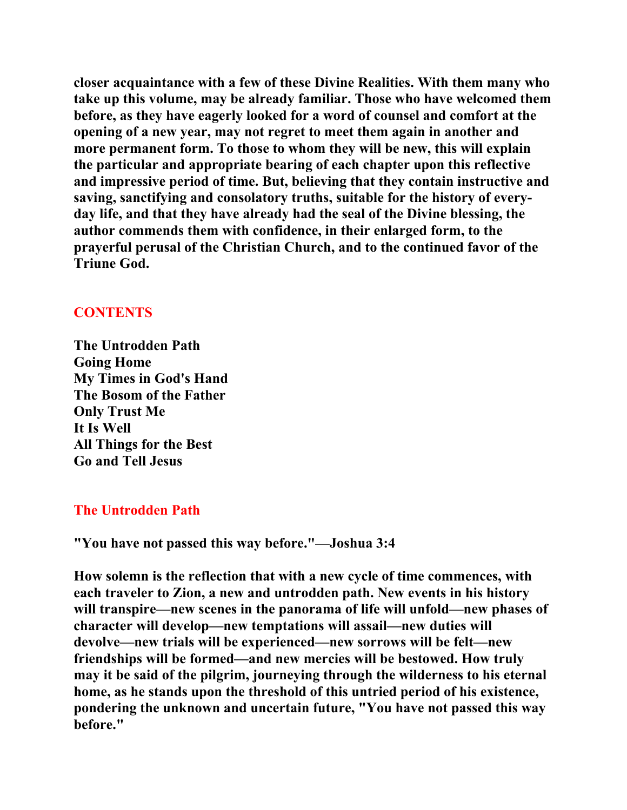**closer acquaintance with a few of these Divine Realities. With them many who take up this volume, may be already familiar. Those who have welcomed them before, as they have eagerly looked for a word of counsel and comfort at the opening of a new year, may not regret to meet them again in another and more permanent form. To those to whom they will be new, this will explain the particular and appropriate bearing of each chapter upon this reflective and impressive period of time. But, believing that they contain instructive and saving, sanctifying and consolatory truths, suitable for the history of everyday life, and that they have already had the seal of the Divine blessing, the author commends them with confidence, in their enlarged form, to the prayerful perusal of the Christian Church, and to the continued favor of the Triune God.** 

## **CONTENTS**

**The Untrodden Path Going Home My Times in God's Hand The Bosom of the Father Only Trust Me It Is Well All Things for the Best Go and Tell Jesus** 

## **The Untrodden Path**

**"You have not passed this way before."—Joshua 3:4** 

**How solemn is the reflection that with a new cycle of time commences, with each traveler to Zion, a new and untrodden path. New events in his history will transpire—new scenes in the panorama of life will unfold—new phases of character will develop—new temptations will assail—new duties will devolve—new trials will be experienced—new sorrows will be felt—new friendships will be formed—and new mercies will be bestowed. How truly may it be said of the pilgrim, journeying through the wilderness to his eternal home, as he stands upon the threshold of this untried period of his existence, pondering the unknown and uncertain future, "You have not passed this way before."**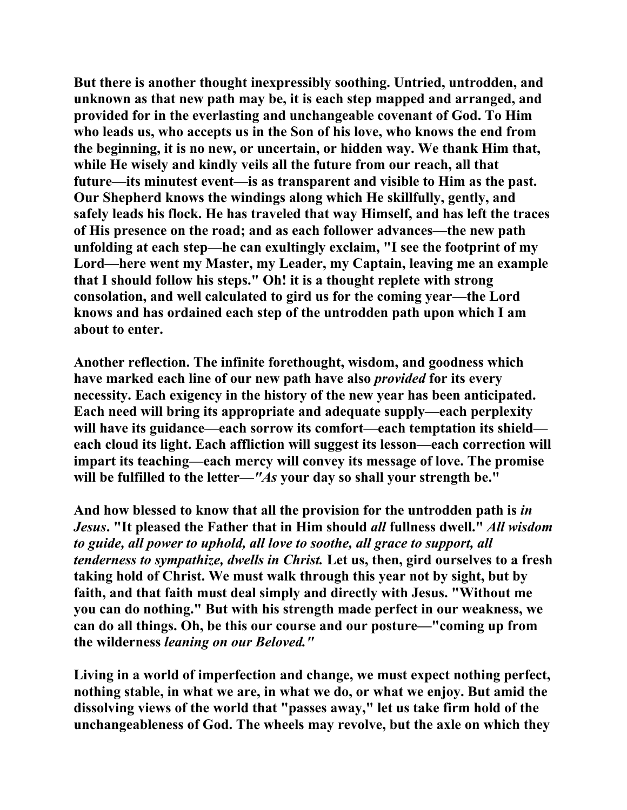**But there is another thought inexpressibly soothing. Untried, untrodden, and unknown as that new path may be, it is each step mapped and arranged, and provided for in the everlasting and unchangeable covenant of God. To Him who leads us, who accepts us in the Son of his love, who knows the end from the beginning, it is no new, or uncertain, or hidden way. We thank Him that, while He wisely and kindly veils all the future from our reach, all that future—its minutest event—is as transparent and visible to Him as the past. Our Shepherd knows the windings along which He skillfully, gently, and safely leads his flock. He has traveled that way Himself, and has left the traces of His presence on the road; and as each follower advances—the new path unfolding at each step—he can exultingly exclaim, "I see the footprint of my Lord—here went my Master, my Leader, my Captain, leaving me an example that I should follow his steps." Oh! it is a thought replete with strong consolation, and well calculated to gird us for the coming year—the Lord knows and has ordained each step of the untrodden path upon which I am about to enter.** 

**Another reflection. The infinite forethought, wisdom, and goodness which have marked each line of our new path have also** *provided* **for its every necessity. Each exigency in the history of the new year has been anticipated. Each need will bring its appropriate and adequate supply—each perplexity will have its guidance—each sorrow its comfort—each temptation its shield each cloud its light. Each affliction will suggest its lesson—each correction will impart its teaching—each mercy will convey its message of love. The promise will be fulfilled to the letter—***"As* **your day so shall your strength be."** 

**And how blessed to know that all the provision for the untrodden path is** *in Jesus***. "It pleased the Father that in Him should** *all* **fullness dwell."** *All wisdom to guide, all power to uphold, all love to soothe, all grace to support, all tenderness to sympathize, dwells in Christ.* **Let us, then, gird ourselves to a fresh taking hold of Christ. We must walk through this year not by sight, but by faith, and that faith must deal simply and directly with Jesus. "Without me you can do nothing." But with his strength made perfect in our weakness, we can do all things. Oh, be this our course and our posture—"coming up from the wilderness** *leaning on our Beloved."*

**Living in a world of imperfection and change, we must expect nothing perfect, nothing stable, in what we are, in what we do, or what we enjoy. But amid the dissolving views of the world that "passes away," let us take firm hold of the unchangeableness of God. The wheels may revolve, but the axle on which they**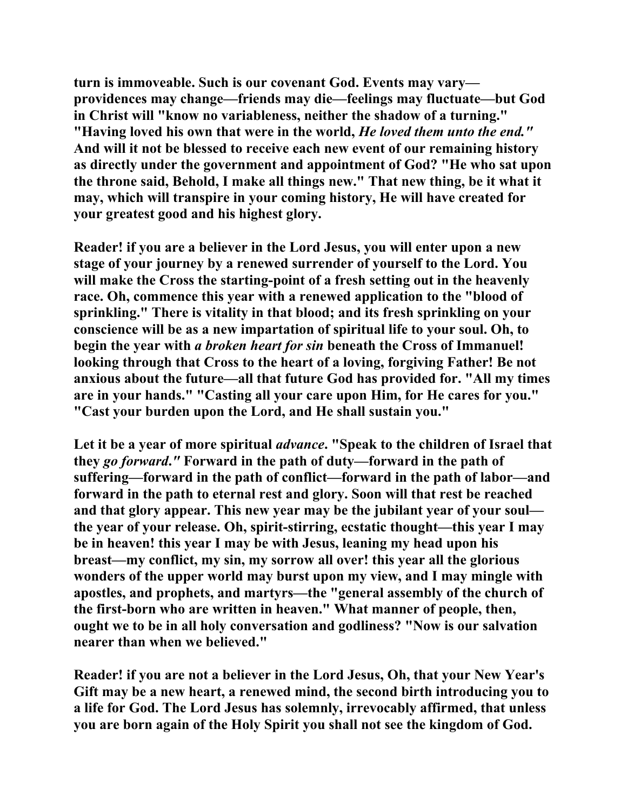**turn is immoveable. Such is our covenant God. Events may vary providences may change—friends may die—feelings may fluctuate—but God in Christ will "know no variableness, neither the shadow of a turning." "Having loved his own that were in the world,** *He loved them unto the end."*  **And will it not be blessed to receive each new event of our remaining history as directly under the government and appointment of God? "He who sat upon the throne said, Behold, I make all things new." That new thing, be it what it may, which will transpire in your coming history, He will have created for your greatest good and his highest glory.** 

**Reader! if you are a believer in the Lord Jesus, you will enter upon a new stage of your journey by a renewed surrender of yourself to the Lord. You will make the Cross the starting-point of a fresh setting out in the heavenly race. Oh, commence this year with a renewed application to the "blood of sprinkling." There is vitality in that blood; and its fresh sprinkling on your conscience will be as a new impartation of spiritual life to your soul. Oh, to begin the year with** *a broken heart for sin* **beneath the Cross of Immanuel! looking through that Cross to the heart of a loving, forgiving Father! Be not anxious about the future—all that future God has provided for. "All my times are in your hands." "Casting all your care upon Him, for He cares for you." "Cast your burden upon the Lord, and He shall sustain you."** 

**Let it be a year of more spiritual** *advance***. "Speak to the children of Israel that they** *go forward***.***"* **Forward in the path of duty—forward in the path of suffering—forward in the path of conflict—forward in the path of labor—and forward in the path to eternal rest and glory. Soon will that rest be reached and that glory appear. This new year may be the jubilant year of your soul the year of your release. Oh, spirit-stirring, ecstatic thought—this year I may be in heaven! this year I may be with Jesus, leaning my head upon his breast—my conflict, my sin, my sorrow all over! this year all the glorious wonders of the upper world may burst upon my view, and I may mingle with apostles, and prophets, and martyrs—the "general assembly of the church of the first-born who are written in heaven." What manner of people, then, ought we to be in all holy conversation and godliness? "Now is our salvation nearer than when we believed."** 

**Reader! if you are not a believer in the Lord Jesus, Oh, that your New Year's Gift may be a new heart, a renewed mind, the second birth introducing you to a life for God. The Lord Jesus has solemnly, irrevocably affirmed, that unless you are born again of the Holy Spirit you shall not see the kingdom of God.**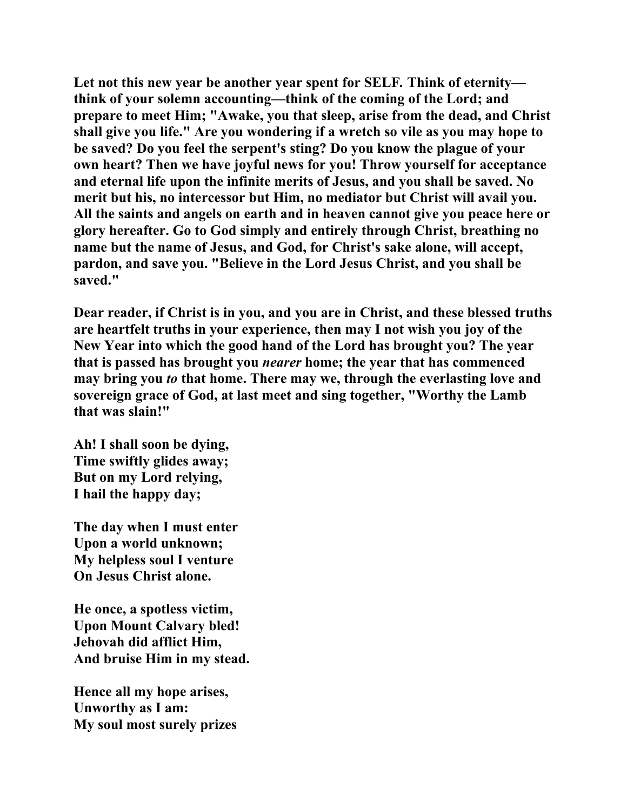**Let not this new year be another year spent for SELF***.* **Think of eternity think of your solemn accounting—think of the coming of the Lord; and prepare to meet Him; "Awake, you that sleep, arise from the dead, and Christ shall give you life." Are you wondering if a wretch so vile as you may hope to be saved? Do you feel the serpent's sting? Do you know the plague of your own heart? Then we have joyful news for you! Throw yourself for acceptance and eternal life upon the infinite merits of Jesus, and you shall be saved. No merit but his, no intercessor but Him, no mediator but Christ will avail you. All the saints and angels on earth and in heaven cannot give you peace here or glory hereafter. Go to God simply and entirely through Christ, breathing no name but the name of Jesus, and God, for Christ's sake alone, will accept, pardon, and save you. "Believe in the Lord Jesus Christ, and you shall be saved."** 

**Dear reader, if Christ is in you, and you are in Christ, and these blessed truths are heartfelt truths in your experience, then may I not wish you joy of the New Year into which the good hand of the Lord has brought you? The year that is passed has brought you** *nearer* **home; the year that has commenced may bring you** *to* **that home. There may we, through the everlasting love and sovereign grace of God, at last meet and sing together, "Worthy the Lamb that was slain!"** 

**Ah! I shall soon be dying, Time swiftly glides away; But on my Lord relying, I hail the happy day;** 

**The day when I must enter Upon a world unknown; My helpless soul I venture On Jesus Christ alone.** 

**He once, a spotless victim, Upon Mount Calvary bled! Jehovah did afflict Him, And bruise Him in my stead.** 

**Hence all my hope arises, Unworthy as I am: My soul most surely prizes**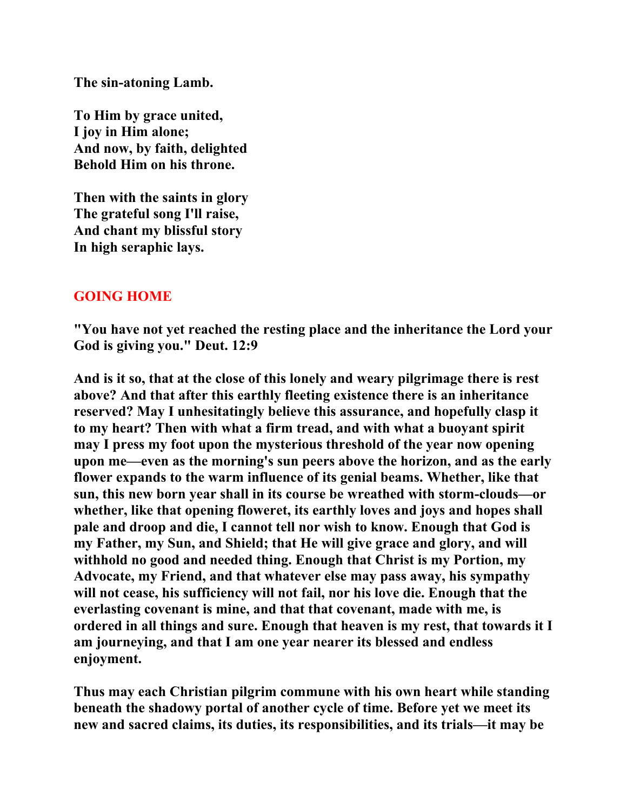**The sin-atoning Lamb.** 

**To Him by grace united, I joy in Him alone; And now, by faith, delighted Behold Him on his throne.** 

**Then with the saints in glory The grateful song I'll raise, And chant my blissful story In high seraphic lays.** 

## **GOING HOME**

**"You have not yet reached the resting place and the inheritance the Lord your God is giving you." Deut. 12:9** 

**And is it so, that at the close of this lonely and weary pilgrimage there is rest above? And that after this earthly fleeting existence there is an inheritance reserved? May I unhesitatingly believe this assurance, and hopefully clasp it to my heart? Then with what a firm tread, and with what a buoyant spirit may I press my foot upon the mysterious threshold of the year now opening upon me—even as the morning's sun peers above the horizon, and as the early flower expands to the warm influence of its genial beams. Whether, like that sun, this new born year shall in its course be wreathed with storm-clouds—or whether, like that opening floweret, its earthly loves and joys and hopes shall pale and droop and die, I cannot tell nor wish to know. Enough that God is my Father, my Sun, and Shield; that He will give grace and glory, and will withhold no good and needed thing. Enough that Christ is my Portion, my Advocate, my Friend, and that whatever else may pass away, his sympathy will not cease, his sufficiency will not fail, nor his love die. Enough that the everlasting covenant is mine, and that that covenant, made with me, is ordered in all things and sure. Enough that heaven is my rest, that towards it I am journeying, and that I am one year nearer its blessed and endless enjoyment.** 

**Thus may each Christian pilgrim commune with his own heart while standing beneath the shadowy portal of another cycle of time. Before yet we meet its new and sacred claims, its duties, its responsibilities, and its trials—it may be**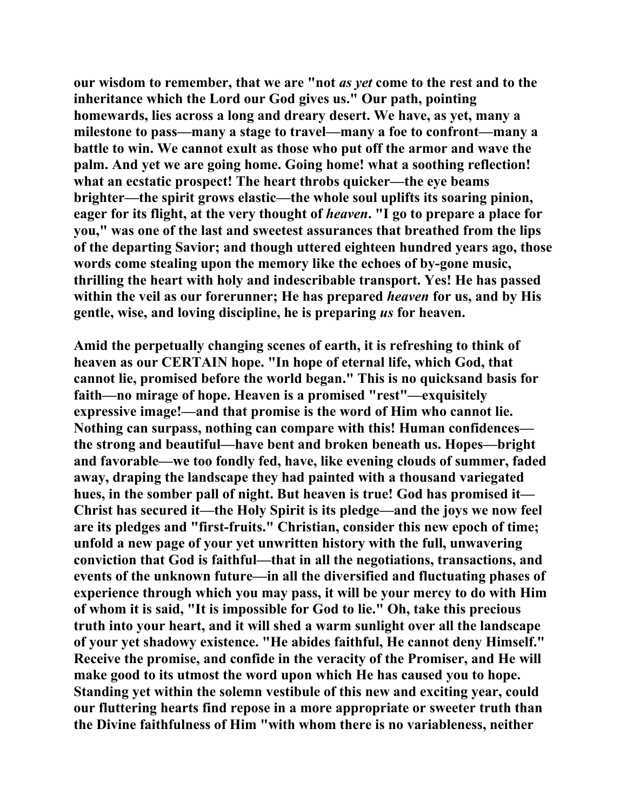**our wisdom to remember, that we are "not** *as yet* **come to the rest and to the inheritance which the Lord our God gives us." Our path, pointing homewards, lies across a long and dreary desert. We have, as yet, many a milestone to pass—many a stage to travel—many a foe to confront—many a battle to win. We cannot exult as those who put off the armor and wave the palm. And yet we are going home. Going home! what a soothing reflection! what an ecstatic prospect! The heart throbs quicker—the eye beams brighter—the spirit grows elastic—the whole soul uplifts its soaring pinion, eager for its flight, at the very thought of** *heaven***. "I go to prepare a place for you," was one of the last and sweetest assurances that breathed from the lips of the departing Savior; and though uttered eighteen hundred years ago, those words come stealing upon the memory like the echoes of by-gone music, thrilling the heart with holy and indescribable transport. Yes! He has passed within the veil as our forerunner; He has prepared** *heaven* **for us, and by His gentle, wise, and loving discipline, he is preparing** *us* **for heaven.** 

**Amid the perpetually changing scenes of earth, it is refreshing to think of heaven as our CERTAIN hope. "In hope of eternal life, which God, that cannot lie, promised before the world began." This is no quicksand basis for faith—no mirage of hope. Heaven is a promised "rest"—exquisitely expressive image!—and that promise is the word of Him who cannot lie. Nothing can surpass, nothing can compare with this! Human confidences the strong and beautiful—have bent and broken beneath us. Hopes—bright and favorable—we too fondly fed, have, like evening clouds of summer, faded away, draping the landscape they had painted with a thousand variegated hues, in the somber pall of night. But heaven is true! God has promised it— Christ has secured it—the Holy Spirit is its pledge—and the joys we now feel are its pledges and "first-fruits." Christian, consider this new epoch of time; unfold a new page of your yet unwritten history with the full, unwavering conviction that God is faithful—that in all the negotiations, transactions, and events of the unknown future—in all the diversified and fluctuating phases of experience through which you may pass, it will be your mercy to do with Him of whom it is said, "It is impossible for God to lie." Oh, take this precious truth into your heart, and it will shed a warm sunlight over all the landscape of your yet shadowy existence. "He abides faithful, He cannot deny Himself." Receive the promise, and confide in the veracity of the Promiser, and He will make good to its utmost the word upon which He has caused you to hope. Standing yet within the solemn vestibule of this new and exciting year, could our fluttering hearts find repose in a more appropriate or sweeter truth than the Divine faithfulness of Him "with whom there is no variableness, neither**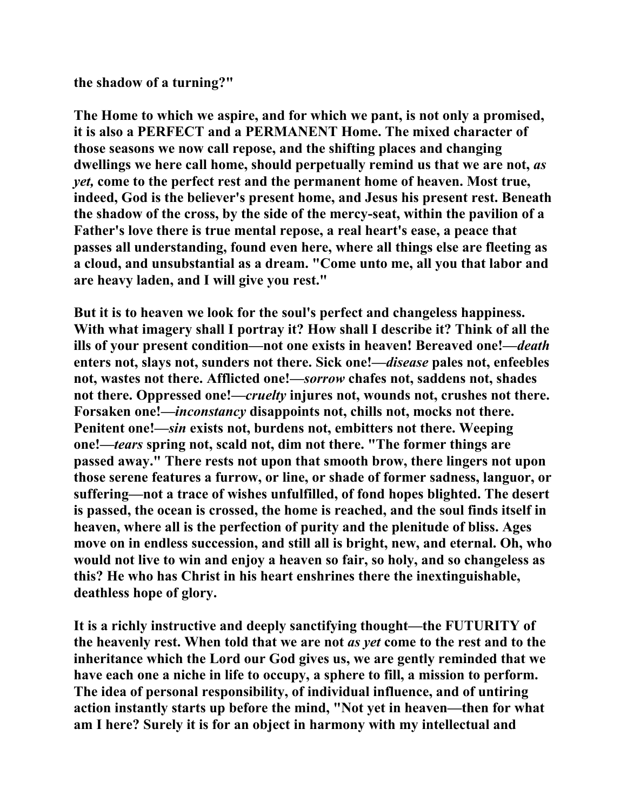**the shadow of a turning?"** 

**The Home to which we aspire, and for which we pant, is not only a promised, it is also a PERFECT and a PERMANENT Home. The mixed character of those seasons we now call repose, and the shifting places and changing dwellings we here call home, should perpetually remind us that we are not,** *as yet,* **come to the perfect rest and the permanent home of heaven. Most true, indeed, God is the believer's present home, and Jesus his present rest. Beneath the shadow of the cross, by the side of the mercy-seat, within the pavilion of a Father's love there is true mental repose, a real heart's ease, a peace that passes all understanding, found even here, where all things else are fleeting as a cloud, and unsubstantial as a dream. "Come unto me, all you that labor and are heavy laden, and I will give you rest."** 

**But it is to heaven we look for the soul's perfect and changeless happiness. With what imagery shall I portray it? How shall I describe it? Think of all the ills of your present condition—not one exists in heaven! Bereaved one!—***death*  **enters not, slays not, sunders not there. Sick one!—***disease* **pales not, enfeebles not, wastes not there. Afflicted one!—***sorrow* **chafes not, saddens not, shades not there. Oppressed one!—***cruelty* **injures not, wounds not, crushes not there. Forsaken one!—***inconstancy* **disappoints not, chills not, mocks not there. Penitent one!—***sin* **exists not, burdens not, embitters not there. Weeping one!—***tears* **spring not, scald not, dim not there. "The former things are passed away." There rests not upon that smooth brow, there lingers not upon those serene features a furrow, or line, or shade of former sadness, languor, or suffering—not a trace of wishes unfulfilled, of fond hopes blighted. The desert is passed, the ocean is crossed, the home is reached, and the soul finds itself in heaven, where all is the perfection of purity and the plenitude of bliss. Ages move on in endless succession, and still all is bright, new, and eternal. Oh, who would not live to win and enjoy a heaven so fair, so holy, and so changeless as this? He who has Christ in his heart enshrines there the inextinguishable, deathless hope of glory.** 

**It is a richly instructive and deeply sanctifying thought—the FUTURITY of the heavenly rest. When told that we are not** *as yet* **come to the rest and to the inheritance which the Lord our God gives us, we are gently reminded that we have each one a niche in life to occupy, a sphere to fill, a mission to perform. The idea of personal responsibility, of individual influence, and of untiring action instantly starts up before the mind, "Not yet in heaven—then for what am I here? Surely it is for an object in harmony with my intellectual and**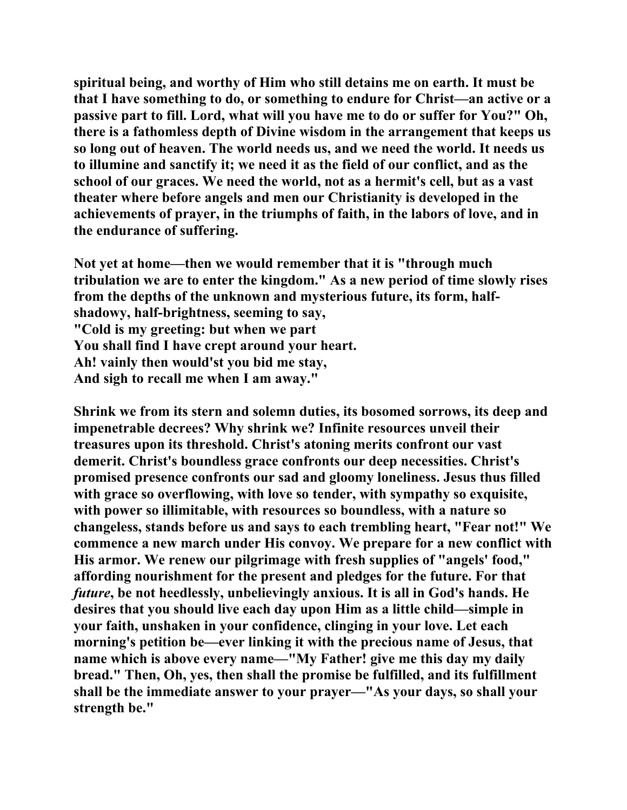**spiritual being, and worthy of Him who still detains me on earth. It must be that I have something to do, or something to endure for Christ—an active or a passive part to fill. Lord, what will you have me to do or suffer for You?" Oh, there is a fathomless depth of Divine wisdom in the arrangement that keeps us so long out of heaven. The world needs us, and we need the world. It needs us to illumine and sanctify it; we need it as the field of our conflict, and as the school of our graces. We need the world, not as a hermit's cell, but as a vast theater where before angels and men our Christianity is developed in the achievements of prayer, in the triumphs of faith, in the labors of love, and in the endurance of suffering.** 

**Not yet at home—then we would remember that it is "through much tribulation we are to enter the kingdom." As a new period of time slowly rises from the depths of the unknown and mysterious future, its form, halfshadowy, half-brightness, seeming to say, "Cold is my greeting: but when we part You shall find I have crept around your heart. Ah! vainly then would'st you bid me stay, And sigh to recall me when I am away."** 

**Shrink we from its stern and solemn duties, its bosomed sorrows, its deep and impenetrable decrees? Why shrink we? Infinite resources unveil their treasures upon its threshold. Christ's atoning merits confront our vast demerit. Christ's boundless grace confronts our deep necessities. Christ's promised presence confronts our sad and gloomy loneliness. Jesus thus filled with grace so overflowing, with love so tender, with sympathy so exquisite, with power so illimitable, with resources so boundless, with a nature so changeless, stands before us and says to each trembling heart, "Fear not!" We commence a new march under His convoy. We prepare for a new conflict with His armor. We renew our pilgrimage with fresh supplies of "angels' food," affording nourishment for the present and pledges for the future. For that**  *future***, be not heedlessly, unbelievingly anxious. It is all in God's hands. He desires that you should live each day upon Him as a little child—simple in your faith, unshaken in your confidence, clinging in your love. Let each morning's petition be—ever linking it with the precious name of Jesus, that name which is above every name—"My Father! give me this day my daily bread." Then, Oh, yes, then shall the promise be fulfilled, and its fulfillment shall be the immediate answer to your prayer—"As your days, so shall your strength be."**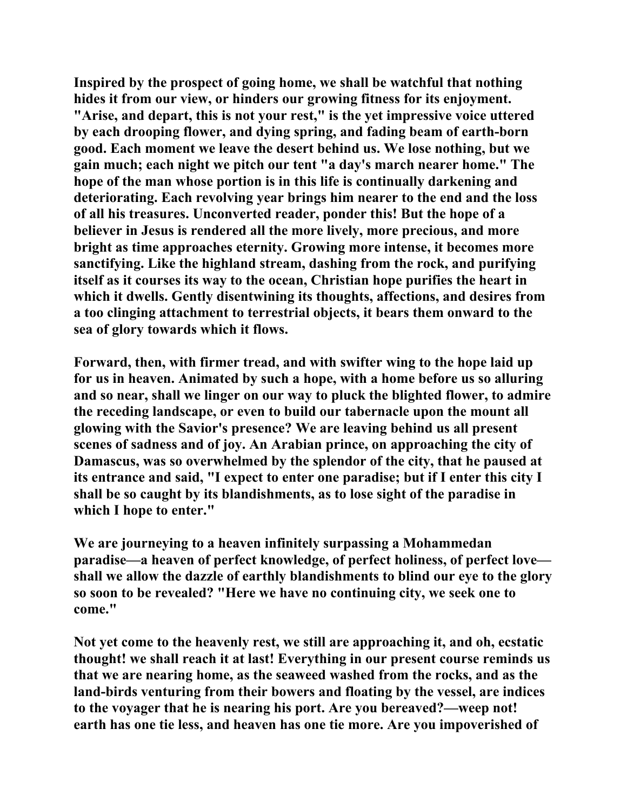**Inspired by the prospect of going home, we shall be watchful that nothing hides it from our view, or hinders our growing fitness for its enjoyment. "Arise, and depart, this is not your rest," is the yet impressive voice uttered by each drooping flower, and dying spring, and fading beam of earth-born good. Each moment we leave the desert behind us. We lose nothing, but we gain much; each night we pitch our tent "a day's march nearer home." The hope of the man whose portion is in this life is continually darkening and deteriorating. Each revolving year brings him nearer to the end and the loss of all his treasures. Unconverted reader, ponder this! But the hope of a believer in Jesus is rendered all the more lively, more precious, and more bright as time approaches eternity. Growing more intense, it becomes more sanctifying. Like the highland stream, dashing from the rock, and purifying itself as it courses its way to the ocean, Christian hope purifies the heart in which it dwells. Gently disentwining its thoughts, affections, and desires from a too clinging attachment to terrestrial objects, it bears them onward to the sea of glory towards which it flows.** 

**Forward, then, with firmer tread, and with swifter wing to the hope laid up for us in heaven. Animated by such a hope, with a home before us so alluring and so near, shall we linger on our way to pluck the blighted flower, to admire the receding landscape, or even to build our tabernacle upon the mount all glowing with the Savior's presence? We are leaving behind us all present scenes of sadness and of joy. An Arabian prince, on approaching the city of Damascus, was so overwhelmed by the splendor of the city, that he paused at its entrance and said, "I expect to enter one paradise; but if I enter this city I shall be so caught by its blandishments, as to lose sight of the paradise in which I hope to enter."** 

**We are journeying to a heaven infinitely surpassing a Mohammedan paradise—a heaven of perfect knowledge, of perfect holiness, of perfect love shall we allow the dazzle of earthly blandishments to blind our eye to the glory so soon to be revealed? "Here we have no continuing city, we seek one to come."** 

**Not yet come to the heavenly rest, we still are approaching it, and oh, ecstatic thought! we shall reach it at last! Everything in our present course reminds us that we are nearing home, as the seaweed washed from the rocks, and as the land-birds venturing from their bowers and floating by the vessel, are indices to the voyager that he is nearing his port. Are you bereaved?—weep not! earth has one tie less, and heaven has one tie more. Are you impoverished of**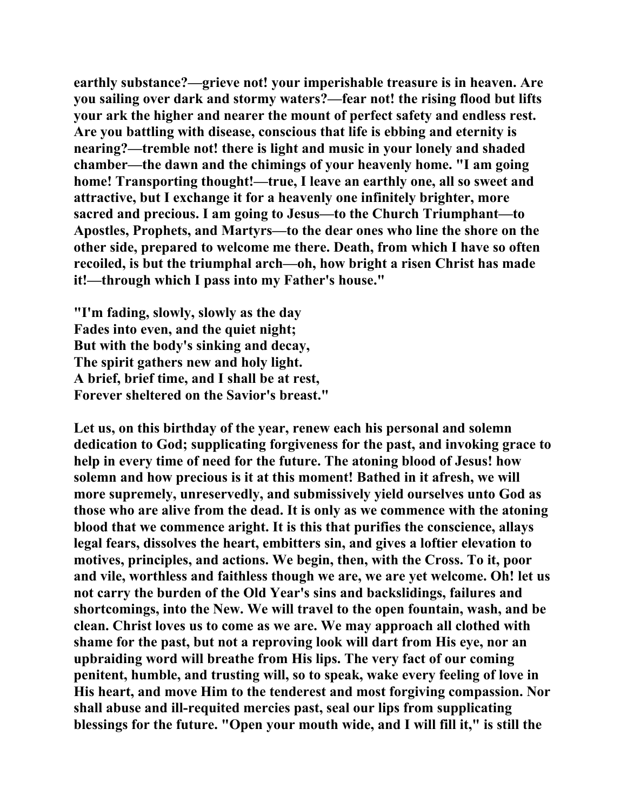**earthly substance?—grieve not! your imperishable treasure is in heaven. Are you sailing over dark and stormy waters?—fear not! the rising flood but lifts your ark the higher and nearer the mount of perfect safety and endless rest. Are you battling with disease, conscious that life is ebbing and eternity is nearing?—tremble not! there is light and music in your lonely and shaded chamber—the dawn and the chimings of your heavenly home. "I am going home! Transporting thought!—true, I leave an earthly one, all so sweet and attractive, but I exchange it for a heavenly one infinitely brighter, more sacred and precious. I am going to Jesus—to the Church Triumphant—to Apostles, Prophets, and Martyrs—to the dear ones who line the shore on the other side, prepared to welcome me there. Death, from which I have so often recoiled, is but the triumphal arch—oh, how bright a risen Christ has made it!—through which I pass into my Father's house."** 

**"I'm fading, slowly, slowly as the day Fades into even, and the quiet night; But with the body's sinking and decay, The spirit gathers new and holy light. A brief, brief time, and I shall be at rest, Forever sheltered on the Savior's breast."** 

**Let us, on this birthday of the year, renew each his personal and solemn dedication to God; supplicating forgiveness for the past, and invoking grace to help in every time of need for the future. The atoning blood of Jesus! how solemn and how precious is it at this moment! Bathed in it afresh, we will more supremely, unreservedly, and submissively yield ourselves unto God as those who are alive from the dead. It is only as we commence with the atoning blood that we commence aright. It is this that purifies the conscience, allays legal fears, dissolves the heart, embitters sin, and gives a loftier elevation to motives, principles, and actions. We begin, then, with the Cross. To it, poor and vile, worthless and faithless though we are, we are yet welcome. Oh! let us not carry the burden of the Old Year's sins and backslidings, failures and shortcomings, into the New. We will travel to the open fountain, wash, and be clean. Christ loves us to come as we are. We may approach all clothed with shame for the past, but not a reproving look will dart from His eye, nor an upbraiding word will breathe from His lips. The very fact of our coming penitent, humble, and trusting will, so to speak, wake every feeling of love in His heart, and move Him to the tenderest and most forgiving compassion. Nor shall abuse and ill-requited mercies past, seal our lips from supplicating blessings for the future. "Open your mouth wide, and I will fill it," is still the**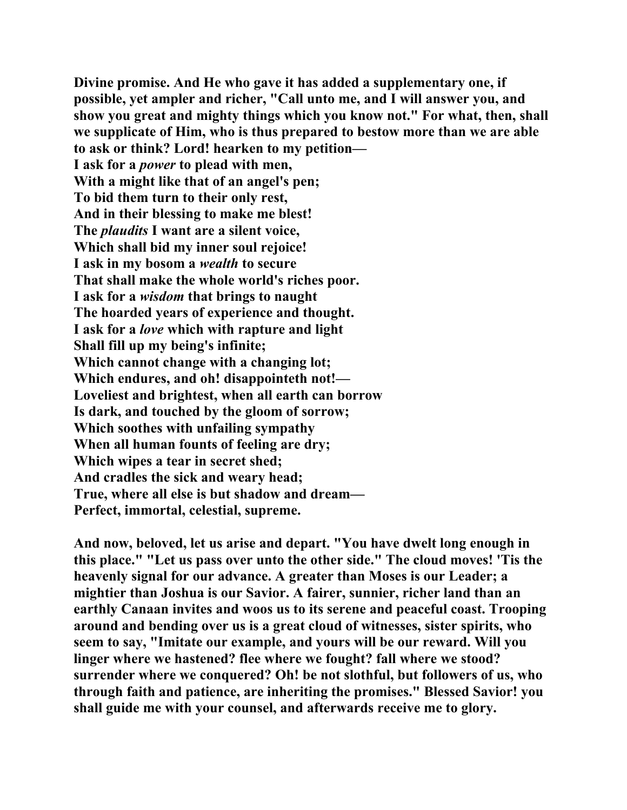**Divine promise. And He who gave it has added a supplementary one, if possible, yet ampler and richer, "Call unto me, and I will answer you, and show you great and mighty things which you know not." For what, then, shall we supplicate of Him, who is thus prepared to bestow more than we are able to ask or think? Lord! hearken to my petition— I ask for a** *power* **to plead with men, With a might like that of an angel's pen; To bid them turn to their only rest, And in their blessing to make me blest! The** *plaudits* **I want are a silent voice, Which shall bid my inner soul rejoice! I ask in my bosom a** *wealth* **to secure That shall make the whole world's riches poor. I ask for a** *wisdom* **that brings to naught The hoarded years of experience and thought. I ask for a** *love* **which with rapture and light Shall fill up my being's infinite; Which cannot change with a changing lot; Which endures, and oh! disappointeth not!— Loveliest and brightest, when all earth can borrow Is dark, and touched by the gloom of sorrow; Which soothes with unfailing sympathy When all human founts of feeling are dry; Which wipes a tear in secret shed; And cradles the sick and weary head; True, where all else is but shadow and dream— Perfect, immortal, celestial, supreme.** 

**And now, beloved, let us arise and depart. "You have dwelt long enough in this place." "Let us pass over unto the other side." The cloud moves! 'Tis the heavenly signal for our advance. A greater than Moses is our Leader; a mightier than Joshua is our Savior. A fairer, sunnier, richer land than an earthly Canaan invites and woos us to its serene and peaceful coast. Trooping around and bending over us is a great cloud of witnesses, sister spirits, who seem to say, "Imitate our example, and yours will be our reward. Will you linger where we hastened? flee where we fought? fall where we stood? surrender where we conquered? Oh! be not slothful, but followers of us, who through faith and patience, are inheriting the promises." Blessed Savior! you shall guide me with your counsel, and afterwards receive me to glory.**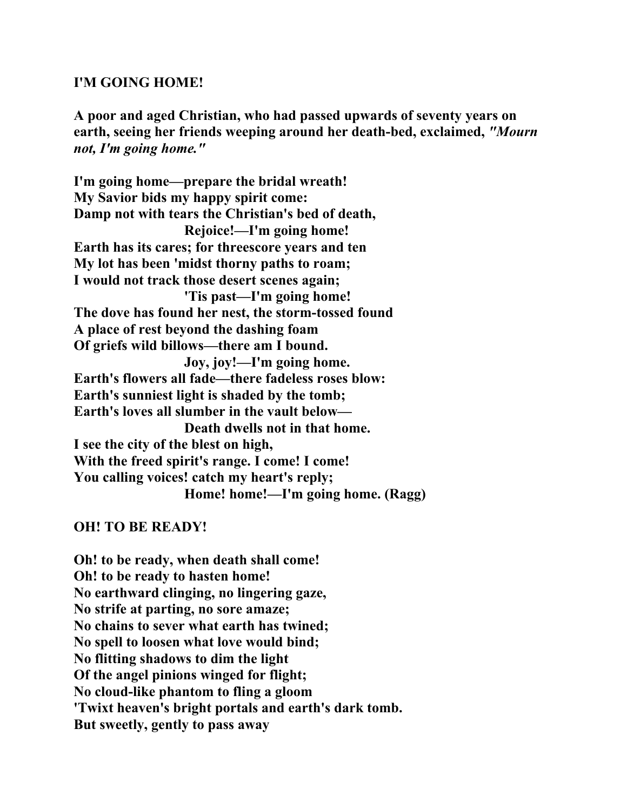#### **I'M GOING HOME!**

**A poor and aged Christian, who had passed upwards of seventy years on earth, seeing her friends weeping around her death-bed, exclaimed,** *"Mourn not, I'm going home."* 

**I'm going home—prepare the bridal wreath! My Savior bids my happy spirit come: Damp not with tears the Christian's bed of death, Rejoice!—I'm going home! Earth has its cares; for threescore years and ten My lot has been 'midst thorny paths to roam; I would not track those desert scenes again; 'Tis past—I'm going home! The dove has found her nest, the storm-tossed found A place of rest beyond the dashing foam Of griefs wild billows—there am I bound. Joy, joy!—I'm going home. Earth's flowers all fade—there fadeless roses blow: Earth's sunniest light is shaded by the tomb; Earth's loves all slumber in the vault below— Death dwells not in that home. I see the city of the blest on high, With the freed spirit's range. I come! I come! You calling voices! catch my heart's reply; Home! home!—I'm going home. (Ragg)** 

#### **OH! TO BE READY!**

**Oh! to be ready, when death shall come! Oh! to be ready to hasten home! No earthward clinging, no lingering gaze, No strife at parting, no sore amaze; No chains to sever what earth has twined; No spell to loosen what love would bind; No flitting shadows to dim the light Of the angel pinions winged for flight; No cloud-like phantom to fling a gloom 'Twixt heaven's bright portals and earth's dark tomb. But sweetly, gently to pass away**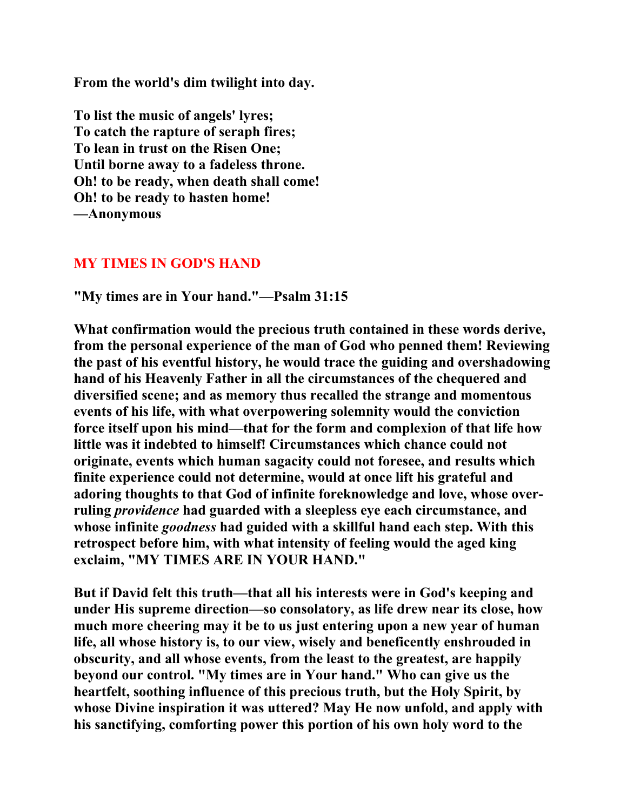**From the world's dim twilight into day.** 

**To list the music of angels' lyres; To catch the rapture of seraph fires; To lean in trust on the Risen One; Until borne away to a fadeless throne. Oh! to be ready, when death shall come! Oh! to be ready to hasten home! —Anonymous** 

### **MY TIMES IN GOD'S HAND**

**"My times are in Your hand."—Psalm 31:15** 

**What confirmation would the precious truth contained in these words derive, from the personal experience of the man of God who penned them! Reviewing the past of his eventful history, he would trace the guiding and overshadowing hand of his Heavenly Father in all the circumstances of the chequered and diversified scene; and as memory thus recalled the strange and momentous events of his life, with what overpowering solemnity would the conviction force itself upon his mind—that for the form and complexion of that life how little was it indebted to himself! Circumstances which chance could not originate, events which human sagacity could not foresee, and results which finite experience could not determine, would at once lift his grateful and adoring thoughts to that God of infinite foreknowledge and love, whose overruling** *providence* **had guarded with a sleepless eye each circumstance, and whose infinite** *goodness* **had guided with a skillful hand each step. With this retrospect before him, with what intensity of feeling would the aged king exclaim, "MY TIMES ARE IN YOUR HAND."** 

**But if David felt this truth—that all his interests were in God's keeping and under His supreme direction—so consolatory, as life drew near its close, how much more cheering may it be to us just entering upon a new year of human life, all whose history is, to our view, wisely and beneficently enshrouded in obscurity, and all whose events, from the least to the greatest, are happily beyond our control. "My times are in Your hand." Who can give us the heartfelt, soothing influence of this precious truth, but the Holy Spirit, by whose Divine inspiration it was uttered? May He now unfold, and apply with his sanctifying, comforting power this portion of his own holy word to the**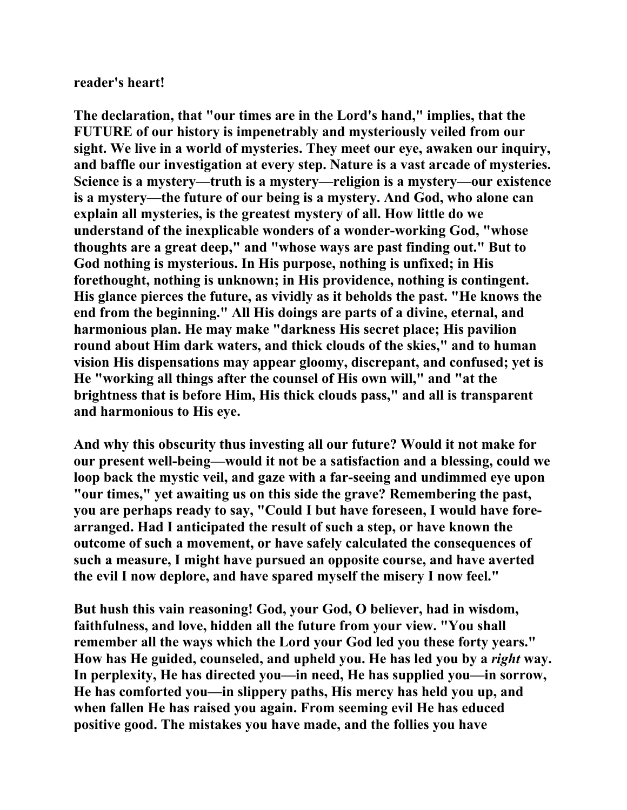#### **reader's heart!**

**The declaration, that "our times are in the Lord's hand," implies, that the FUTURE of our history is impenetrably and mysteriously veiled from our sight. We live in a world of mysteries. They meet our eye, awaken our inquiry, and baffle our investigation at every step. Nature is a vast arcade of mysteries. Science is a mystery—truth is a mystery—religion is a mystery—our existence is a mystery—the future of our being is a mystery. And God, who alone can explain all mysteries, is the greatest mystery of all. How little do we understand of the inexplicable wonders of a wonder-working God, "whose thoughts are a great deep," and "whose ways are past finding out." But to God nothing is mysterious. In His purpose, nothing is unfixed; in His forethought, nothing is unknown; in His providence, nothing is contingent. His glance pierces the future, as vividly as it beholds the past. "He knows the end from the beginning." All His doings are parts of a divine, eternal, and harmonious plan. He may make "darkness His secret place; His pavilion round about Him dark waters, and thick clouds of the skies," and to human vision His dispensations may appear gloomy, discrepant, and confused; yet is He "working all things after the counsel of His own will," and "at the brightness that is before Him, His thick clouds pass," and all is transparent and harmonious to His eye.** 

**And why this obscurity thus investing all our future? Would it not make for our present well-being—would it not be a satisfaction and a blessing, could we loop back the mystic veil, and gaze with a far-seeing and undimmed eye upon "our times," yet awaiting us on this side the grave? Remembering the past, you are perhaps ready to say, "Could I but have foreseen, I would have forearranged. Had I anticipated the result of such a step, or have known the outcome of such a movement, or have safely calculated the consequences of such a measure, I might have pursued an opposite course, and have averted the evil I now deplore, and have spared myself the misery I now feel."** 

**But hush this vain reasoning! God, your God, O believer, had in wisdom, faithfulness, and love, hidden all the future from your view. "You shall remember all the ways which the Lord your God led you these forty years." How has He guided, counseled, and upheld you. He has led you by a** *right* **way. In perplexity, He has directed you—in need, He has supplied you—in sorrow, He has comforted you—in slippery paths, His mercy has held you up, and when fallen He has raised you again. From seeming evil He has educed positive good. The mistakes you have made, and the follies you have**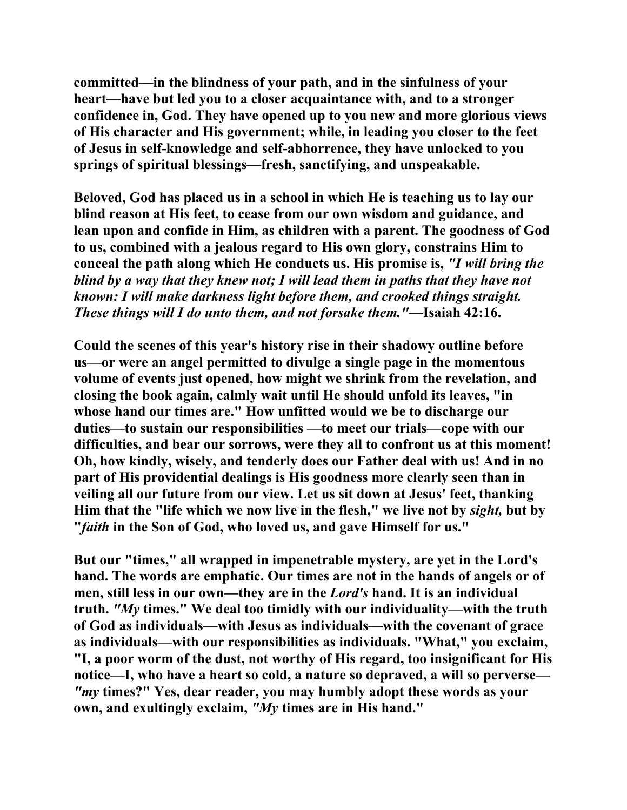**committed—in the blindness of your path, and in the sinfulness of your heart—have but led you to a closer acquaintance with, and to a stronger confidence in, God. They have opened up to you new and more glorious views of His character and His government; while, in leading you closer to the feet of Jesus in self-knowledge and self-abhorrence, they have unlocked to you springs of spiritual blessings—fresh, sanctifying, and unspeakable.** 

**Beloved, God has placed us in a school in which He is teaching us to lay our blind reason at His feet, to cease from our own wisdom and guidance, and lean upon and confide in Him, as children with a parent. The goodness of God to us, combined with a jealous regard to His own glory, constrains Him to conceal the path along which He conducts us. His promise is,** *"I will bring the blind by a way that they knew not; I will lead them in paths that they have not known: I will make darkness light before them, and crooked things straight. These things will I do unto them, and not forsake them."***—Isaiah 42:16.** 

**Could the scenes of this year's history rise in their shadowy outline before us—or were an angel permitted to divulge a single page in the momentous volume of events just opened, how might we shrink from the revelation, and closing the book again, calmly wait until He should unfold its leaves, "in whose hand our times are." How unfitted would we be to discharge our duties—to sustain our responsibilities —to meet our trials—cope with our difficulties, and bear our sorrows, were they all to confront us at this moment! Oh, how kindly, wisely, and tenderly does our Father deal with us! And in no part of His providential dealings is His goodness more clearly seen than in veiling all our future from our view. Let us sit down at Jesus' feet, thanking Him that the "life which we now live in the flesh," we live not by** *sight,* **but by "***faith* **in the Son of God, who loved us, and gave Himself for us."** 

**But our "times," all wrapped in impenetrable mystery, are yet in the Lord's hand. The words are emphatic. Our times are not in the hands of angels or of men, still less in our own—they are in the** *Lord's* **hand. It is an individual truth.** *"My* **times." We deal too timidly with our individuality—with the truth of God as individuals—with Jesus as individuals—with the covenant of grace as individuals—with our responsibilities as individuals. "What," you exclaim, "I, a poor worm of the dust, not worthy of His regard, too insignificant for His notice—I, who have a heart so cold, a nature so depraved, a will so perverse—** *"my* **times?" Yes, dear reader, you may humbly adopt these words as your own, and exultingly exclaim,** *"My* **times are in His hand."**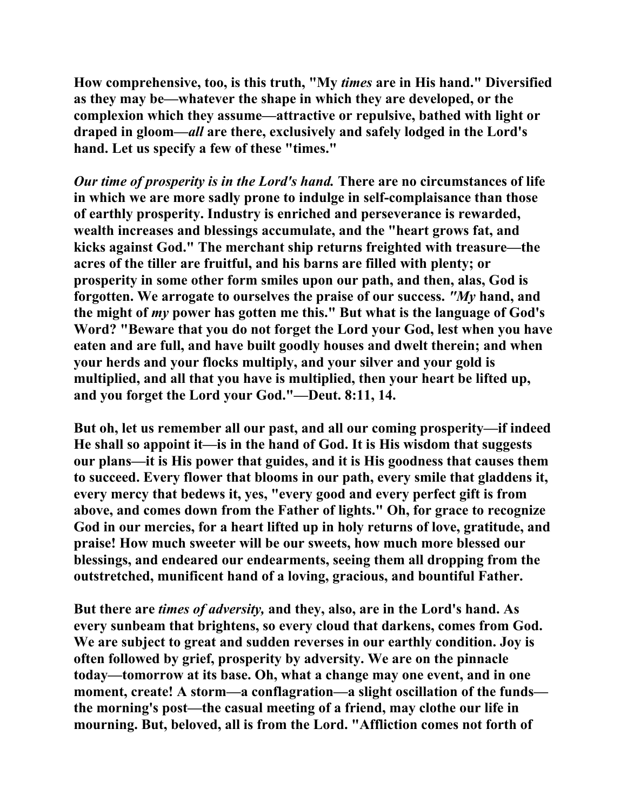**How comprehensive, too, is this truth, "My** *times* **are in His hand." Diversified as they may be—whatever the shape in which they are developed, or the complexion which they assume—attractive or repulsive, bathed with light or draped in gloom—***all* **are there, exclusively and safely lodged in the Lord's hand. Let us specify a few of these "times."** 

*Our time of prosperity is in the Lord's hand.* **There are no circumstances of life in which we are more sadly prone to indulge in self-complaisance than those of earthly prosperity. Industry is enriched and perseverance is rewarded, wealth increases and blessings accumulate, and the "heart grows fat, and kicks against God." The merchant ship returns freighted with treasure—the acres of the tiller are fruitful, and his barns are filled with plenty; or prosperity in some other form smiles upon our path, and then, alas, God is forgotten. We arrogate to ourselves the praise of our success.** *"My* **hand, and the might of** *my* **power has gotten me this." But what is the language of God's Word? "Beware that you do not forget the Lord your God, lest when you have eaten and are full, and have built goodly houses and dwelt therein; and when your herds and your flocks multiply, and your silver and your gold is multiplied, and all that you have is multiplied, then your heart be lifted up, and you forget the Lord your God."—Deut. 8:11, 14.** 

**But oh, let us remember all our past, and all our coming prosperity—if indeed He shall so appoint it—is in the hand of God. It is His wisdom that suggests our plans—it is His power that guides, and it is His goodness that causes them to succeed. Every flower that blooms in our path, every smile that gladdens it, every mercy that bedews it, yes, "every good and every perfect gift is from above, and comes down from the Father of lights." Oh, for grace to recognize God in our mercies, for a heart lifted up in holy returns of love, gratitude, and praise! How much sweeter will be our sweets, how much more blessed our blessings, and endeared our endearments, seeing them all dropping from the outstretched, munificent hand of a loving, gracious, and bountiful Father.** 

**But there are** *times of adversity,* **and they, also, are in the Lord's hand. As every sunbeam that brightens, so every cloud that darkens, comes from God. We are subject to great and sudden reverses in our earthly condition. Joy is often followed by grief, prosperity by adversity. We are on the pinnacle today—tomorrow at its base. Oh, what a change may one event, and in one moment, create! A storm—a conflagration—a slight oscillation of the funds the morning's post—the casual meeting of a friend, may clothe our life in mourning. But, beloved, all is from the Lord. "Affliction comes not forth of**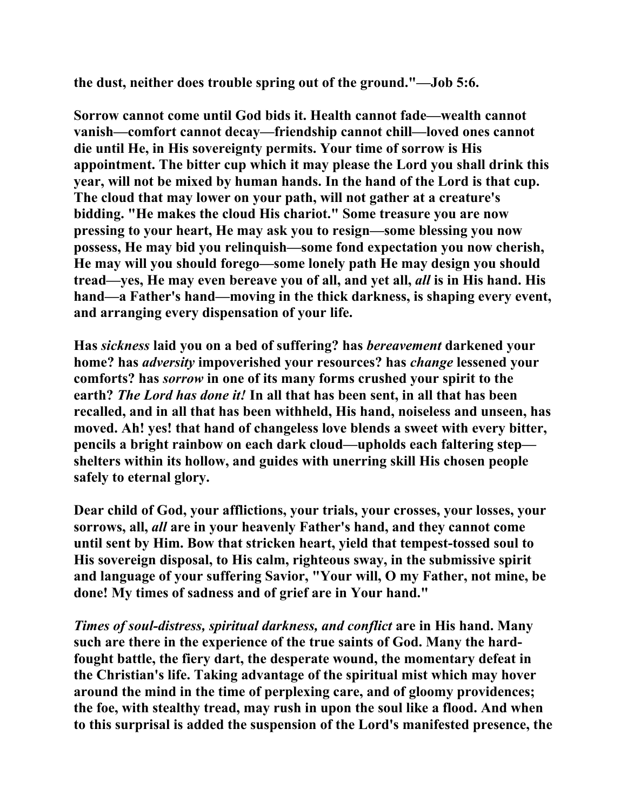**the dust, neither does trouble spring out of the ground."—Job 5:6.** 

**Sorrow cannot come until God bids it. Health cannot fade—wealth cannot vanish—comfort cannot decay—friendship cannot chill—loved ones cannot die until He, in His sovereignty permits. Your time of sorrow is His appointment. The bitter cup which it may please the Lord you shall drink this year, will not be mixed by human hands. In the hand of the Lord is that cup. The cloud that may lower on your path, will not gather at a creature's bidding. "He makes the cloud His chariot." Some treasure you are now pressing to your heart, He may ask you to resign—some blessing you now possess, He may bid you relinquish—some fond expectation you now cherish, He may will you should forego—some lonely path He may design you should tread—yes, He may even bereave you of all, and yet all,** *all* **is in His hand. His hand—a Father's hand—moving in the thick darkness, is shaping every event, and arranging every dispensation of your life.** 

**Has** *sickness* **laid you on a bed of suffering? has** *bereavement* **darkened your home? has** *adversity* **impoverished your resources? has** *change* **lessened your comforts? has** *sorrow* **in one of its many forms crushed your spirit to the earth?** *The Lord has done it!* **In all that has been sent, in all that has been recalled, and in all that has been withheld, His hand, noiseless and unseen, has moved. Ah! yes! that hand of changeless love blends a sweet with every bitter, pencils a bright rainbow on each dark cloud—upholds each faltering step shelters within its hollow, and guides with unerring skill His chosen people safely to eternal glory.** 

**Dear child of God, your afflictions, your trials, your crosses, your losses, your sorrows, all,** *all* **are in your heavenly Father's hand, and they cannot come until sent by Him. Bow that stricken heart, yield that tempest-tossed soul to His sovereign disposal, to His calm, righteous sway, in the submissive spirit and language of your suffering Savior, "Your will, O my Father, not mine, be done! My times of sadness and of grief are in Your hand."** 

*Times of soul-distress, spiritual darkness, and conflict* **are in His hand. Many such are there in the experience of the true saints of God. Many the hardfought battle, the fiery dart, the desperate wound, the momentary defeat in the Christian's life. Taking advantage of the spiritual mist which may hover around the mind in the time of perplexing care, and of gloomy providences; the foe, with stealthy tread, may rush in upon the soul like a flood. And when to this surprisal is added the suspension of the Lord's manifested presence, the**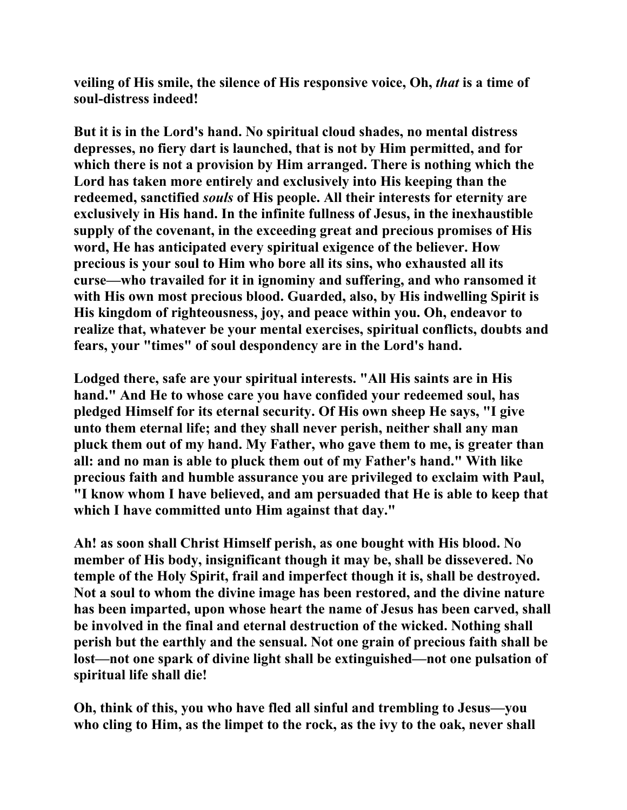**veiling of His smile, the silence of His responsive voice, Oh,** *that* **is a time of soul-distress indeed!** 

**But it is in the Lord's hand. No spiritual cloud shades, no mental distress depresses, no fiery dart is launched, that is not by Him permitted, and for which there is not a provision by Him arranged. There is nothing which the Lord has taken more entirely and exclusively into His keeping than the redeemed, sanctified** *souls* **of His people. All their interests for eternity are exclusively in His hand. In the infinite fullness of Jesus, in the inexhaustible supply of the covenant, in the exceeding great and precious promises of His word, He has anticipated every spiritual exigence of the believer. How precious is your soul to Him who bore all its sins, who exhausted all its curse—who travailed for it in ignominy and suffering, and who ransomed it with His own most precious blood. Guarded, also, by His indwelling Spirit is His kingdom of righteousness, joy, and peace within you. Oh, endeavor to realize that, whatever be your mental exercises, spiritual conflicts, doubts and fears, your "times" of soul despondency are in the Lord's hand.** 

**Lodged there, safe are your spiritual interests. "All His saints are in His hand." And He to whose care you have confided your redeemed soul, has pledged Himself for its eternal security. Of His own sheep He says, "I give unto them eternal life; and they shall never perish, neither shall any man pluck them out of my hand. My Father, who gave them to me, is greater than all: and no man is able to pluck them out of my Father's hand." With like precious faith and humble assurance you are privileged to exclaim with Paul, "I know whom I have believed, and am persuaded that He is able to keep that which I have committed unto Him against that day."** 

**Ah! as soon shall Christ Himself perish, as one bought with His blood. No member of His body, insignificant though it may be, shall be dissevered. No temple of the Holy Spirit, frail and imperfect though it is, shall be destroyed. Not a soul to whom the divine image has been restored, and the divine nature has been imparted, upon whose heart the name of Jesus has been carved, shall be involved in the final and eternal destruction of the wicked. Nothing shall perish but the earthly and the sensual. Not one grain of precious faith shall be lost—not one spark of divine light shall be extinguished—not one pulsation of spiritual life shall die!** 

**Oh, think of this, you who have fled all sinful and trembling to Jesus—you who cling to Him, as the limpet to the rock, as the ivy to the oak, never shall**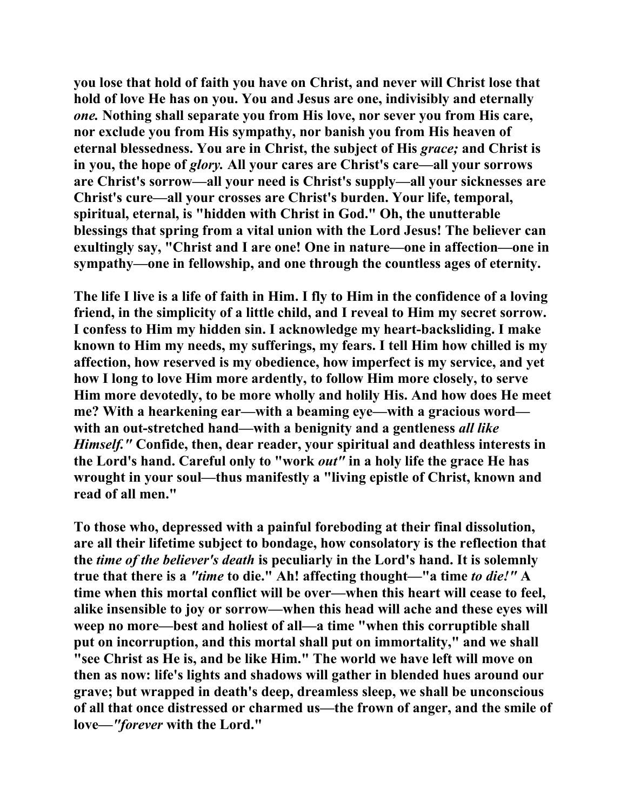**you lose that hold of faith you have on Christ, and never will Christ lose that hold of love He has on you. You and Jesus are one, indivisibly and eternally**  *one.* **Nothing shall separate you from His love, nor sever you from His care, nor exclude you from His sympathy, nor banish you from His heaven of eternal blessedness. You are in Christ, the subject of His** *grace;* **and Christ is in you, the hope of** *glory.* **All your cares are Christ's care—all your sorrows are Christ's sorrow—all your need is Christ's supply—all your sicknesses are Christ's cure—all your crosses are Christ's burden. Your life, temporal, spiritual, eternal, is "hidden with Christ in God." Oh, the unutterable blessings that spring from a vital union with the Lord Jesus! The believer can exultingly say, "Christ and I are one! One in nature—one in affection—one in sympathy—one in fellowship, and one through the countless ages of eternity.** 

**The life I live is a life of faith in Him. I fly to Him in the confidence of a loving friend, in the simplicity of a little child, and I reveal to Him my secret sorrow. I confess to Him my hidden sin. I acknowledge my heart-backsliding. I make known to Him my needs, my sufferings, my fears. I tell Him how chilled is my affection, how reserved is my obedience, how imperfect is my service, and yet how I long to love Him more ardently, to follow Him more closely, to serve Him more devotedly, to be more wholly and holily His. And how does He meet me? With a hearkening ear—with a beaming eye—with a gracious word with an out-stretched hand—with a benignity and a gentleness** *all like Himself."* **Confide, then, dear reader, your spiritual and deathless interests in the Lord's hand. Careful only to "work** *out"* **in a holy life the grace He has wrought in your soul—thus manifestly a "living epistle of Christ, known and read of all men."** 

**To those who, depressed with a painful foreboding at their final dissolution, are all their lifetime subject to bondage, how consolatory is the reflection that the** *time of the believer's death* **is peculiarly in the Lord's hand. It is solemnly true that there is a** *"time* **to die." Ah! affecting thought—"a time** *to die!"* **A time when this mortal conflict will be over—when this heart will cease to feel, alike insensible to joy or sorrow—when this head will ache and these eyes will weep no more—best and holiest of all—a time "when this corruptible shall put on incorruption, and this mortal shall put on immortality," and we shall "see Christ as He is, and be like Him." The world we have left will move on then as now: life's lights and shadows will gather in blended hues around our grave; but wrapped in death's deep, dreamless sleep, we shall be unconscious of all that once distressed or charmed us—the frown of anger, and the smile of love—***"forever* **with the Lord."**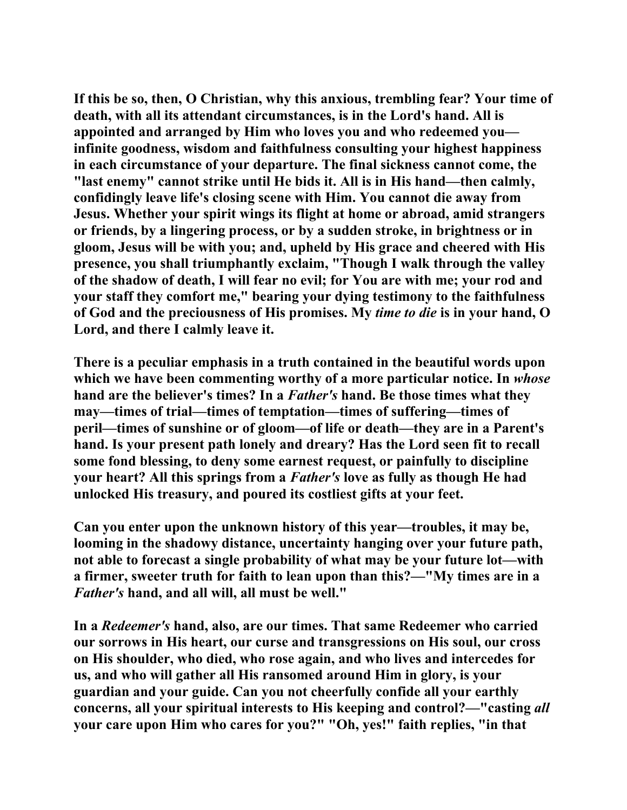**If this be so, then, O Christian, why this anxious, trembling fear? Your time of death, with all its attendant circumstances, is in the Lord's hand. All is appointed and arranged by Him who loves you and who redeemed you infinite goodness, wisdom and faithfulness consulting your highest happiness in each circumstance of your departure. The final sickness cannot come, the "last enemy" cannot strike until He bids it. All is in His hand—then calmly, confidingly leave life's closing scene with Him. You cannot die away from Jesus. Whether your spirit wings its flight at home or abroad, amid strangers or friends, by a lingering process, or by a sudden stroke, in brightness or in gloom, Jesus will be with you; and, upheld by His grace and cheered with His presence, you shall triumphantly exclaim, "Though I walk through the valley of the shadow of death, I will fear no evil; for You are with me; your rod and your staff they comfort me," bearing your dying testimony to the faithfulness of God and the preciousness of His promises. My** *time to die* **is in your hand, O Lord, and there I calmly leave it.** 

**There is a peculiar emphasis in a truth contained in the beautiful words upon which we have been commenting worthy of a more particular notice. In** *whose*  **hand are the believer's times? In a** *Father's* **hand. Be those times what they may—times of trial—times of temptation—times of suffering—times of peril—times of sunshine or of gloom—of life or death—they are in a Parent's hand. Is your present path lonely and dreary? Has the Lord seen fit to recall some fond blessing, to deny some earnest request, or painfully to discipline your heart? All this springs from a** *Father's* **love as fully as though He had unlocked His treasury, and poured its costliest gifts at your feet.** 

**Can you enter upon the unknown history of this year—troubles, it may be, looming in the shadowy distance, uncertainty hanging over your future path, not able to forecast a single probability of what may be your future lot—with a firmer, sweeter truth for faith to lean upon than this?—"My times are in a**  *Father's* **hand, and all will, all must be well."** 

**In a** *Redeemer's* **hand, also, are our times. That same Redeemer who carried our sorrows in His heart, our curse and transgressions on His soul, our cross on His shoulder, who died, who rose again, and who lives and intercedes for us, and who will gather all His ransomed around Him in glory, is your guardian and your guide. Can you not cheerfully confide all your earthly concerns, all your spiritual interests to His keeping and control?—"casting** *all* **your care upon Him who cares for you?" "Oh, yes!" faith replies, "in that**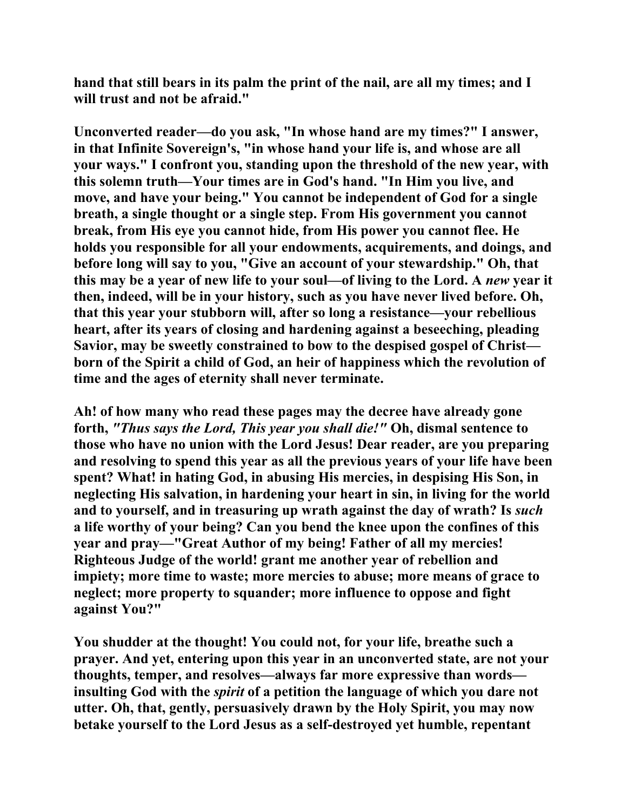**hand that still bears in its palm the print of the nail, are all my times; and I will trust and not be afraid."** 

**Unconverted reader—do you ask, "In whose hand are my times?" I answer, in that Infinite Sovereign's, "in whose hand your life is, and whose are all your ways." I confront you, standing upon the threshold of the new year, with this solemn truth—Your times are in God's hand. "In Him you live, and move, and have your being." You cannot be independent of God for a single breath, a single thought or a single step. From His government you cannot break, from His eye you cannot hide, from His power you cannot flee. He holds you responsible for all your endowments, acquirements, and doings, and before long will say to you, "Give an account of your stewardship." Oh, that this may be a year of new life to your soul—of living to the Lord. A** *new* **year it then, indeed, will be in your history, such as you have never lived before. Oh, that this year your stubborn will, after so long a resistance—your rebellious heart, after its years of closing and hardening against a beseeching, pleading Savior, may be sweetly constrained to bow to the despised gospel of Christ born of the Spirit a child of God, an heir of happiness which the revolution of time and the ages of eternity shall never terminate.** 

**Ah! of how many who read these pages may the decree have already gone forth,** *"Thus says the Lord, This year you shall die!"* **Oh, dismal sentence to those who have no union with the Lord Jesus! Dear reader, are you preparing and resolving to spend this year as all the previous years of your life have been spent? What! in hating God, in abusing His mercies, in despising His Son, in neglecting His salvation, in hardening your heart in sin, in living for the world and to yourself, and in treasuring up wrath against the day of wrath? Is** *such*  **a life worthy of your being? Can you bend the knee upon the confines of this year and pray—"Great Author of my being! Father of all my mercies! Righteous Judge of the world! grant me another year of rebellion and impiety; more time to waste; more mercies to abuse; more means of grace to neglect; more property to squander; more influence to oppose and fight against You?"** 

**You shudder at the thought! You could not, for your life, breathe such a prayer. And yet, entering upon this year in an unconverted state, are not your thoughts, temper, and resolves—always far more expressive than words insulting God with the** *spirit* **of a petition the language of which you dare not utter. Oh, that, gently, persuasively drawn by the Holy Spirit, you may now betake yourself to the Lord Jesus as a self-destroyed yet humble, repentant**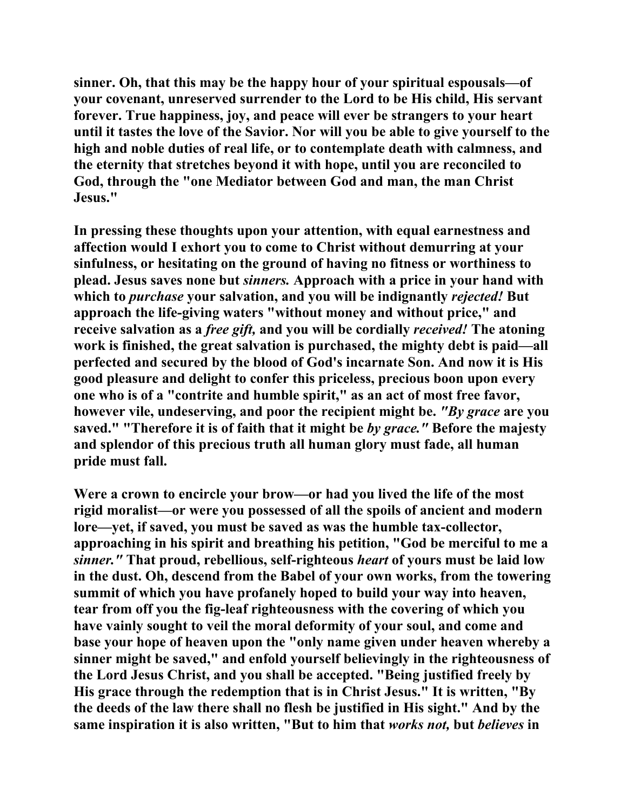**sinner. Oh, that this may be the happy hour of your spiritual espousals—of your covenant, unreserved surrender to the Lord to be His child, His servant forever. True happiness, joy, and peace will ever be strangers to your heart until it tastes the love of the Savior. Nor will you be able to give yourself to the high and noble duties of real life, or to contemplate death with calmness, and the eternity that stretches beyond it with hope, until you are reconciled to God, through the "one Mediator between God and man, the man Christ Jesus."** 

**In pressing these thoughts upon your attention, with equal earnestness and affection would I exhort you to come to Christ without demurring at your sinfulness, or hesitating on the ground of having no fitness or worthiness to plead. Jesus saves none but** *sinners.* **Approach with a price in your hand with which to** *purchase* **your salvation, and you will be indignantly** *rejected!* **But approach the life-giving waters "without money and without price," and receive salvation as a** *free gift,* **and you will be cordially** *received!* **The atoning work is finished, the great salvation is purchased, the mighty debt is paid—all perfected and secured by the blood of God's incarnate Son. And now it is His good pleasure and delight to confer this priceless, precious boon upon every one who is of a "contrite and humble spirit," as an act of most free favor, however vile, undeserving, and poor the recipient might be.** *"By grace* **are you saved." "Therefore it is of faith that it might be** *by grace."* **Before the majesty and splendor of this precious truth all human glory must fade, all human pride must fall.** 

**Were a crown to encircle your brow—or had you lived the life of the most rigid moralist—or were you possessed of all the spoils of ancient and modern lore—yet, if saved, you must be saved as was the humble tax-collector, approaching in his spirit and breathing his petition, "God be merciful to me a** *sinner."* **That proud, rebellious, self-righteous** *heart* **of yours must be laid low in the dust. Oh, descend from the Babel of your own works, from the towering summit of which you have profanely hoped to build your way into heaven, tear from off you the fig-leaf righteousness with the covering of which you have vainly sought to veil the moral deformity of your soul, and come and base your hope of heaven upon the "only name given under heaven whereby a sinner might be saved," and enfold yourself believingly in the righteousness of the Lord Jesus Christ, and you shall be accepted. "Being justified freely by His grace through the redemption that is in Christ Jesus." It is written, "By the deeds of the law there shall no flesh be justified in His sight." And by the same inspiration it is also written, "But to him that** *works not,* **but** *believes* **in**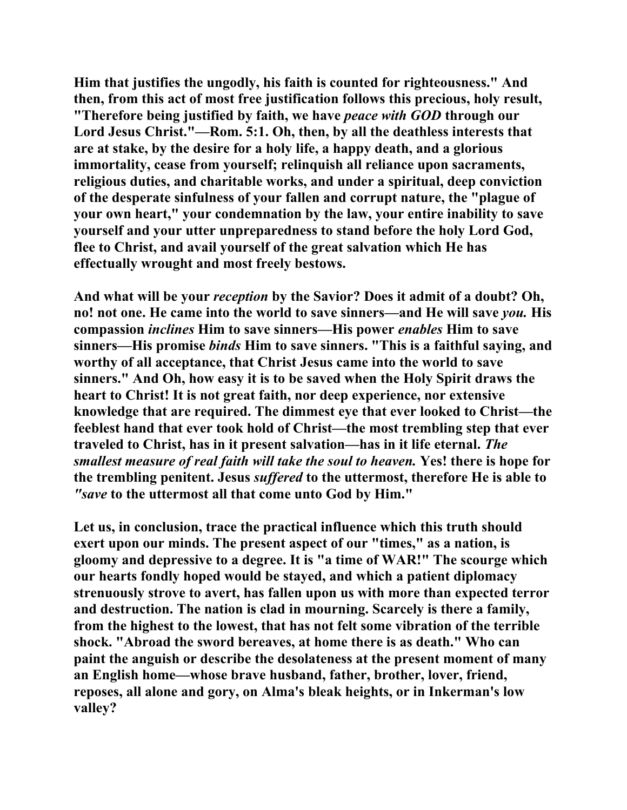**Him that justifies the ungodly, his faith is counted for righteousness." And then, from this act of most free justification follows this precious, holy result, "Therefore being justified by faith, we have** *peace with GOD* **through our Lord Jesus Christ."—Rom. 5:1. Oh, then, by all the deathless interests that are at stake, by the desire for a holy life, a happy death, and a glorious immortality, cease from yourself; relinquish all reliance upon sacraments, religious duties, and charitable works, and under a spiritual, deep conviction of the desperate sinfulness of your fallen and corrupt nature, the "plague of your own heart," your condemnation by the law, your entire inability to save yourself and your utter unpreparedness to stand before the holy Lord God, flee to Christ, and avail yourself of the great salvation which He has effectually wrought and most freely bestows.** 

**And what will be your** *reception* **by the Savior? Does it admit of a doubt? Oh, no! not one. He came into the world to save sinners—and He will save** *you.* **His compassion** *inclines* **Him to save sinners—His power** *enables* **Him to save sinners—His promise** *binds* **Him to save sinners. "This is a faithful saying, and worthy of all acceptance, that Christ Jesus came into the world to save sinners." And Oh, how easy it is to be saved when the Holy Spirit draws the heart to Christ! It is not great faith, nor deep experience, nor extensive knowledge that are required. The dimmest eye that ever looked to Christ—the feeblest hand that ever took hold of Christ—the most trembling step that ever traveled to Christ, has in it present salvation—has in it life eternal.** *The smallest measure of real faith will take the soul to heaven.* **Yes! there is hope for the trembling penitent. Jesus** *suffered* **to the uttermost, therefore He is able to**  *"save* **to the uttermost all that come unto God by Him."** 

**Let us, in conclusion, trace the practical influence which this truth should exert upon our minds. The present aspect of our "times," as a nation, is gloomy and depressive to a degree. It is "a time of WAR!" The scourge which our hearts fondly hoped would be stayed, and which a patient diplomacy strenuously strove to avert, has fallen upon us with more than expected terror and destruction. The nation is clad in mourning. Scarcely is there a family, from the highest to the lowest, that has not felt some vibration of the terrible shock. "Abroad the sword bereaves, at home there is as death." Who can paint the anguish or describe the desolateness at the present moment of many an English home—whose brave husband, father, brother, lover, friend, reposes, all alone and gory, on Alma's bleak heights, or in Inkerman's low valley?**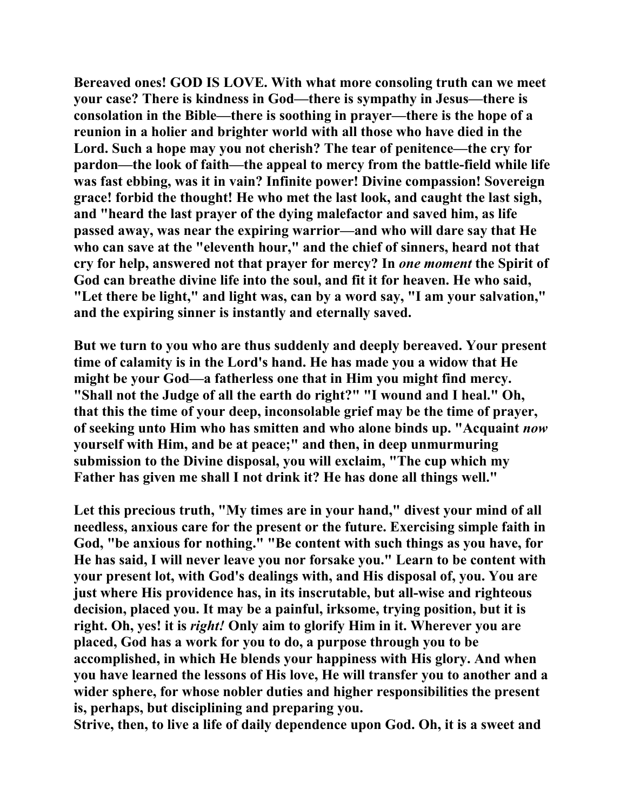**Bereaved ones! GOD IS LOVE. With what more consoling truth can we meet your case? There is kindness in God—there is sympathy in Jesus—there is consolation in the Bible—there is soothing in prayer—there is the hope of a reunion in a holier and brighter world with all those who have died in the Lord. Such a hope may you not cherish? The tear of penitence—the cry for pardon—the look of faith—the appeal to mercy from the battle-field while life was fast ebbing, was it in vain? Infinite power! Divine compassion! Sovereign grace! forbid the thought! He who met the last look, and caught the last sigh, and "heard the last prayer of the dying malefactor and saved him, as life passed away, was near the expiring warrior—and who will dare say that He who can save at the "eleventh hour," and the chief of sinners, heard not that cry for help, answered not that prayer for mercy? In** *one moment* **the Spirit of God can breathe divine life into the soul, and fit it for heaven. He who said, "Let there be light," and light was, can by a word say, "I am your salvation," and the expiring sinner is instantly and eternally saved.** 

**But we turn to you who are thus suddenly and deeply bereaved. Your present time of calamity is in the Lord's hand. He has made you a widow that He might be your God—a fatherless one that in Him you might find mercy. "Shall not the Judge of all the earth do right?" "I wound and I heal." Oh, that this the time of your deep, inconsolable grief may be the time of prayer, of seeking unto Him who has smitten and who alone binds up. "Acquaint** *now*  **yourself with Him, and be at peace;" and then, in deep unmurmuring submission to the Divine disposal, you will exclaim, "The cup which my Father has given me shall I not drink it? He has done all things well."** 

**Let this precious truth, "My times are in your hand," divest your mind of all needless, anxious care for the present or the future. Exercising simple faith in God, "be anxious for nothing." "Be content with such things as you have, for He has said, I will never leave you nor forsake you." Learn to be content with your present lot, with God's dealings with, and His disposal of, you. You are just where His providence has, in its inscrutable, but all-wise and righteous decision, placed you. It may be a painful, irksome, trying position, but it is right. Oh, yes! it is** *right!* **Only aim to glorify Him in it. Wherever you are placed, God has a work for you to do, a purpose through you to be accomplished, in which He blends your happiness with His glory. And when you have learned the lessons of His love, He will transfer you to another and a wider sphere, for whose nobler duties and higher responsibilities the present is, perhaps, but disciplining and preparing you.** 

**Strive, then, to live a life of daily dependence upon God. Oh, it is a sweet and**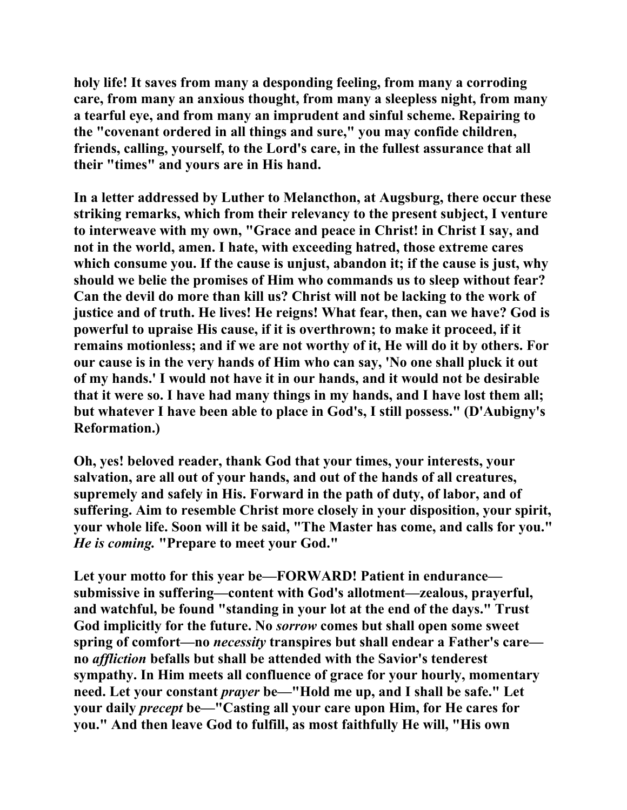**holy life! It saves from many a desponding feeling, from many a corroding care, from many an anxious thought, from many a sleepless night, from many a tearful eye, and from many an imprudent and sinful scheme. Repairing to the "covenant ordered in all things and sure," you may confide children, friends, calling, yourself, to the Lord's care, in the fullest assurance that all their "times" and yours are in His hand.** 

**In a letter addressed by Luther to Melancthon, at Augsburg, there occur these striking remarks, which from their relevancy to the present subject, I venture to interweave with my own, "Grace and peace in Christ! in Christ I say, and not in the world, amen. I hate, with exceeding hatred, those extreme cares which consume you. If the cause is unjust, abandon it; if the cause is just, why should we belie the promises of Him who commands us to sleep without fear? Can the devil do more than kill us? Christ will not be lacking to the work of justice and of truth. He lives! He reigns! What fear, then, can we have? God is powerful to upraise His cause, if it is overthrown; to make it proceed, if it remains motionless; and if we are not worthy of it, He will do it by others. For our cause is in the very hands of Him who can say, 'No one shall pluck it out of my hands.' I would not have it in our hands, and it would not be desirable that it were so. I have had many things in my hands, and I have lost them all; but whatever I have been able to place in God's, I still possess." (D'Aubigny's Reformation.)** 

**Oh, yes! beloved reader, thank God that your times, your interests, your salvation, are all out of your hands, and out of the hands of all creatures, supremely and safely in His. Forward in the path of duty, of labor, and of suffering. Aim to resemble Christ more closely in your disposition, your spirit, your whole life. Soon will it be said, "The Master has come, and calls for you."** *He is coming.* **"Prepare to meet your God."** 

**Let your motto for this year be—FORWARD! Patient in endurance submissive in suffering—content with God's allotment—zealous, prayerful, and watchful, be found "standing in your lot at the end of the days." Trust God implicitly for the future. No** *sorrow* **comes but shall open some sweet spring of comfort—no** *necessity* **transpires but shall endear a Father's care no** *affliction* **befalls but shall be attended with the Savior's tenderest sympathy. In Him meets all confluence of grace for your hourly, momentary need. Let your constant** *prayer* **be—"Hold me up, and I shall be safe." Let your daily** *precept* **be—"Casting all your care upon Him, for He cares for you." And then leave God to fulfill, as most faithfully He will, "His own**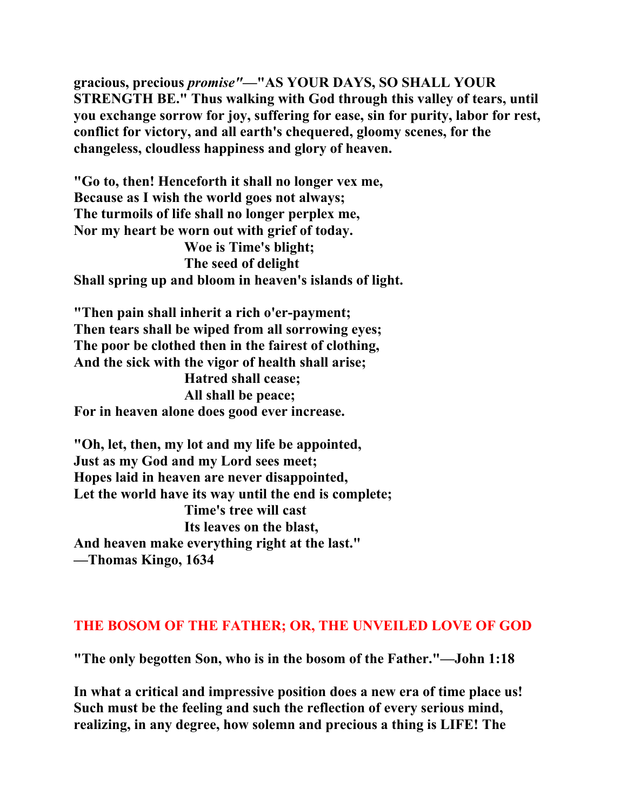**gracious, precious** *promise"***—"AS YOUR DAYS, SO SHALL YOUR STRENGTH BE." Thus walking with God through this valley of tears, until you exchange sorrow for joy, suffering for ease, sin for purity, labor for rest, conflict for victory, and all earth's chequered, gloomy scenes, for the changeless, cloudless happiness and glory of heaven.** 

**"Go to, then! Henceforth it shall no longer vex me, Because as I wish the world goes not always; The turmoils of life shall no longer perplex me, Nor my heart be worn out with grief of today. Woe is Time's blight; The seed of delight Shall spring up and bloom in heaven's islands of light.** 

**"Then pain shall inherit a rich o'er-payment; Then tears shall be wiped from all sorrowing eyes; The poor be clothed then in the fairest of clothing, And the sick with the vigor of health shall arise; Hatred shall cease; All shall be peace; For in heaven alone does good ever increase.** 

**"Oh, let, then, my lot and my life be appointed, Just as my God and my Lord sees meet; Hopes laid in heaven are never disappointed, Let the world have its way until the end is complete; Time's tree will cast Its leaves on the blast, And heaven make everything right at the last." —Thomas Kingo, 1634** 

## **THE BOSOM OF THE FATHER; OR, THE UNVEILED LOVE OF GOD**

**"The only begotten Son, who is in the bosom of the Father."—John 1:18** 

**In what a critical and impressive position does a new era of time place us! Such must be the feeling and such the reflection of every serious mind, realizing, in any degree, how solemn and precious a thing is LIFE! The**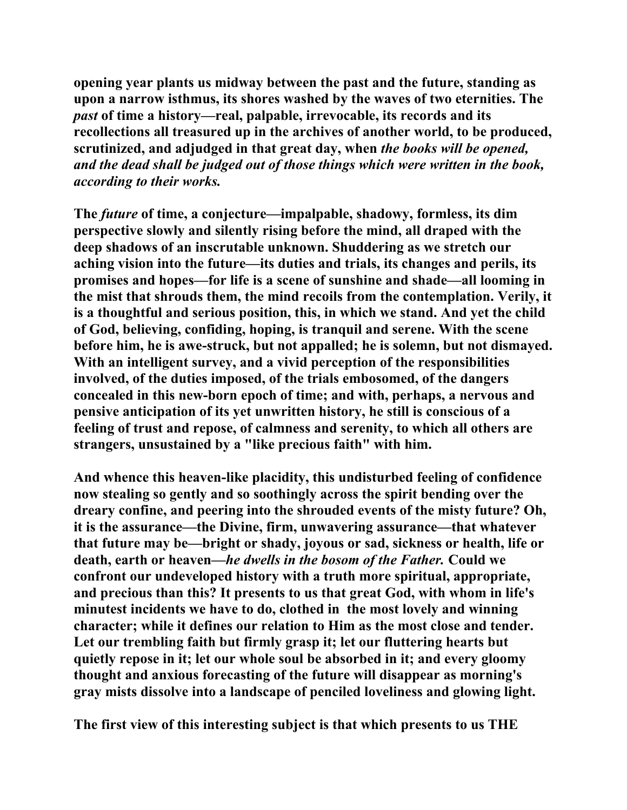**opening year plants us midway between the past and the future, standing as upon a narrow isthmus, its shores washed by the waves of two eternities. The**  *past* **of time a history—real, palpable, irrevocable, its records and its recollections all treasured up in the archives of another world, to be produced, scrutinized, and adjudged in that great day, when** *the books will be opened, and the dead shall be judged out of those things which were written in the book, according to their works.* 

**The** *future* **of time, a conjecture—impalpable, shadowy, formless, its dim perspective slowly and silently rising before the mind, all draped with the deep shadows of an inscrutable unknown. Shuddering as we stretch our aching vision into the future—its duties and trials, its changes and perils, its promises and hopes—for life is a scene of sunshine and shade—all looming in the mist that shrouds them, the mind recoils from the contemplation. Verily, it is a thoughtful and serious position, this, in which we stand. And yet the child of God, believing, confiding, hoping, is tranquil and serene. With the scene before him, he is awe-struck, but not appalled; he is solemn, but not dismayed. With an intelligent survey, and a vivid perception of the responsibilities involved, of the duties imposed, of the trials embosomed, of the dangers concealed in this new-born epoch of time; and with, perhaps, a nervous and pensive anticipation of its yet unwritten history, he still is conscious of a feeling of trust and repose, of calmness and serenity, to which all others are strangers, unsustained by a "like precious faith" with him.** 

**And whence this heaven-like placidity, this undisturbed feeling of confidence now stealing so gently and so soothingly across the spirit bending over the dreary confine, and peering into the shrouded events of the misty future? Oh, it is the assurance—the Divine, firm, unwavering assurance—that whatever that future may be—bright or shady, joyous or sad, sickness or health, life or death, earth or heaven—***he dwells in the bosom of the Father.* **Could we confront our undeveloped history with a truth more spiritual, appropriate, and precious than this? It presents to us that great God, with whom in life's minutest incidents we have to do, clothed in the most lovely and winning character; while it defines our relation to Him as the most close and tender. Let our trembling faith but firmly grasp it; let our fluttering hearts but quietly repose in it; let our whole soul be absorbed in it; and every gloomy thought and anxious forecasting of the future will disappear as morning's gray mists dissolve into a landscape of penciled loveliness and glowing light.** 

**The first view of this interesting subject is that which presents to us THE**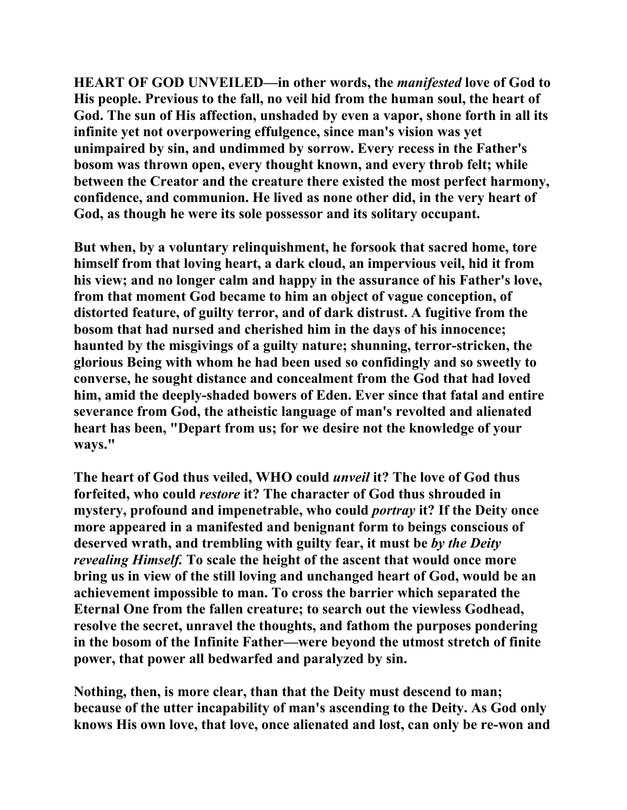**HEART OF GOD UNVEILED***—***in other words, the** *manifested* **love of God to His people. Previous to the fall, no veil hid from the human soul, the heart of God. The sun of His affection, unshaded by even a vapor, shone forth in all its infinite yet not overpowering effulgence, since man's vision was yet unimpaired by sin, and undimmed by sorrow. Every recess in the Father's bosom was thrown open, every thought known, and every throb felt; while between the Creator and the creature there existed the most perfect harmony, confidence, and communion. He lived as none other did, in the very heart of God, as though he were its sole possessor and its solitary occupant.** 

**But when, by a voluntary relinquishment, he forsook that sacred home, tore himself from that loving heart, a dark cloud, an impervious veil, hid it from his view; and no longer calm and happy in the assurance of his Father's love, from that moment God became to him an object of vague conception, of distorted feature, of guilty terror, and of dark distrust. A fugitive from the bosom that had nursed and cherished him in the days of his innocence; haunted by the misgivings of a guilty nature; shunning, terror-stricken, the glorious Being with whom he had been used so confidingly and so sweetly to converse, he sought distance and concealment from the God that had loved him, amid the deeply-shaded bowers of Eden. Ever since that fatal and entire severance from God, the atheistic language of man's revolted and alienated heart has been, "Depart from us; for we desire not the knowledge of your ways."** 

**The heart of God thus veiled, WHO could** *unveil* **it? The love of God thus forfeited, who could** *restore* **it? The character of God thus shrouded in mystery, profound and impenetrable, who could** *portray* **it? If the Deity once more appeared in a manifested and benignant form to beings conscious of deserved wrath, and trembling with guilty fear, it must be** *by the Deity revealing Himself.* **To scale the height of the ascent that would once more bring us in view of the still loving and unchanged heart of God, would be an achievement impossible to man. To cross the barrier which separated the Eternal One from the fallen creature; to search out the viewless Godhead, resolve the secret, unravel the thoughts, and fathom the purposes pondering in the bosom of the Infinite Father—were beyond the utmost stretch of finite power, that power all bedwarfed and paralyzed by sin.** 

**Nothing, then, is more clear, than that the Deity must descend to man; because of the utter incapability of man's ascending to the Deity. As God only knows His own love, that love, once alienated and lost, can only be re-won and**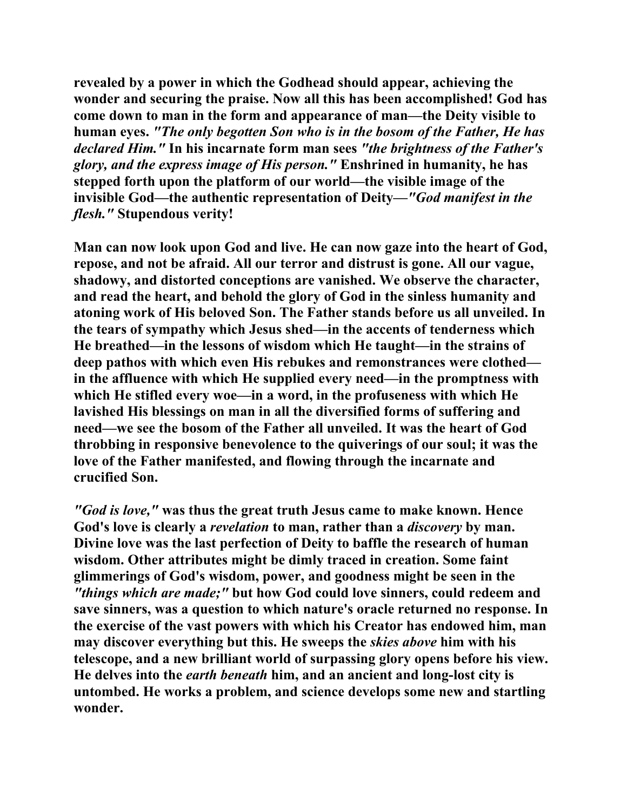**revealed by a power in which the Godhead should appear, achieving the wonder and securing the praise. Now all this has been accomplished! God has come down to man in the form and appearance of man—the Deity visible to human eyes.** *"The only begotten Son who is in the bosom of the Father, He has declared Him."* **In his incarnate form man sees** *"the brightness of the Father's glory, and the express image of His person."* **Enshrined in humanity, he has stepped forth upon the platform of our world—the visible image of the invisible God—the authentic representation of Deity***—"God manifest in the flesh."* **Stupendous verity!** 

**Man can now look upon God and live. He can now gaze into the heart of God, repose, and not be afraid. All our terror and distrust is gone. All our vague, shadowy, and distorted conceptions are vanished. We observe the character, and read the heart, and behold the glory of God in the sinless humanity and atoning work of His beloved Son. The Father stands before us all unveiled. In the tears of sympathy which Jesus shed—in the accents of tenderness which He breathed—in the lessons of wisdom which He taught—in the strains of deep pathos with which even His rebukes and remonstrances were clothed in the affluence with which He supplied every need—in the promptness with which He stifled every woe—in a word, in the profuseness with which He lavished His blessings on man in all the diversified forms of suffering and need—we see the bosom of the Father all unveiled. It was the heart of God throbbing in responsive benevolence to the quiverings of our soul; it was the love of the Father manifested, and flowing through the incarnate and crucified Son.** 

*"God is love,"* **was thus the great truth Jesus came to make known. Hence God's love is clearly a** *revelation* **to man, rather than a** *discovery* **by man. Divine love was the last perfection of Deity to baffle the research of human wisdom. Other attributes might be dimly traced in creation. Some faint glimmerings of God's wisdom, power, and goodness might be seen in the**  *"things which are made;"* **but how God could love sinners, could redeem and save sinners, was a question to which nature's oracle returned no response. In the exercise of the vast powers with which his Creator has endowed him, man may discover everything but this. He sweeps the** *skies above* **him with his telescope, and a new brilliant world of surpassing glory opens before his view. He delves into the** *earth beneath* **him, and an ancient and long-lost city is untombed. He works a problem, and science develops some new and startling wonder.**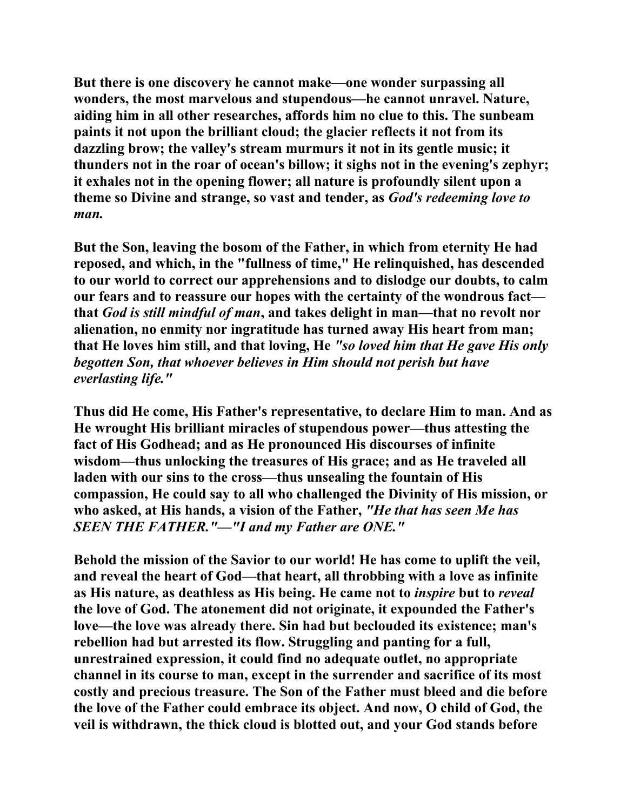**But there is one discovery he cannot make—one wonder surpassing all wonders, the most marvelous and stupendous—he cannot unravel. Nature, aiding him in all other researches, affords him no clue to this. The sunbeam paints it not upon the brilliant cloud; the glacier reflects it not from its dazzling brow; the valley's stream murmurs it not in its gentle music; it thunders not in the roar of ocean's billow; it sighs not in the evening's zephyr; it exhales not in the opening flower; all nature is profoundly silent upon a theme so Divine and strange, so vast and tender, as** *God's redeeming love to man.*

**But the Son, leaving the bosom of the Father, in which from eternity He had reposed, and which, in the "fullness of time," He relinquished, has descended to our world to correct our apprehensions and to dislodge our doubts, to calm our fears and to reassure our hopes with the certainty of the wondrous fact that** *God is still mindful of man***, and takes delight in man—that no revolt nor alienation, no enmity nor ingratitude has turned away His heart from man; that He loves him still, and that loving, He** *"so loved him that He gave His only begotten Son, that whoever believes in Him should not perish but have everlasting life."* 

**Thus did He come, His Father's representative, to declare Him to man. And as He wrought His brilliant miracles of stupendous power—thus attesting the fact of His Godhead; and as He pronounced His discourses of infinite wisdom—thus unlocking the treasures of His grace; and as He traveled all laden with our sins to the cross—thus unsealing the fountain of His compassion, He could say to all who challenged the Divinity of His mission, or who asked, at His hands, a vision of the Father,** *"He that has seen Me has SEEN THE FATHER."—"I and my Father are ONE."*

**Behold the mission of the Savior to our world! He has come to uplift the veil, and reveal the heart of God—that heart, all throbbing with a love as infinite as His nature, as deathless as His being. He came not to** *inspire* **but to** *reveal*  **the love of God. The atonement did not originate, it expounded the Father's love—the love was already there. Sin had but beclouded its existence; man's rebellion had but arrested its flow. Struggling and panting for a full, unrestrained expression, it could find no adequate outlet, no appropriate channel in its course to man, except in the surrender and sacrifice of its most costly and precious treasure. The Son of the Father must bleed and die before the love of the Father could embrace its object. And now, O child of God, the veil is withdrawn, the thick cloud is blotted out, and your God stands before**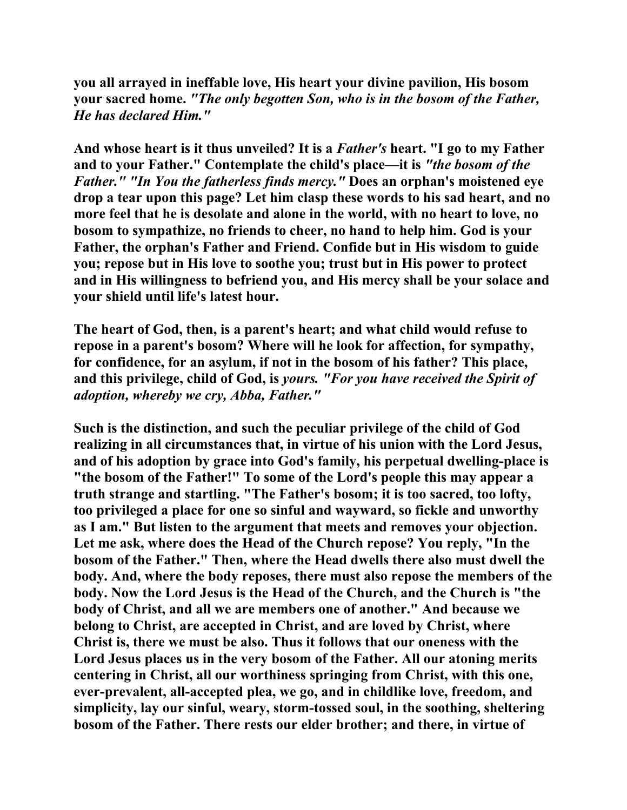**you all arrayed in ineffable love, His heart your divine pavilion, His bosom your sacred home.** *"The only begotten Son, who is in the bosom of the Father, He has declared Him."*

**And whose heart is it thus unveiled? It is a** *Father's* **heart. "I go to my Father and to your Father." Contemplate the child's place—it is** *"the bosom of the Father." "In You the fatherless finds mercy."* **Does an orphan's moistened eye drop a tear upon this page? Let him clasp these words to his sad heart, and no more feel that he is desolate and alone in the world, with no heart to love, no bosom to sympathize, no friends to cheer, no hand to help him. God is your Father, the orphan's Father and Friend. Confide but in His wisdom to guide you; repose but in His love to soothe you; trust but in His power to protect and in His willingness to befriend you, and His mercy shall be your solace and your shield until life's latest hour.** 

**The heart of God, then, is a parent's heart; and what child would refuse to repose in a parent's bosom? Where will he look for affection, for sympathy, for confidence, for an asylum, if not in the bosom of his father? This place, and this privilege, child of God, is** *yours. "For you have received the Spirit of adoption, whereby we cry, Abba, Father."* 

**Such is the distinction, and such the peculiar privilege of the child of God realizing in all circumstances that, in virtue of his union with the Lord Jesus, and of his adoption by grace into God's family, his perpetual dwelling-place is "the bosom of the Father!" To some of the Lord's people this may appear a truth strange and startling. "The Father's bosom; it is too sacred, too lofty, too privileged a place for one so sinful and wayward, so fickle and unworthy as I am." But listen to the argument that meets and removes your objection. Let me ask, where does the Head of the Church repose? You reply, "In the bosom of the Father." Then, where the Head dwells there also must dwell the body. And, where the body reposes, there must also repose the members of the body. Now the Lord Jesus is the Head of the Church, and the Church is "the body of Christ, and all we are members one of another." And because we belong to Christ, are accepted in Christ, and are loved by Christ, where Christ is, there we must be also. Thus it follows that our oneness with the Lord Jesus places us in the very bosom of the Father. All our atoning merits centering in Christ, all our worthiness springing from Christ, with this one, ever-prevalent, all-accepted plea, we go, and in childlike love, freedom, and simplicity, lay our sinful, weary, storm-tossed soul, in the soothing, sheltering bosom of the Father. There rests our elder brother; and there, in virtue of**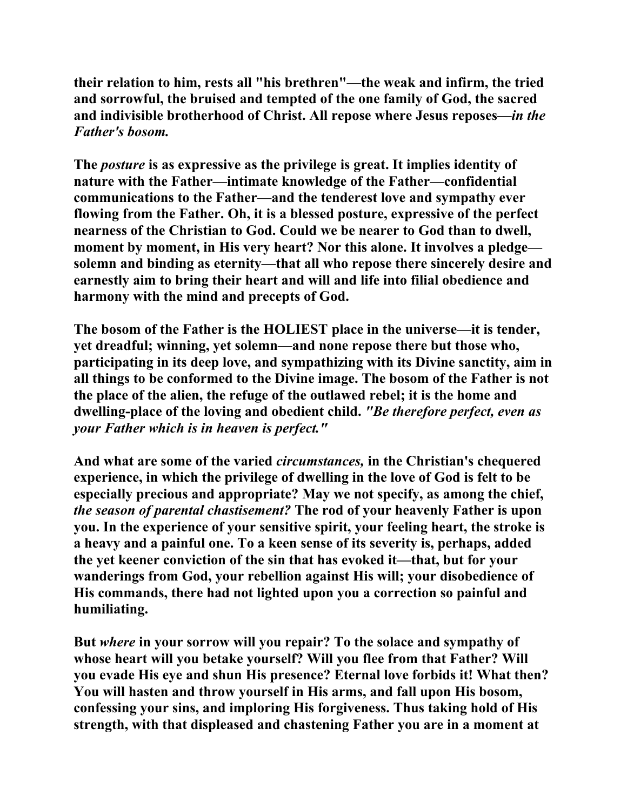**their relation to him, rests all "his brethren"—the weak and infirm, the tried and sorrowful, the bruised and tempted of the one family of God, the sacred and indivisible brotherhood of Christ. All repose where Jesus reposes—***in the Father's bosom.*

**The** *posture* **is as expressive as the privilege is great. It implies identity of nature with the Father—intimate knowledge of the Father—confidential communications to the Father—and the tenderest love and sympathy ever flowing from the Father. Oh, it is a blessed posture, expressive of the perfect nearness of the Christian to God. Could we be nearer to God than to dwell, moment by moment, in His very heart? Nor this alone. It involves a pledge solemn and binding as eternity—that all who repose there sincerely desire and earnestly aim to bring their heart and will and life into filial obedience and harmony with the mind and precepts of God.** 

**The bosom of the Father is the HOLIEST place in the universe—it is tender, yet dreadful; winning, yet solemn—and none repose there but those who, participating in its deep love, and sympathizing with its Divine sanctity, aim in all things to be conformed to the Divine image. The bosom of the Father is not the place of the alien, the refuge of the outlawed rebel; it is the home and dwelling-place of the loving and obedient child.** *"Be therefore perfect, even as your Father which is in heaven is perfect."*

**And what are some of the varied** *circumstances,* **in the Christian's chequered experience, in which the privilege of dwelling in the love of God is felt to be especially precious and appropriate? May we not specify, as among the chief,** *the season of parental chastisement?* **The rod of your heavenly Father is upon you. In the experience of your sensitive spirit, your feeling heart, the stroke is a heavy and a painful one. To a keen sense of its severity is, perhaps, added the yet keener conviction of the sin that has evoked it—that, but for your wanderings from God, your rebellion against His will; your disobedience of His commands, there had not lighted upon you a correction so painful and humiliating.** 

**But** *where* **in your sorrow will you repair? To the solace and sympathy of whose heart will you betake yourself? Will you flee from that Father? Will you evade His eye and shun His presence? Eternal love forbids it! What then? You will hasten and throw yourself in His arms, and fall upon His bosom, confessing your sins, and imploring His forgiveness. Thus taking hold of His strength, with that displeased and chastening Father you are in a moment at**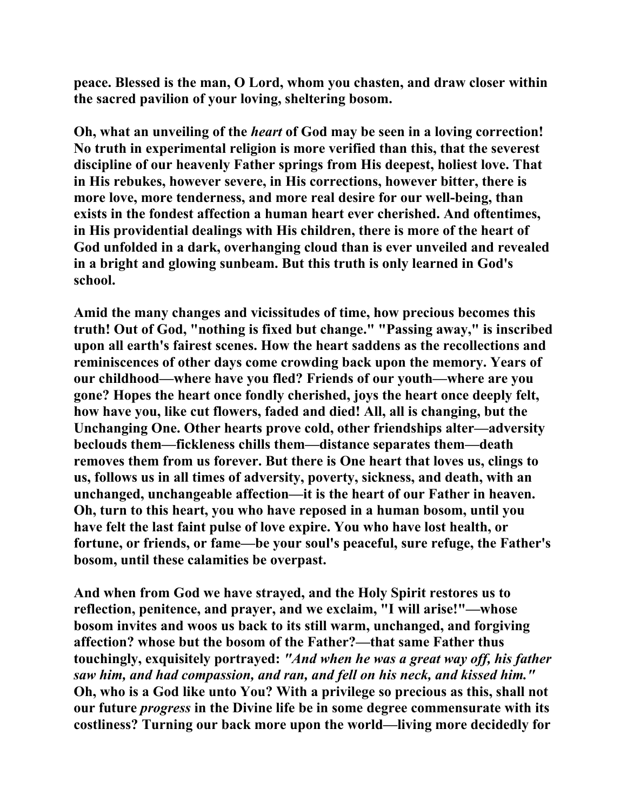**peace. Blessed is the man, O Lord, whom you chasten, and draw closer within the sacred pavilion of your loving, sheltering bosom.** 

**Oh, what an unveiling of the** *heart* **of God may be seen in a loving correction! No truth in experimental religion is more verified than this, that the severest discipline of our heavenly Father springs from His deepest, holiest love. That in His rebukes, however severe, in His corrections, however bitter, there is more love, more tenderness, and more real desire for our well-being, than exists in the fondest affection a human heart ever cherished. And oftentimes, in His providential dealings with His children, there is more of the heart of God unfolded in a dark, overhanging cloud than is ever unveiled and revealed in a bright and glowing sunbeam. But this truth is only learned in God's school.** 

**Amid the many changes and vicissitudes of time, how precious becomes this truth! Out of God, "nothing is fixed but change." "Passing away," is inscribed upon all earth's fairest scenes. How the heart saddens as the recollections and reminiscences of other days come crowding back upon the memory. Years of our childhood—where have you fled? Friends of our youth—where are you gone? Hopes the heart once fondly cherished, joys the heart once deeply felt, how have you, like cut flowers, faded and died! All, all is changing, but the Unchanging One. Other hearts prove cold, other friendships alter—adversity beclouds them—fickleness chills them—distance separates them—death removes them from us forever. But there is One heart that loves us, clings to us, follows us in all times of adversity, poverty, sickness, and death, with an unchanged, unchangeable affection—it is the heart of our Father in heaven. Oh, turn to this heart, you who have reposed in a human bosom, until you have felt the last faint pulse of love expire. You who have lost health, or fortune, or friends, or fame—be your soul's peaceful, sure refuge, the Father's bosom, until these calamities be overpast.** 

**And when from God we have strayed, and the Holy Spirit restores us to reflection, penitence, and prayer, and we exclaim, "I will arise!"—whose bosom invites and woos us back to its still warm, unchanged, and forgiving affection? whose but the bosom of the Father?—that same Father thus touchingly, exquisitely portrayed:** *"And when he was a great way off, his father saw him, and had compassion, and ran, and fell on his neck, and kissed him."*  **Oh, who is a God like unto You? With a privilege so precious as this, shall not our future** *progress* **in the Divine life be in some degree commensurate with its costliness? Turning our back more upon the world—living more decidedly for**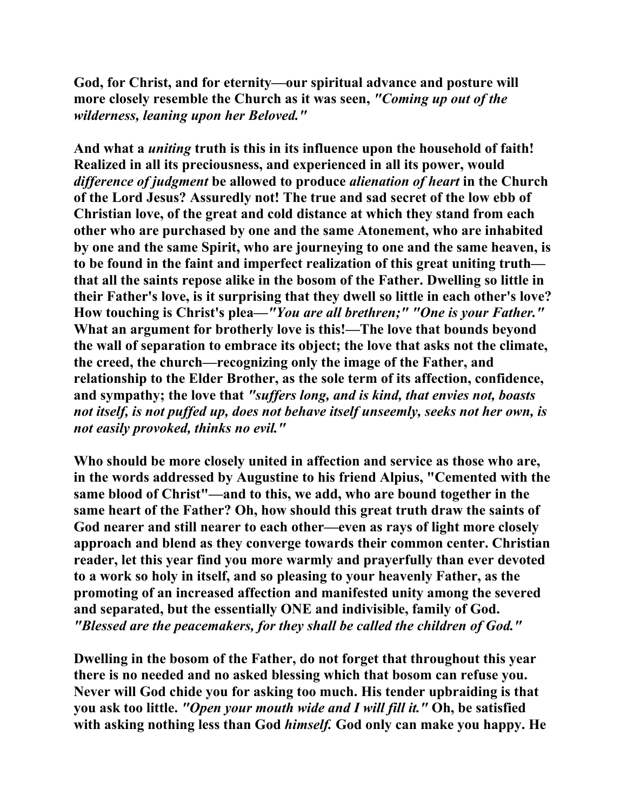**God, for Christ, and for eternity—our spiritual advance and posture will more closely resemble the Church as it was seen,** *"Coming up out of the wilderness, leaning upon her Beloved."*

**And what a** *uniting* **truth is this in its influence upon the household of faith! Realized in all its preciousness, and experienced in all its power, would**  *difference of judgment* **be allowed to produce** *alienation of heart* **in the Church of the Lord Jesus? Assuredly not! The true and sad secret of the low ebb of Christian love, of the great and cold distance at which they stand from each other who are purchased by one and the same Atonement, who are inhabited by one and the same Spirit, who are journeying to one and the same heaven, is to be found in the faint and imperfect realization of this great uniting truth that all the saints repose alike in the bosom of the Father. Dwelling so little in their Father's love, is it surprising that they dwell so little in each other's love? How touching is Christ's plea—***"You are all brethren;" "One is your Father."*  **What an argument for brotherly love is this!—The love that bounds beyond the wall of separation to embrace its object; the love that asks not the climate, the creed, the church—recognizing only the image of the Father, and relationship to the Elder Brother, as the sole term of its affection, confidence, and sympathy; the love that** *"suffers long, and is kind, that envies not, boasts not itself, is not puffed up, does not behave itself unseemly, seeks not her own, is not easily provoked, thinks no evil."*

**Who should be more closely united in affection and service as those who are, in the words addressed by Augustine to his friend Alpius, "Cemented with the same blood of Christ"—and to this, we add, who are bound together in the same heart of the Father? Oh, how should this great truth draw the saints of God nearer and still nearer to each other—even as rays of light more closely approach and blend as they converge towards their common center. Christian reader, let this year find you more warmly and prayerfully than ever devoted to a work so holy in itself, and so pleasing to your heavenly Father, as the promoting of an increased affection and manifested unity among the severed and separated, but the essentially ONE and indivisible, family of God.** *"Blessed are the peacemakers, for they shall be called the children of God."*

**Dwelling in the bosom of the Father, do not forget that throughout this year there is no needed and no asked blessing which that bosom can refuse you. Never will God chide you for asking too much. His tender upbraiding is that you ask too little.** *"Open your mouth wide and I will fill it."* **Oh, be satisfied with asking nothing less than God** *himself.* **God only can make you happy. He**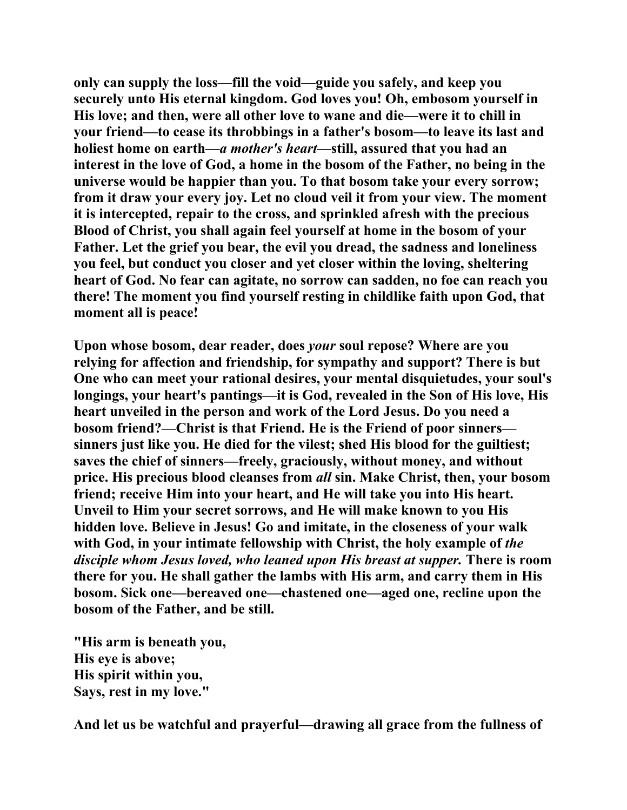**only can supply the loss—fill the void—guide you safely, and keep you securely unto His eternal kingdom. God loves you! Oh, embosom yourself in His love; and then, were all other love to wane and die—were it to chill in your friend—to cease its throbbings in a father's bosom—to leave its last and holiest home on earth—***a mother's heart***—still, assured that you had an interest in the love of God, a home in the bosom of the Father, no being in the universe would be happier than you. To that bosom take your every sorrow; from it draw your every joy. Let no cloud veil it from your view. The moment it is intercepted, repair to the cross, and sprinkled afresh with the precious Blood of Christ, you shall again feel yourself at home in the bosom of your Father. Let the grief you bear, the evil you dread, the sadness and loneliness you feel, but conduct you closer and yet closer within the loving, sheltering heart of God. No fear can agitate, no sorrow can sadden, no foe can reach you there! The moment you find yourself resting in childlike faith upon God, that moment all is peace!** 

**Upon whose bosom, dear reader, does** *your* **soul repose? Where are you relying for affection and friendship, for sympathy and support? There is but One who can meet your rational desires, your mental disquietudes, your soul's longings, your heart's pantings—it is God, revealed in the Son of His love, His heart unveiled in the person and work of the Lord Jesus. Do you need a bosom friend?—Christ is that Friend. He is the Friend of poor sinners sinners just like you. He died for the vilest; shed His blood for the guiltiest; saves the chief of sinners—freely, graciously, without money, and without price. His precious blood cleanses from** *all* **sin. Make Christ, then, your bosom friend; receive Him into your heart, and He will take you into His heart. Unveil to Him your secret sorrows, and He will make known to you His hidden love. Believe in Jesus! Go and imitate, in the closeness of your walk**  with God, in your intimate fellowship with Christ, the holy example of *the disciple whom Jesus loved, who leaned upon His breast at supper.* **There is room there for you. He shall gather the lambs with His arm, and carry them in His bosom. Sick one—bereaved one—chastened one—aged one, recline upon the bosom of the Father, and be still.** 

**"His arm is beneath you, His eye is above; His spirit within you, Says, rest in my love."** 

**And let us be watchful and prayerful—drawing all grace from the fullness of**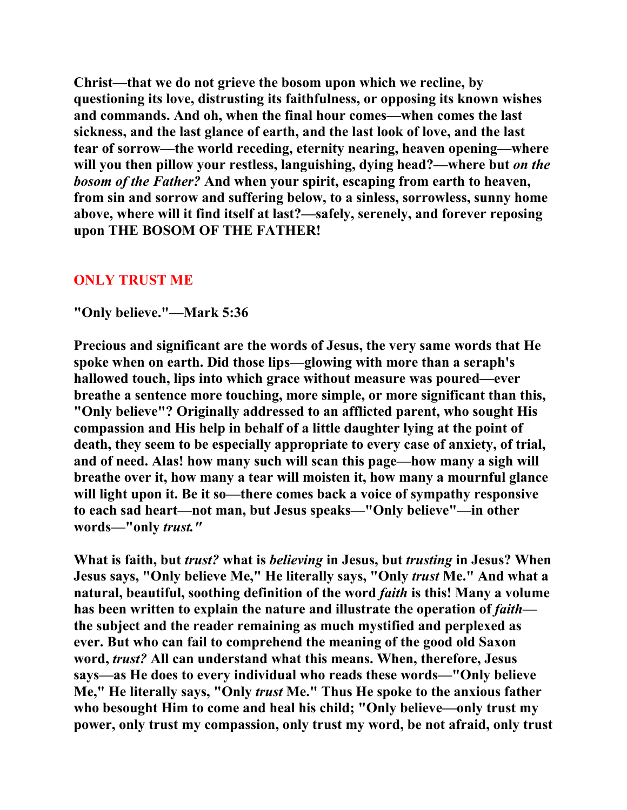**Christ—that we do not grieve the bosom upon which we recline, by questioning its love, distrusting its faithfulness, or opposing its known wishes and commands. And oh, when the final hour comes—when comes the last sickness, and the last glance of earth, and the last look of love, and the last tear of sorrow—the world receding, eternity nearing, heaven opening—where will you then pillow your restless, languishing, dying head?—where but** *on the bosom of the Father?* **And when your spirit, escaping from earth to heaven, from sin and sorrow and suffering below, to a sinless, sorrowless, sunny home above, where will it find itself at last?—safely, serenely, and forever reposing upon THE BOSOM OF THE FATHER!** 

## **ONLY TRUST ME**

## **"Only believe."—Mark 5:36**

**Precious and significant are the words of Jesus, the very same words that He spoke when on earth. Did those lips—glowing with more than a seraph's hallowed touch, lips into which grace without measure was poured—ever breathe a sentence more touching, more simple, or more significant than this, "Only believe"? Originally addressed to an afflicted parent, who sought His compassion and His help in behalf of a little daughter lying at the point of death, they seem to be especially appropriate to every case of anxiety, of trial, and of need. Alas! how many such will scan this page—how many a sigh will breathe over it, how many a tear will moisten it, how many a mournful glance will light upon it. Be it so—there comes back a voice of sympathy responsive to each sad heart—not man, but Jesus speaks—"Only believe"—in other words—"only** *trust."* 

**What is faith, but** *trust?* **what is** *believing* **in Jesus, but** *trusting* **in Jesus? When Jesus says, "Only believe Me," He literally says, "Only** *trust* **Me." And what a natural, beautiful, soothing definition of the word** *faith* **is this! Many a volume has been written to explain the nature and illustrate the operation of** *faith* **the subject and the reader remaining as much mystified and perplexed as ever. But who can fail to comprehend the meaning of the good old Saxon word,** *trust?* **All can understand what this means. When, therefore, Jesus says—as He does to every individual who reads these words—"Only believe Me," He literally says, "Only** *trust* **Me." Thus He spoke to the anxious father who besought Him to come and heal his child; "Only believe—only trust my power, only trust my compassion, only trust my word, be not afraid, only trust**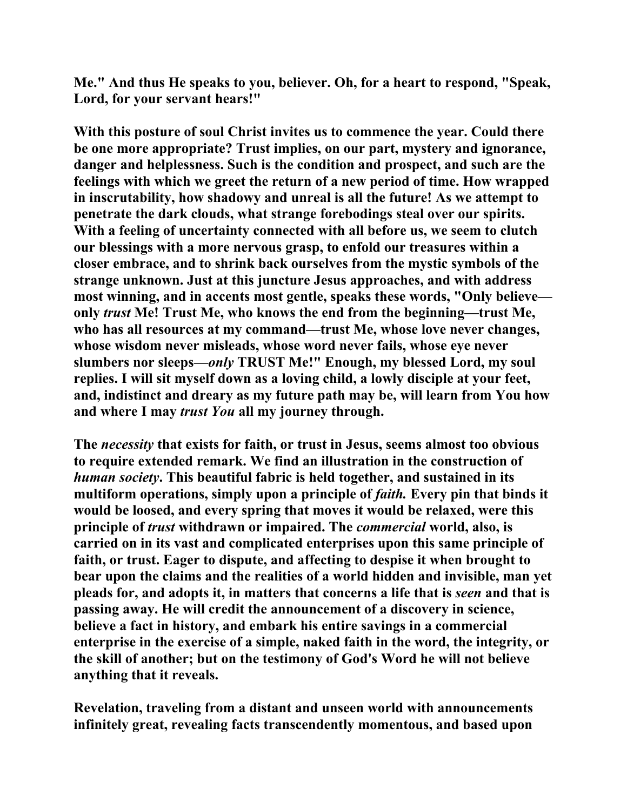**Me." And thus He speaks to you, believer. Oh, for a heart to respond, "Speak, Lord, for your servant hears!"** 

**With this posture of soul Christ invites us to commence the year. Could there be one more appropriate? Trust implies, on our part, mystery and ignorance, danger and helplessness. Such is the condition and prospect, and such are the feelings with which we greet the return of a new period of time. How wrapped in inscrutability, how shadowy and unreal is all the future! As we attempt to penetrate the dark clouds, what strange forebodings steal over our spirits. With a feeling of uncertainty connected with all before us, we seem to clutch our blessings with a more nervous grasp, to enfold our treasures within a closer embrace, and to shrink back ourselves from the mystic symbols of the strange unknown. Just at this juncture Jesus approaches, and with address most winning, and in accents most gentle, speaks these words, "Only believe only** *trust* **Me! Trust Me, who knows the end from the beginning—trust Me, who has all resources at my command—trust Me, whose love never changes, whose wisdom never misleads, whose word never fails, whose eye never slumbers nor sleeps—***only* **TRUST Me!" Enough, my blessed Lord, my soul replies. I will sit myself down as a loving child, a lowly disciple at your feet, and, indistinct and dreary as my future path may be, will learn from You how and where I may** *trust You* **all my journey through.** 

**The** *necessity* **that exists for faith, or trust in Jesus, seems almost too obvious to require extended remark. We find an illustration in the construction of**  *human society***. This beautiful fabric is held together, and sustained in its**  multiform operations, simply upon a principle of *faith*. Every pin that binds it **would be loosed, and every spring that moves it would be relaxed, were this principle of** *trust* **withdrawn or impaired. The** *commercial* **world, also, is carried on in its vast and complicated enterprises upon this same principle of faith, or trust. Eager to dispute, and affecting to despise it when brought to bear upon the claims and the realities of a world hidden and invisible, man yet pleads for, and adopts it, in matters that concerns a life that is** *seen* **and that is passing away. He will credit the announcement of a discovery in science, believe a fact in history, and embark his entire savings in a commercial enterprise in the exercise of a simple, naked faith in the word, the integrity, or the skill of another; but on the testimony of God's Word he will not believe anything that it reveals.** 

**Revelation, traveling from a distant and unseen world with announcements infinitely great, revealing facts transcendently momentous, and based upon**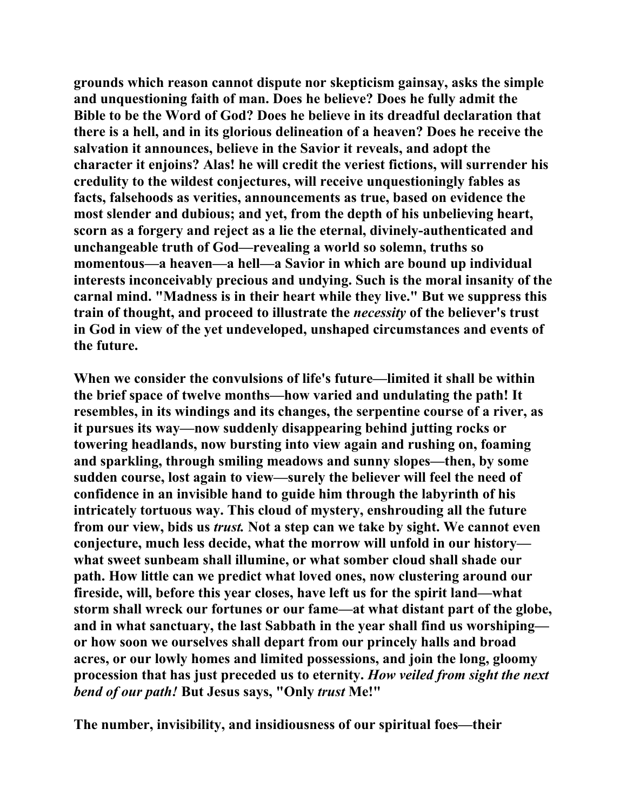**grounds which reason cannot dispute nor skepticism gainsay, asks the simple and unquestioning faith of man. Does he believe? Does he fully admit the Bible to be the Word of God? Does he believe in its dreadful declaration that there is a hell, and in its glorious delineation of a heaven? Does he receive the salvation it announces, believe in the Savior it reveals, and adopt the character it enjoins? Alas! he will credit the veriest fictions, will surrender his credulity to the wildest conjectures, will receive unquestioningly fables as facts, falsehoods as verities, announcements as true, based on evidence the most slender and dubious; and yet, from the depth of his unbelieving heart, scorn as a forgery and reject as a lie the eternal, divinely-authenticated and unchangeable truth of God—revealing a world so solemn, truths so momentous—a heaven—a hell—a Savior in which are bound up individual interests inconceivably precious and undying. Such is the moral insanity of the carnal mind. "Madness is in their heart while they live." But we suppress this train of thought, and proceed to illustrate the** *necessity* **of the believer's trust in God in view of the yet undeveloped, unshaped circumstances and events of the future.** 

**When we consider the convulsions of life's future—limited it shall be within the brief space of twelve months—how varied and undulating the path! It resembles, in its windings and its changes, the serpentine course of a river, as it pursues its way—now suddenly disappearing behind jutting rocks or towering headlands, now bursting into view again and rushing on, foaming and sparkling, through smiling meadows and sunny slopes—then, by some sudden course, lost again to view—surely the believer will feel the need of confidence in an invisible hand to guide him through the labyrinth of his intricately tortuous way. This cloud of mystery, enshrouding all the future from our view, bids us** *trust.* **Not a step can we take by sight. We cannot even conjecture, much less decide, what the morrow will unfold in our history what sweet sunbeam shall illumine, or what somber cloud shall shade our path. How little can we predict what loved ones, now clustering around our fireside, will, before this year closes, have left us for the spirit land—what storm shall wreck our fortunes or our fame—at what distant part of the globe, and in what sanctuary, the last Sabbath in the year shall find us worshiping or how soon we ourselves shall depart from our princely halls and broad acres, or our lowly homes and limited possessions, and join the long, gloomy procession that has just preceded us to eternity.** *How veiled from sight the next bend of our path!* **But Jesus says, "Only** *trust* **Me!"** 

**The number, invisibility, and insidiousness of our spiritual foes—their**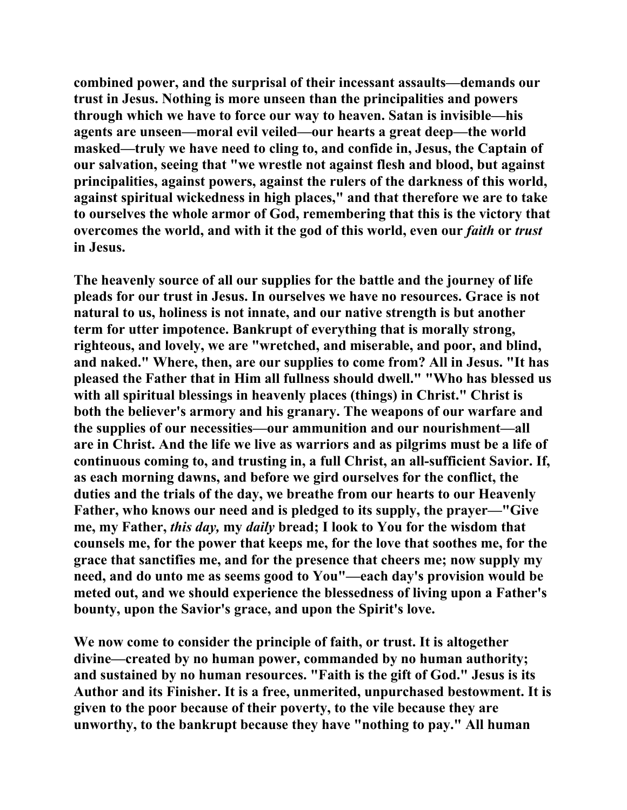**combined power, and the surprisal of their incessant assaults—demands our trust in Jesus. Nothing is more unseen than the principalities and powers through which we have to force our way to heaven. Satan is invisible—his agents are unseen—moral evil veiled—our hearts a great deep—the world masked—truly we have need to cling to, and confide in, Jesus, the Captain of our salvation, seeing that "we wrestle not against flesh and blood, but against principalities, against powers, against the rulers of the darkness of this world, against spiritual wickedness in high places," and that therefore we are to take to ourselves the whole armor of God, remembering that this is the victory that overcomes the world, and with it the god of this world, even our** *faith* **or** *trust*  **in Jesus.** 

**The heavenly source of all our supplies for the battle and the journey of life pleads for our trust in Jesus. In ourselves we have no resources. Grace is not natural to us, holiness is not innate, and our native strength is but another term for utter impotence. Bankrupt of everything that is morally strong, righteous, and lovely, we are "wretched, and miserable, and poor, and blind, and naked." Where, then, are our supplies to come from? All in Jesus. "It has pleased the Father that in Him all fullness should dwell." "Who has blessed us with all spiritual blessings in heavenly places (things) in Christ." Christ is both the believer's armory and his granary. The weapons of our warfare and the supplies of our necessities—our ammunition and our nourishment—all are in Christ. And the life we live as warriors and as pilgrims must be a life of continuous coming to, and trusting in, a full Christ, an all-sufficient Savior. If, as each morning dawns, and before we gird ourselves for the conflict, the duties and the trials of the day, we breathe from our hearts to our Heavenly Father, who knows our need and is pledged to its supply, the prayer—"Give me, my Father,** *this day,* **my** *daily* **bread; I look to You for the wisdom that counsels me, for the power that keeps me, for the love that soothes me, for the grace that sanctifies me, and for the presence that cheers me; now supply my need, and do unto me as seems good to You"—each day's provision would be meted out, and we should experience the blessedness of living upon a Father's bounty, upon the Savior's grace, and upon the Spirit's love.** 

**We now come to consider the principle of faith, or trust. It is altogether divine—created by no human power, commanded by no human authority; and sustained by no human resources. "Faith is the gift of God." Jesus is its Author and its Finisher. It is a free, unmerited, unpurchased bestowment. It is given to the poor because of their poverty, to the vile because they are unworthy, to the bankrupt because they have "nothing to pay." All human**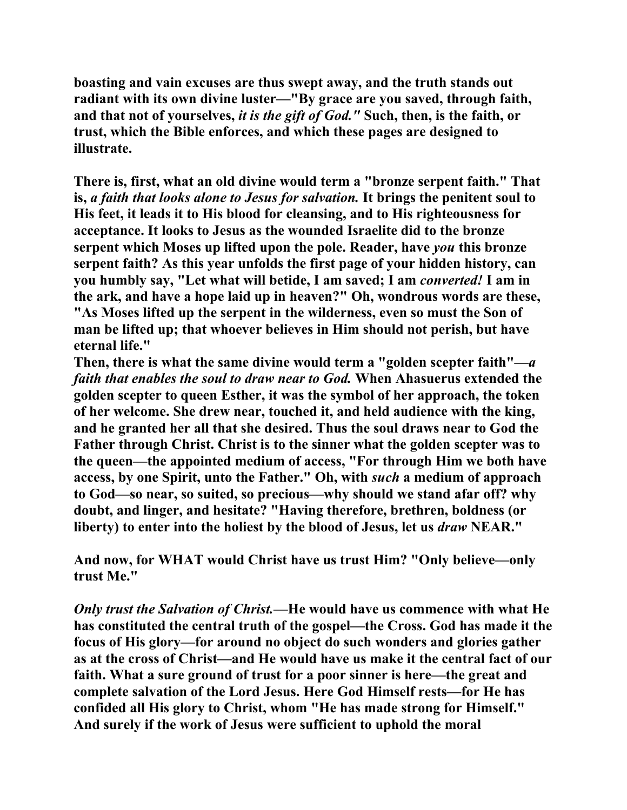**boasting and vain excuses are thus swept away, and the truth stands out radiant with its own divine luster—"By grace are you saved, through faith, and that not of yourselves,** *it is the gift of God."* **Such, then, is the faith, or trust, which the Bible enforces, and which these pages are designed to illustrate.** 

**There is, first, what an old divine would term a "bronze serpent faith." That is,** *a faith that looks alone to Jesus for salvation.* **It brings the penitent soul to His feet, it leads it to His blood for cleansing, and to His righteousness for acceptance. It looks to Jesus as the wounded Israelite did to the bronze serpent which Moses up lifted upon the pole. Reader, have** *you* **this bronze serpent faith? As this year unfolds the first page of your hidden history, can you humbly say, "Let what will betide, I am saved; I am** *converted!* **I am in the ark, and have a hope laid up in heaven?" Oh, wondrous words are these, "As Moses lifted up the serpent in the wilderness, even so must the Son of man be lifted up; that whoever believes in Him should not perish, but have eternal life."** 

**Then, there is what the same divine would term a "golden scepter faith"***—a faith that enables the soul to draw near to God.* **When Ahasuerus extended the golden scepter to queen Esther, it was the symbol of her approach, the token of her welcome. She drew near, touched it, and held audience with the king, and he granted her all that she desired. Thus the soul draws near to God the Father through Christ. Christ is to the sinner what the golden scepter was to the queen—the appointed medium of access, "For through Him we both have access, by one Spirit, unto the Father." Oh, with** *such* **a medium of approach to God—so near, so suited, so precious—why should we stand afar off? why doubt, and linger, and hesitate? "Having therefore, brethren, boldness (or liberty) to enter into the holiest by the blood of Jesus, let us** *draw* **NEAR."** 

**And now, for WHAT would Christ have us trust Him? "Only believe—only trust Me."** 

*Only trust the Salvation of Christ.***—He would have us commence with what He has constituted the central truth of the gospel—the Cross. God has made it the focus of His glory—for around no object do such wonders and glories gather as at the cross of Christ—and He would have us make it the central fact of our faith. What a sure ground of trust for a poor sinner is here—the great and complete salvation of the Lord Jesus. Here God Himself rests—for He has confided all His glory to Christ, whom "He has made strong for Himself." And surely if the work of Jesus were sufficient to uphold the moral**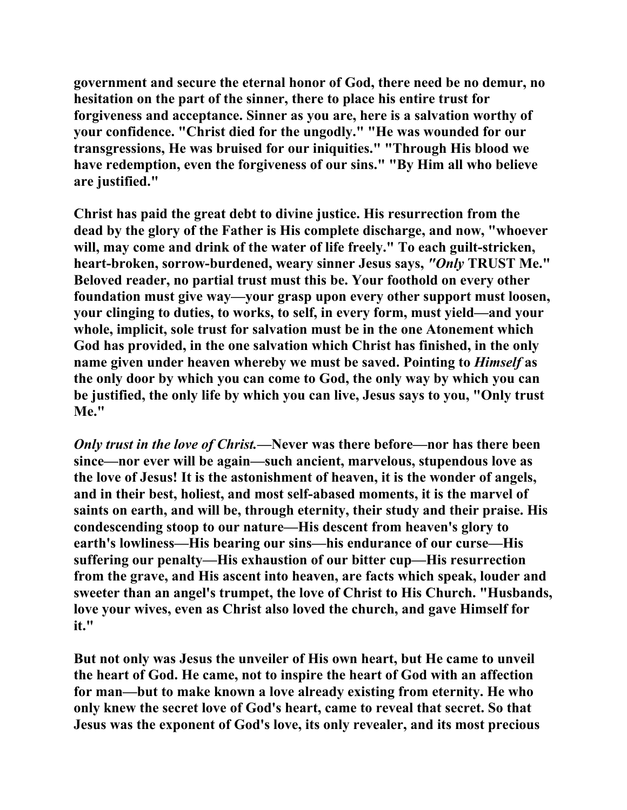**government and secure the eternal honor of God, there need be no demur, no hesitation on the part of the sinner, there to place his entire trust for forgiveness and acceptance. Sinner as you are, here is a salvation worthy of your confidence. "Christ died for the ungodly." "He was wounded for our transgressions, He was bruised for our iniquities." "Through His blood we have redemption, even the forgiveness of our sins." "By Him all who believe are justified."** 

**Christ has paid the great debt to divine justice. His resurrection from the dead by the glory of the Father is His complete discharge, and now, "whoever will, may come and drink of the water of life freely." To each guilt-stricken, heart-broken, sorrow-burdened, weary sinner Jesus says,** *"Only* **TRUST Me." Beloved reader, no partial trust must this be. Your foothold on every other foundation must give way—your grasp upon every other support must loosen, your clinging to duties, to works, to self, in every form, must yield—and your whole, implicit, sole trust for salvation must be in the one Atonement which God has provided, in the one salvation which Christ has finished, in the only name given under heaven whereby we must be saved. Pointing to** *Himself* **as the only door by which you can come to God, the only way by which you can be justified, the only life by which you can live, Jesus says to you, "Only trust Me."** 

*Only trust in the love of Christ.***—Never was there before—nor has there been since—nor ever will be again—such ancient, marvelous, stupendous love as the love of Jesus! It is the astonishment of heaven, it is the wonder of angels, and in their best, holiest, and most self-abased moments, it is the marvel of saints on earth, and will be, through eternity, their study and their praise. His condescending stoop to our nature—His descent from heaven's glory to earth's lowliness—His bearing our sins—his endurance of our curse—His suffering our penalty—His exhaustion of our bitter cup—His resurrection from the grave, and His ascent into heaven, are facts which speak, louder and sweeter than an angel's trumpet, the love of Christ to His Church. "Husbands, love your wives, even as Christ also loved the church, and gave Himself for it."** 

**But not only was Jesus the unveiler of His own heart, but He came to unveil the heart of God. He came, not to inspire the heart of God with an affection for man—but to make known a love already existing from eternity. He who only knew the secret love of God's heart, came to reveal that secret. So that Jesus was the exponent of God's love, its only revealer, and its most precious**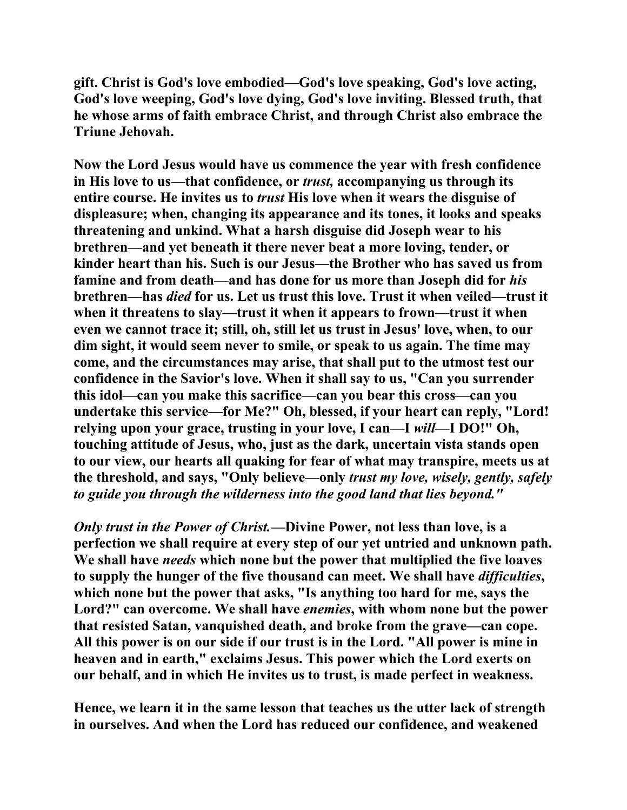**gift. Christ is God's love embodied—God's love speaking, God's love acting, God's love weeping, God's love dying, God's love inviting. Blessed truth, that he whose arms of faith embrace Christ, and through Christ also embrace the Triune Jehovah.** 

**Now the Lord Jesus would have us commence the year with fresh confidence in His love to us—that confidence, or** *trust,* **accompanying us through its entire course. He invites us to** *trust* **His love when it wears the disguise of displeasure; when, changing its appearance and its tones, it looks and speaks threatening and unkind. What a harsh disguise did Joseph wear to his brethren—and yet beneath it there never beat a more loving, tender, or kinder heart than his. Such is our Jesus—the Brother who has saved us from famine and from death—and has done for us more than Joseph did for** *his*  **brethren—has** *died* **for us. Let us trust this love. Trust it when veiled—trust it when it threatens to slay—trust it when it appears to frown—trust it when even we cannot trace it; still, oh, still let us trust in Jesus' love, when, to our dim sight, it would seem never to smile, or speak to us again. The time may come, and the circumstances may arise, that shall put to the utmost test our confidence in the Savior's love. When it shall say to us, "Can you surrender this idol—can you make this sacrifice—can you bear this cross—can you undertake this service—for Me?" Oh, blessed, if your heart can reply, "Lord! relying upon your grace, trusting in your love, I can—I** *will***—I DO!" Oh, touching attitude of Jesus, who, just as the dark, uncertain vista stands open to our view, our hearts all quaking for fear of what may transpire, meets us at the threshold, and says, "Only believe—only** *trust my love, wisely, gently, safely to guide you through the wilderness into the good land that lies beyond."*

*Only trust in the Power of Christ.***—Divine Power, not less than love, is a perfection we shall require at every step of our yet untried and unknown path. We shall have** *needs* **which none but the power that multiplied the five loaves to supply the hunger of the five thousand can meet. We shall have** *difficulties***, which none but the power that asks, "Is anything too hard for me, says the Lord?" can overcome. We shall have** *enemies***, with whom none but the power that resisted Satan, vanquished death, and broke from the grave—can cope. All this power is on our side if our trust is in the Lord. "All power is mine in heaven and in earth," exclaims Jesus. This power which the Lord exerts on our behalf, and in which He invites us to trust, is made perfect in weakness.** 

**Hence, we learn it in the same lesson that teaches us the utter lack of strength in ourselves. And when the Lord has reduced our confidence, and weakened**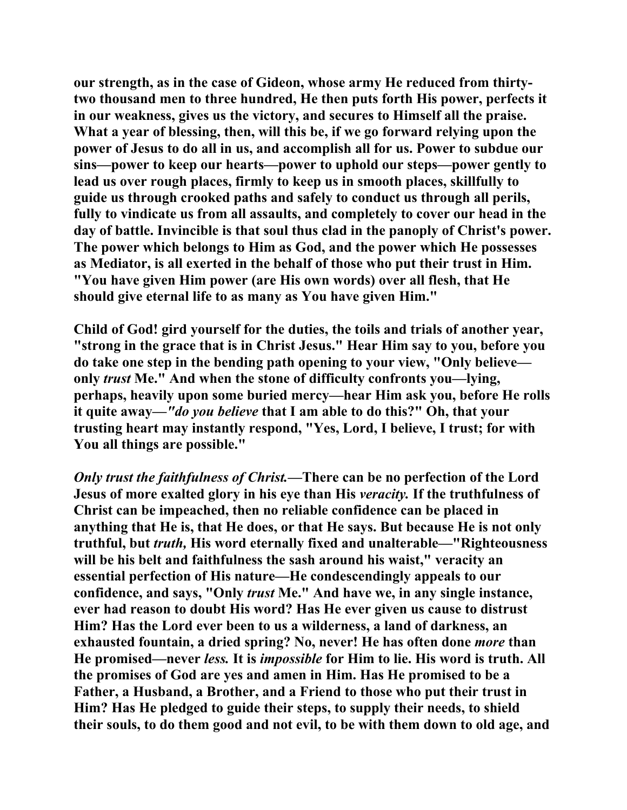**our strength, as in the case of Gideon, whose army He reduced from thirtytwo thousand men to three hundred, He then puts forth His power, perfects it in our weakness, gives us the victory, and secures to Himself all the praise. What a year of blessing, then, will this be, if we go forward relying upon the power of Jesus to do all in us, and accomplish all for us. Power to subdue our sins—power to keep our hearts—power to uphold our steps—power gently to lead us over rough places, firmly to keep us in smooth places, skillfully to guide us through crooked paths and safely to conduct us through all perils, fully to vindicate us from all assaults, and completely to cover our head in the day of battle. Invincible is that soul thus clad in the panoply of Christ's power. The power which belongs to Him as God, and the power which He possesses as Mediator, is all exerted in the behalf of those who put their trust in Him. "You have given Him power (are His own words) over all flesh, that He should give eternal life to as many as You have given Him."** 

**Child of God! gird yourself for the duties, the toils and trials of another year, "strong in the grace that is in Christ Jesus." Hear Him say to you, before you do take one step in the bending path opening to your view, "Only believe only** *trust* **Me." And when the stone of difficulty confronts you—lying, perhaps, heavily upon some buried mercy—hear Him ask you, before He rolls it quite away—***"do you believe* **that I am able to do this?" Oh, that your trusting heart may instantly respond, "Yes, Lord, I believe, I trust; for with You all things are possible."** 

*Only trust the faithfulness of Christ.***—There can be no perfection of the Lord Jesus of more exalted glory in his eye than His** *veracity.* **If the truthfulness of Christ can be impeached, then no reliable confidence can be placed in anything that He is, that He does, or that He says. But because He is not only truthful, but** *truth,* **His word eternally fixed and unalterable—"Righteousness will be his belt and faithfulness the sash around his waist," veracity an essential perfection of His nature—He condescendingly appeals to our confidence, and says, "Only** *trust* **Me." And have we, in any single instance, ever had reason to doubt His word? Has He ever given us cause to distrust Him? Has the Lord ever been to us a wilderness, a land of darkness, an exhausted fountain, a dried spring? No, never! He has often done** *more* **than He promised—never** *less.* **It is** *impossible* **for Him to lie. His word is truth. All the promises of God are yes and amen in Him. Has He promised to be a Father, a Husband, a Brother, and a Friend to those who put their trust in Him? Has He pledged to guide their steps, to supply their needs, to shield their souls, to do them good and not evil, to be with them down to old age, and**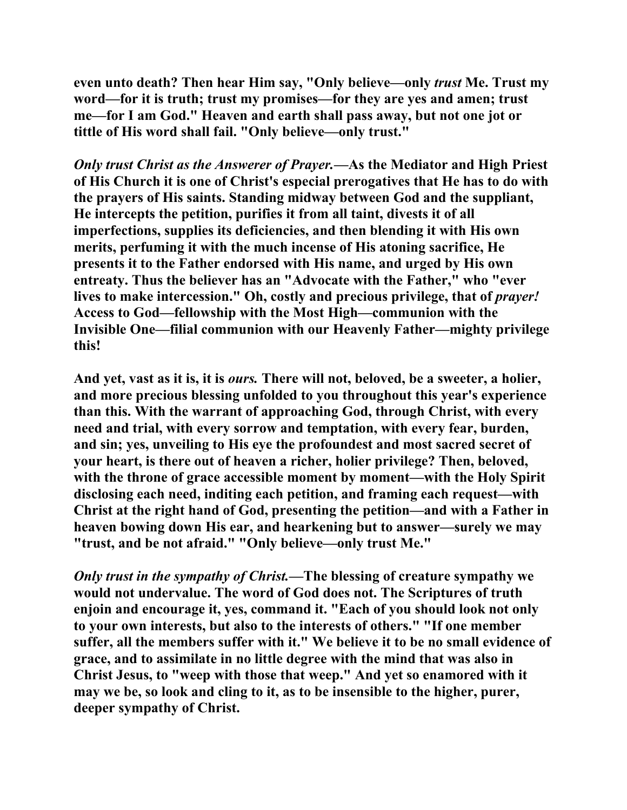**even unto death? Then hear Him say, "Only believe—only** *trust* **Me. Trust my word—for it is truth; trust my promises—for they are yes and amen; trust me—for I am God." Heaven and earth shall pass away, but not one jot or tittle of His word shall fail. "Only believe—only trust."** 

*Only trust Christ as the Answerer of Prayer.***—As the Mediator and High Priest of His Church it is one of Christ's especial prerogatives that He has to do with the prayers of His saints. Standing midway between God and the suppliant, He intercepts the petition, purifies it from all taint, divests it of all imperfections, supplies its deficiencies, and then blending it with His own merits, perfuming it with the much incense of His atoning sacrifice, He presents it to the Father endorsed with His name, and urged by His own entreaty. Thus the believer has an "Advocate with the Father," who "ever**  lives to make intercession." Oh, costly and precious privilege, that of *prayer!* **Access to God—fellowship with the Most High—communion with the Invisible One—filial communion with our Heavenly Father—mighty privilege this!** 

**And yet, vast as it is, it is** *ours.* **There will not, beloved, be a sweeter, a holier, and more precious blessing unfolded to you throughout this year's experience than this. With the warrant of approaching God, through Christ, with every need and trial, with every sorrow and temptation, with every fear, burden, and sin; yes, unveiling to His eye the profoundest and most sacred secret of your heart, is there out of heaven a richer, holier privilege? Then, beloved,**  with the throne of grace accessible moment by moment—with the Holy Spirit **disclosing each need, inditing each petition, and framing each request—with Christ at the right hand of God, presenting the petition—and with a Father in heaven bowing down His ear, and hearkening but to answer—surely we may "trust, and be not afraid." "Only believe—only trust Me."** 

*Only trust in the sympathy of Christ.***—The blessing of creature sympathy we would not undervalue. The word of God does not. The Scriptures of truth enjoin and encourage it, yes, command it. "Each of you should look not only to your own interests, but also to the interests of others." "If one member suffer, all the members suffer with it." We believe it to be no small evidence of grace, and to assimilate in no little degree with the mind that was also in Christ Jesus, to "weep with those that weep." And yet so enamored with it may we be, so look and cling to it, as to be insensible to the higher, purer, deeper sympathy of Christ.**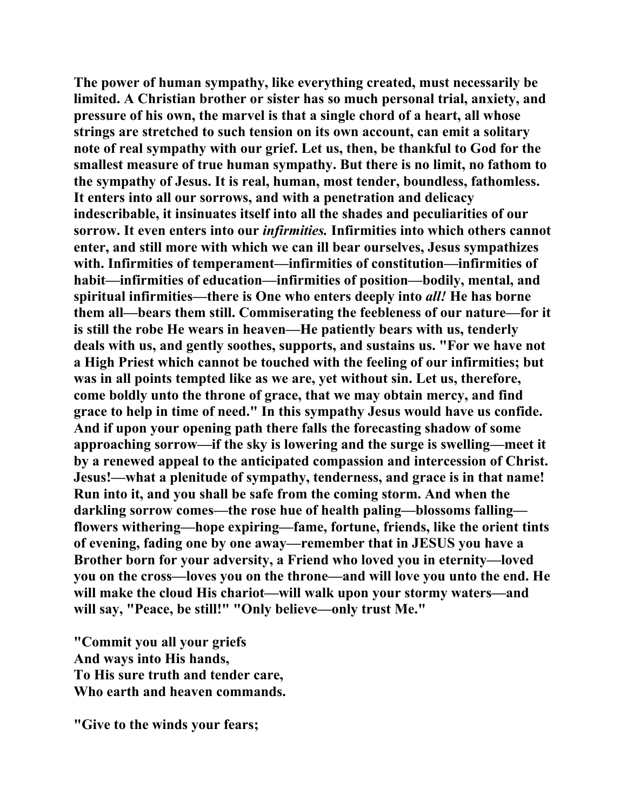**The power of human sympathy, like everything created, must necessarily be limited. A Christian brother or sister has so much personal trial, anxiety, and pressure of his own, the marvel is that a single chord of a heart, all whose strings are stretched to such tension on its own account, can emit a solitary note of real sympathy with our grief. Let us, then, be thankful to God for the smallest measure of true human sympathy. But there is no limit, no fathom to the sympathy of Jesus. It is real, human, most tender, boundless, fathomless. It enters into all our sorrows, and with a penetration and delicacy indescribable, it insinuates itself into all the shades and peculiarities of our sorrow. It even enters into our** *infirmities.* **Infirmities into which others cannot enter, and still more with which we can ill bear ourselves, Jesus sympathizes with. Infirmities of temperament—infirmities of constitution—infirmities of habit—infirmities of education—infirmities of position—bodily, mental, and spiritual infirmities—there is One who enters deeply into** *all!* **He has borne them all—bears them still. Commiserating the feebleness of our nature—for it is still the robe He wears in heaven—He patiently bears with us, tenderly deals with us, and gently soothes, supports, and sustains us. "For we have not a High Priest which cannot be touched with the feeling of our infirmities; but was in all points tempted like as we are, yet without sin. Let us, therefore, come boldly unto the throne of grace, that we may obtain mercy, and find grace to help in time of need." In this sympathy Jesus would have us confide. And if upon your opening path there falls the forecasting shadow of some approaching sorrow—if the sky is lowering and the surge is swelling—meet it by a renewed appeal to the anticipated compassion and intercession of Christ. Jesus!—what a plenitude of sympathy, tenderness, and grace is in that name! Run into it, and you shall be safe from the coming storm. And when the darkling sorrow comes—the rose hue of health paling—blossoms falling flowers withering—hope expiring—fame, fortune, friends, like the orient tints of evening, fading one by one away—remember that in JESUS you have a Brother born for your adversity, a Friend who loved you in eternity—loved you on the cross—loves you on the throne—and will love you unto the end. He will make the cloud His chariot—will walk upon your stormy waters—and will say, "Peace, be still!" "Only believe—only trust Me."** 

**"Commit you all your griefs And ways into His hands, To His sure truth and tender care, Who earth and heaven commands.** 

**"Give to the winds your fears;**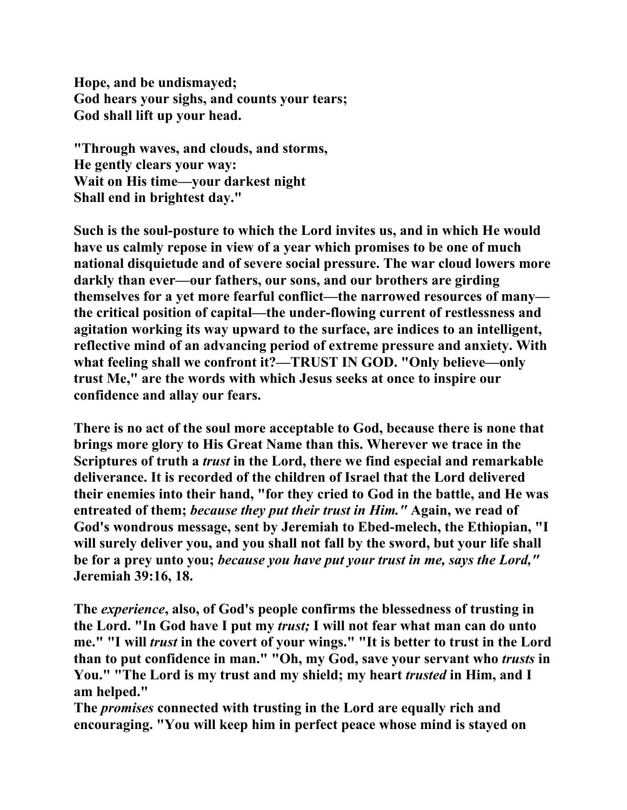**Hope, and be undismayed; God hears your sighs, and counts your tears; God shall lift up your head.** 

**"Through waves, and clouds, and storms, He gently clears your way: Wait on His time—your darkest night Shall end in brightest day."** 

**Such is the soul-posture to which the Lord invites us, and in which He would have us calmly repose in view of a year which promises to be one of much national disquietude and of severe social pressure. The war cloud lowers more darkly than ever—our fathers, our sons, and our brothers are girding themselves for a yet more fearful conflict—the narrowed resources of many the critical position of capital—the under-flowing current of restlessness and agitation working its way upward to the surface, are indices to an intelligent, reflective mind of an advancing period of extreme pressure and anxiety. With what feeling shall we confront it?—TRUST IN GOD. "Only believe—only trust Me," are the words with which Jesus seeks at once to inspire our confidence and allay our fears.** 

**There is no act of the soul more acceptable to God, because there is none that brings more glory to His Great Name than this. Wherever we trace in the Scriptures of truth a** *trust* **in the Lord, there we find especial and remarkable deliverance. It is recorded of the children of Israel that the Lord delivered their enemies into their hand, "for they cried to God in the battle, and He was entreated of them;** *because they put their trust in Him."* **Again, we read of God's wondrous message, sent by Jeremiah to Ebed-melech, the Ethiopian, "I will surely deliver you, and you shall not fall by the sword, but your life shall be for a prey unto you;** *because you have put your trust in me, says the Lord,"*  **Jeremiah 39:16, 18.** 

**The** *experience***, also, of God's people confirms the blessedness of trusting in the Lord. "In God have I put my** *trust;* **I will not fear what man can do unto me." "I will** *trust* **in the covert of your wings." "It is better to trust in the Lord than to put confidence in man." "Oh, my God, save your servant who** *trusts* **in You." "The Lord is my trust and my shield; my heart** *trusted* **in Him, and I am helped."** 

**The** *promises* **connected with trusting in the Lord are equally rich and encouraging. "You will keep him in perfect peace whose mind is stayed on**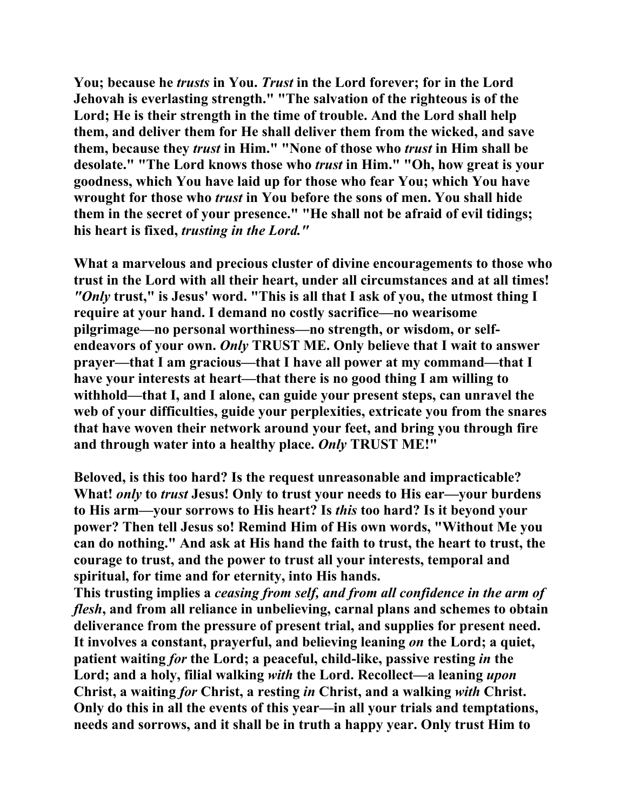**You; because he** *trusts* **in You.** *Trust* **in the Lord forever; for in the Lord Jehovah is everlasting strength." "The salvation of the righteous is of the Lord; He is their strength in the time of trouble. And the Lord shall help them, and deliver them for He shall deliver them from the wicked, and save them, because they** *trust* **in Him." "None of those who** *trust* **in Him shall be desolate." "The Lord knows those who** *trust* **in Him." "Oh, how great is your goodness, which You have laid up for those who fear You; which You have wrought for those who** *trust* **in You before the sons of men. You shall hide them in the secret of your presence." "He shall not be afraid of evil tidings; his heart is fixed,** *trusting in the Lord."* 

**What a marvelous and precious cluster of divine encouragements to those who trust in the Lord with all their heart, under all circumstances and at all times!**  *"Only* **trust," is Jesus' word. "This is all that I ask of you, the utmost thing I require at your hand. I demand no costly sacrifice—no wearisome pilgrimage—no personal worthiness—no strength, or wisdom, or selfendeavors of your own.** *Only* **TRUST ME. Only believe that I wait to answer prayer—that I am gracious—that I have all power at my command—that I have your interests at heart—that there is no good thing I am willing to withhold—that I, and I alone, can guide your present steps, can unravel the web of your difficulties, guide your perplexities, extricate you from the snares that have woven their network around your feet, and bring you through fire and through water into a healthy place.** *Only* **TRUST ME!"** 

**Beloved, is this too hard? Is the request unreasonable and impracticable? What!** *only* **to** *trust* **Jesus! Only to trust your needs to His ear—your burdens to His arm—your sorrows to His heart? Is** *this* **too hard? Is it beyond your power? Then tell Jesus so! Remind Him of His own words, "Without Me you can do nothing." And ask at His hand the faith to trust, the heart to trust, the courage to trust, and the power to trust all your interests, temporal and spiritual, for time and for eternity, into His hands.** 

**This trusting implies a** *ceasing from self, and from all confidence in the arm of flesh***, and from all reliance in unbelieving, carnal plans and schemes to obtain deliverance from the pressure of present trial, and supplies for present need. It involves a constant, prayerful, and believing leaning** *on* **the Lord; a quiet, patient waiting** *for* **the Lord; a peaceful, child-like, passive resting** *in* **the Lord; and a holy, filial walking** *with* **the Lord. Recollect—a leaning** *upon*  **Christ, a waiting** *for* **Christ, a resting** *in* **Christ, and a walking** *with* **Christ. Only do this in all the events of this year—in all your trials and temptations, needs and sorrows, and it shall be in truth a happy year. Only trust Him to**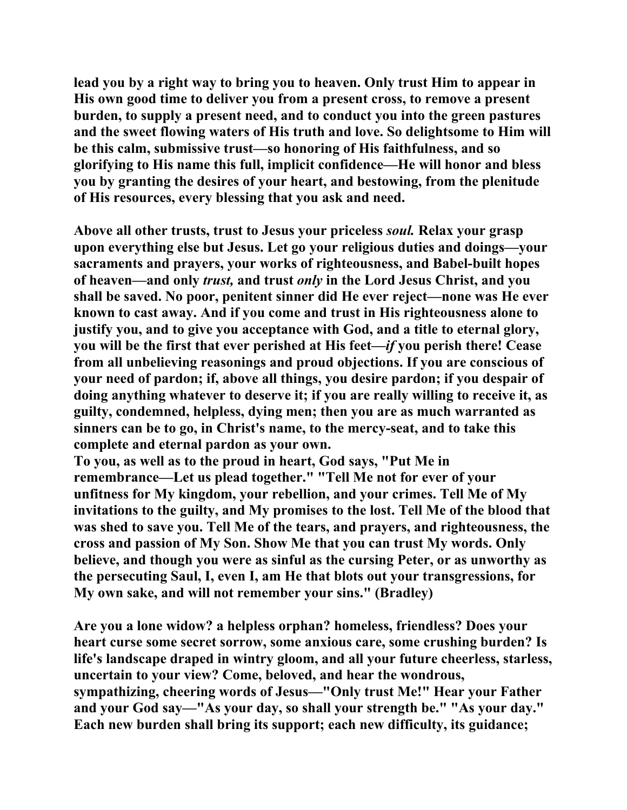**lead you by a right way to bring you to heaven. Only trust Him to appear in His own good time to deliver you from a present cross, to remove a present burden, to supply a present need, and to conduct you into the green pastures and the sweet flowing waters of His truth and love. So delightsome to Him will be this calm, submissive trust—so honoring of His faithfulness, and so glorifying to His name this full, implicit confidence—He will honor and bless you by granting the desires of your heart, and bestowing, from the plenitude of His resources, every blessing that you ask and need.** 

**Above all other trusts, trust to Jesus your priceless** *soul.* **Relax your grasp upon everything else but Jesus. Let go your religious duties and doings—your sacraments and prayers, your works of righteousness, and Babel-built hopes of heaven—and only** *trust,* **and trust** *only* **in the Lord Jesus Christ, and you shall be saved. No poor, penitent sinner did He ever reject—none was He ever known to cast away. And if you come and trust in His righteousness alone to justify you, and to give you acceptance with God, and a title to eternal glory, you will be the first that ever perished at His feet—***if* **you perish there! Cease from all unbelieving reasonings and proud objections. If you are conscious of your need of pardon; if, above all things, you desire pardon; if you despair of doing anything whatever to deserve it; if you are really willing to receive it, as guilty, condemned, helpless, dying men; then you are as much warranted as sinners can be to go, in Christ's name, to the mercy-seat, and to take this complete and eternal pardon as your own.** 

**To you, as well as to the proud in heart, God says, "Put Me in remembrance—Let us plead together." "Tell Me not for ever of your unfitness for My kingdom, your rebellion, and your crimes. Tell Me of My invitations to the guilty, and My promises to the lost. Tell Me of the blood that was shed to save you. Tell Me of the tears, and prayers, and righteousness, the cross and passion of My Son. Show Me that you can trust My words. Only believe, and though you were as sinful as the cursing Peter, or as unworthy as the persecuting Saul, I, even I, am He that blots out your transgressions, for My own sake, and will not remember your sins." (Bradley)** 

**Are you a lone widow? a helpless orphan? homeless, friendless? Does your heart curse some secret sorrow, some anxious care, some crushing burden? Is life's landscape draped in wintry gloom, and all your future cheerless, starless, uncertain to your view? Come, beloved, and hear the wondrous, sympathizing, cheering words of Jesus—"Only trust Me!" Hear your Father and your God say—"As your day, so shall your strength be." "As your day." Each new burden shall bring its support; each new difficulty, its guidance;**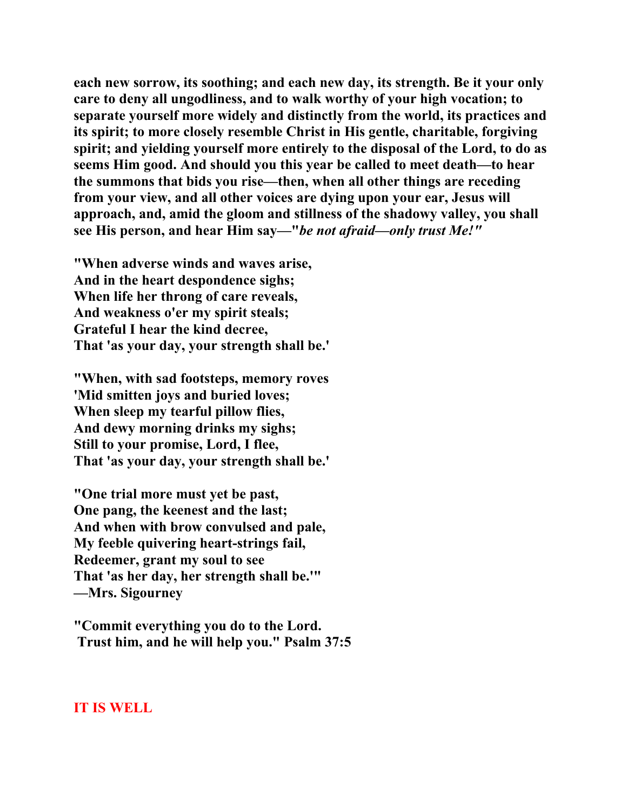**each new sorrow, its soothing; and each new day, its strength. Be it your only care to deny all ungodliness, and to walk worthy of your high vocation; to separate yourself more widely and distinctly from the world, its practices and its spirit; to more closely resemble Christ in His gentle, charitable, forgiving spirit; and yielding yourself more entirely to the disposal of the Lord, to do as seems Him good. And should you this year be called to meet death—to hear the summons that bids you rise—then, when all other things are receding from your view, and all other voices are dying upon your ear, Jesus will approach, and, amid the gloom and stillness of the shadowy valley, you shall see His person, and hear Him say—"***be not afraid—only trust Me!"* 

**"When adverse winds and waves arise, And in the heart despondence sighs; When life her throng of care reveals, And weakness o'er my spirit steals; Grateful I hear the kind decree, That 'as your day, your strength shall be.'** 

**"When, with sad footsteps, memory roves 'Mid smitten joys and buried loves; When sleep my tearful pillow flies, And dewy morning drinks my sighs; Still to your promise, Lord, I flee, That 'as your day, your strength shall be.'** 

**"One trial more must yet be past, One pang, the keenest and the last; And when with brow convulsed and pale, My feeble quivering heart-strings fail, Redeemer, grant my soul to see That 'as her day, her strength shall be.'" —Mrs. Sigourney** 

**"Commit everything you do to the Lord. Trust him, and he will help you." Psalm 37:5** 

## **IT IS WELL**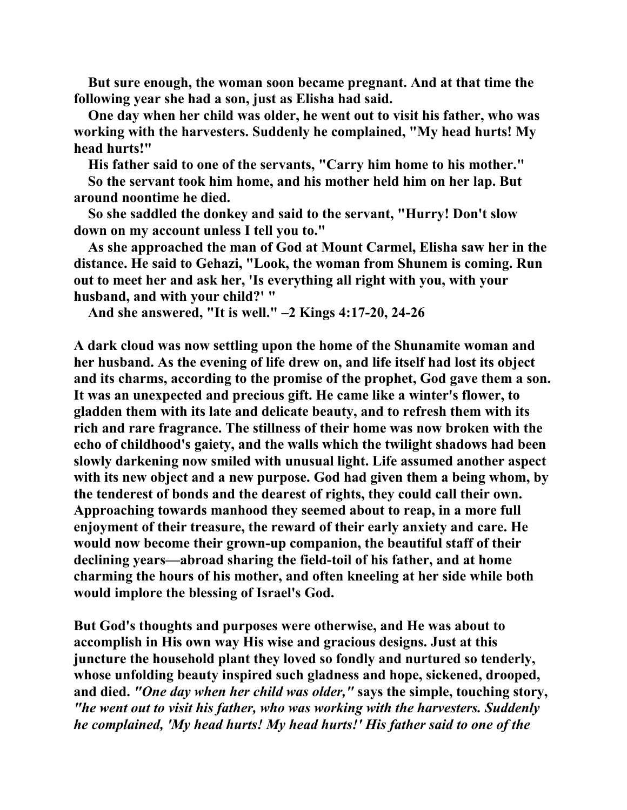**But sure enough, the woman soon became pregnant. And at that time the following year she had a son, just as Elisha had said.** 

 **One day when her child was older, he went out to visit his father, who was working with the harvesters. Suddenly he complained, "My head hurts! My head hurts!"** 

 **His father said to one of the servants, "Carry him home to his mother." So the servant took him home, and his mother held him on her lap. But around noontime he died.** 

 **So she saddled the donkey and said to the servant, "Hurry! Don't slow down on my account unless I tell you to."** 

 **As she approached the man of God at Mount Carmel, Elisha saw her in the distance. He said to Gehazi, "Look, the woman from Shunem is coming. Run out to meet her and ask her, 'Is everything all right with you, with your husband, and with your child?' "** 

 **And she answered, "It is well." –2 Kings 4:17-20, 24-26** 

**A dark cloud was now settling upon the home of the Shunamite woman and her husband. As the evening of life drew on, and life itself had lost its object and its charms, according to the promise of the prophet, God gave them a son. It was an unexpected and precious gift. He came like a winter's flower, to gladden them with its late and delicate beauty, and to refresh them with its rich and rare fragrance. The stillness of their home was now broken with the echo of childhood's gaiety, and the walls which the twilight shadows had been slowly darkening now smiled with unusual light. Life assumed another aspect with its new object and a new purpose. God had given them a being whom, by the tenderest of bonds and the dearest of rights, they could call their own. Approaching towards manhood they seemed about to reap, in a more full enjoyment of their treasure, the reward of their early anxiety and care. He would now become their grown-up companion, the beautiful staff of their declining years—abroad sharing the field-toil of his father, and at home charming the hours of his mother, and often kneeling at her side while both would implore the blessing of Israel's God.** 

**But God's thoughts and purposes were otherwise, and He was about to accomplish in His own way His wise and gracious designs. Just at this juncture the household plant they loved so fondly and nurtured so tenderly, whose unfolding beauty inspired such gladness and hope, sickened, drooped, and died.** *"One day when her child was older,"* **says the simple, touching story,**  *"he went out to visit his father, who was working with the harvesters. Suddenly he complained, 'My head hurts! My head hurts!' His father said to one of the*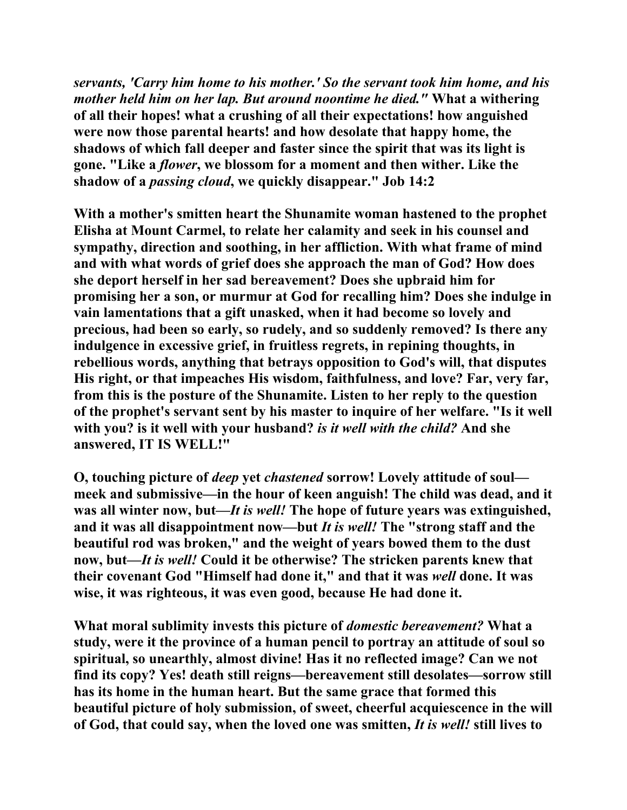*servants, 'Carry him home to his mother.' So the servant took him home, and his mother held him on her lap. But around noontime he died."* **What a withering of all their hopes! what a crushing of all their expectations! how anguished were now those parental hearts! and how desolate that happy home, the shadows of which fall deeper and faster since the spirit that was its light is gone. "Like a** *flower***, we blossom for a moment and then wither. Like the shadow of a** *passing cloud***, we quickly disappear." Job 14:2** 

**With a mother's smitten heart the Shunamite woman hastened to the prophet Elisha at Mount Carmel, to relate her calamity and seek in his counsel and sympathy, direction and soothing, in her affliction. With what frame of mind and with what words of grief does she approach the man of God? How does she deport herself in her sad bereavement? Does she upbraid him for promising her a son, or murmur at God for recalling him? Does she indulge in vain lamentations that a gift unasked, when it had become so lovely and precious, had been so early, so rudely, and so suddenly removed? Is there any indulgence in excessive grief, in fruitless regrets, in repining thoughts, in rebellious words, anything that betrays opposition to God's will, that disputes His right, or that impeaches His wisdom, faithfulness, and love? Far, very far, from this is the posture of the Shunamite. Listen to her reply to the question of the prophet's servant sent by his master to inquire of her welfare. "Is it well with you? is it well with your husband?** *is it well with the child?* **And she answered, IT IS WELL!"** 

**O, touching picture of** *deep* **yet** *chastened* **sorrow! Lovely attitude of soul meek and submissive—in the hour of keen anguish! The child was dead, and it was all winter now, but—***It is well!* **The hope of future years was extinguished, and it was all disappointment now—but** *It is well!* **The "strong staff and the beautiful rod was broken," and the weight of years bowed them to the dust now, but—***It is well!* **Could it be otherwise? The stricken parents knew that their covenant God "Himself had done it," and that it was** *well* **done. It was wise, it was righteous, it was even good, because He had done it.** 

**What moral sublimity invests this picture of** *domestic bereavement?* **What a study, were it the province of a human pencil to portray an attitude of soul so spiritual, so unearthly, almost divine! Has it no reflected image? Can we not find its copy? Yes! death still reigns—bereavement still desolates—sorrow still has its home in the human heart. But the same grace that formed this beautiful picture of holy submission, of sweet, cheerful acquiescence in the will of God, that could say, when the loved one was smitten,** *It is well!* **still lives to**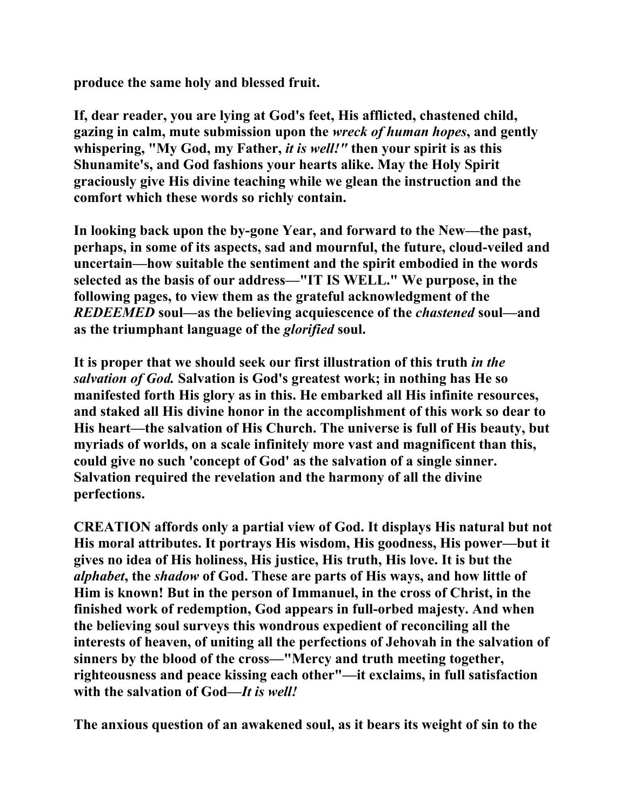**produce the same holy and blessed fruit.** 

**If, dear reader, you are lying at God's feet, His afflicted, chastened child, gazing in calm, mute submission upon the** *wreck of human hopes***, and gently whispering, "My God, my Father,** *it is well!"* **then your spirit is as this Shunamite's, and God fashions your hearts alike. May the Holy Spirit graciously give His divine teaching while we glean the instruction and the comfort which these words so richly contain.** 

**In looking back upon the by-gone Year, and forward to the New—the past, perhaps, in some of its aspects, sad and mournful, the future, cloud-veiled and uncertain—how suitable the sentiment and the spirit embodied in the words selected as the basis of our address—"IT IS WELL." We purpose, in the following pages, to view them as the grateful acknowledgment of the**  *REDEEMED* **soul—as the believing acquiescence of the** *chastened* **soul—and as the triumphant language of the** *glorified* **soul.** 

**It is proper that we should seek our first illustration of this truth** *in the salvation of God.* **Salvation is God's greatest work; in nothing has He so manifested forth His glory as in this. He embarked all His infinite resources, and staked all His divine honor in the accomplishment of this work so dear to His heart—the salvation of His Church. The universe is full of His beauty, but myriads of worlds, on a scale infinitely more vast and magnificent than this, could give no such 'concept of God' as the salvation of a single sinner. Salvation required the revelation and the harmony of all the divine perfections.** 

**CREATION affords only a partial view of God. It displays His natural but not His moral attributes. It portrays His wisdom, His goodness, His power—but it gives no idea of His holiness, His justice, His truth, His love. It is but the**  *alphabet***, the** *shadow* **of God. These are parts of His ways, and how little of Him is known! But in the person of Immanuel, in the cross of Christ, in the finished work of redemption, God appears in full-orbed majesty. And when the believing soul surveys this wondrous expedient of reconciling all the interests of heaven, of uniting all the perfections of Jehovah in the salvation of sinners by the blood of the cross—"Mercy and truth meeting together, righteousness and peace kissing each other"—it exclaims, in full satisfaction with the salvation of God—***It is well!*

**The anxious question of an awakened soul, as it bears its weight of sin to the**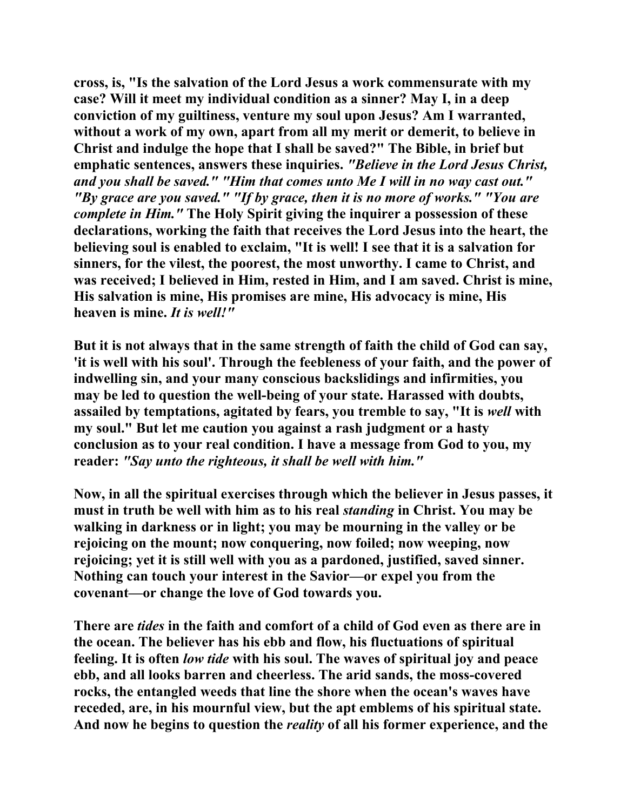**cross, is, "Is the salvation of the Lord Jesus a work commensurate with my case? Will it meet my individual condition as a sinner? May I, in a deep conviction of my guiltiness, venture my soul upon Jesus? Am I warranted, without a work of my own, apart from all my merit or demerit, to believe in Christ and indulge the hope that I shall be saved?" The Bible, in brief but emphatic sentences, answers these inquiries.** *"Believe in the Lord Jesus Christ, and you shall be saved." "Him that comes unto Me I will in no way cast out." "By grace are you saved." "If by grace, then it is no more of works." "You are complete in Him."* **The Holy Spirit giving the inquirer a possession of these declarations, working the faith that receives the Lord Jesus into the heart, the believing soul is enabled to exclaim, "It is well! I see that it is a salvation for sinners, for the vilest, the poorest, the most unworthy. I came to Christ, and was received; I believed in Him, rested in Him, and I am saved. Christ is mine, His salvation is mine, His promises are mine, His advocacy is mine, His heaven is mine.** *It is well!"*

**But it is not always that in the same strength of faith the child of God can say, 'it is well with his soul'. Through the feebleness of your faith, and the power of indwelling sin, and your many conscious backslidings and infirmities, you may be led to question the well-being of your state. Harassed with doubts, assailed by temptations, agitated by fears, you tremble to say, "It is** *well* **with my soul." But let me caution you against a rash judgment or a hasty conclusion as to your real condition. I have a message from God to you, my reader:** *"Say unto the righteous, it shall be well with him."* 

**Now, in all the spiritual exercises through which the believer in Jesus passes, it must in truth be well with him as to his real** *standing* **in Christ. You may be walking in darkness or in light; you may be mourning in the valley or be rejoicing on the mount; now conquering, now foiled; now weeping, now rejoicing; yet it is still well with you as a pardoned, justified, saved sinner. Nothing can touch your interest in the Savior—or expel you from the covenant—or change the love of God towards you.** 

**There are** *tides* **in the faith and comfort of a child of God even as there are in the ocean. The believer has his ebb and flow, his fluctuations of spiritual feeling. It is often** *low tide* **with his soul. The waves of spiritual joy and peace ebb, and all looks barren and cheerless. The arid sands, the moss-covered rocks, the entangled weeds that line the shore when the ocean's waves have receded, are, in his mournful view, but the apt emblems of his spiritual state. And now he begins to question the** *reality* **of all his former experience, and the**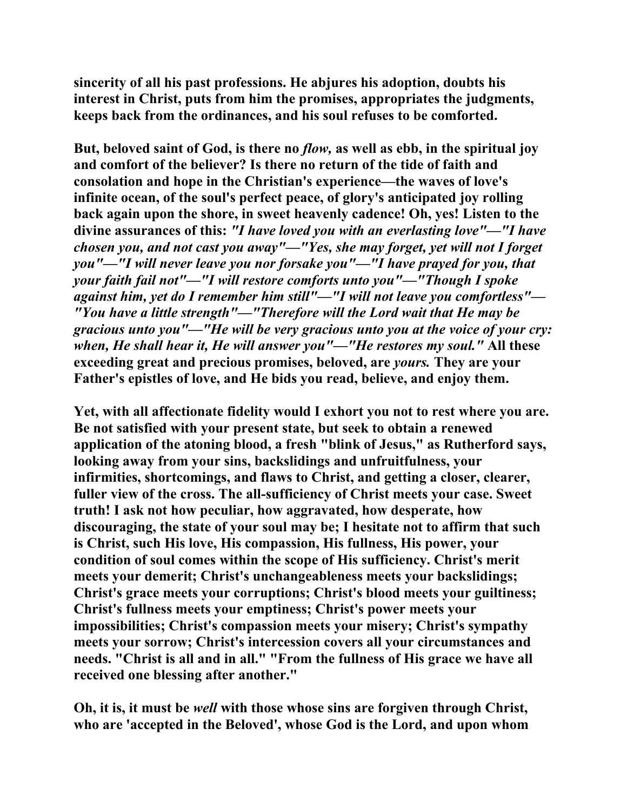**sincerity of all his past professions. He abjures his adoption, doubts his interest in Christ, puts from him the promises, appropriates the judgments, keeps back from the ordinances, and his soul refuses to be comforted.** 

**But, beloved saint of God, is there no** *flow,* **as well as ebb, in the spiritual joy and comfort of the believer? Is there no return of the tide of faith and consolation and hope in the Christian's experience—the waves of love's infinite ocean, of the soul's perfect peace, of glory's anticipated joy rolling back again upon the shore, in sweet heavenly cadence! Oh, yes! Listen to the divine assurances of this:** *"I have loved you with an everlasting love"—"I have chosen you, and not cast you away"—"Yes, she may forget, yet will not I forget you"—"I will never leave you nor forsake you"—"I have prayed for you, that your faith fail not"—"I will restore comforts unto you"—"Though I spoke against him, yet do I remember him still"—"I will not leave you comfortless"— "You have a little strength"—"Therefore will the Lord wait that He may be gracious unto you"—"He will be very gracious unto you at the voice of your cry: when, He shall hear it, He will answer you"—"He restores my soul."* **All these exceeding great and precious promises, beloved, are** *yours.* **They are your Father's epistles of love, and He bids you read, believe, and enjoy them.** 

**Yet, with all affectionate fidelity would I exhort you not to rest where you are. Be not satisfied with your present state, but seek to obtain a renewed application of the atoning blood, a fresh "blink of Jesus," as Rutherford says, looking away from your sins, backslidings and unfruitfulness, your infirmities, shortcomings, and flaws to Christ, and getting a closer, clearer, fuller view of the cross. The all-sufficiency of Christ meets your case. Sweet truth! I ask not how peculiar, how aggravated, how desperate, how discouraging, the state of your soul may be; I hesitate not to affirm that such is Christ, such His love, His compassion, His fullness, His power, your condition of soul comes within the scope of His sufficiency. Christ's merit meets your demerit; Christ's unchangeableness meets your backslidings; Christ's grace meets your corruptions; Christ's blood meets your guiltiness; Christ's fullness meets your emptiness; Christ's power meets your impossibilities; Christ's compassion meets your misery; Christ's sympathy meets your sorrow; Christ's intercession covers all your circumstances and needs. "Christ is all and in all." "From the fullness of His grace we have all received one blessing after another."** 

**Oh, it is, it must be** *well* **with those whose sins are forgiven through Christ, who are 'accepted in the Beloved', whose God is the Lord, and upon whom**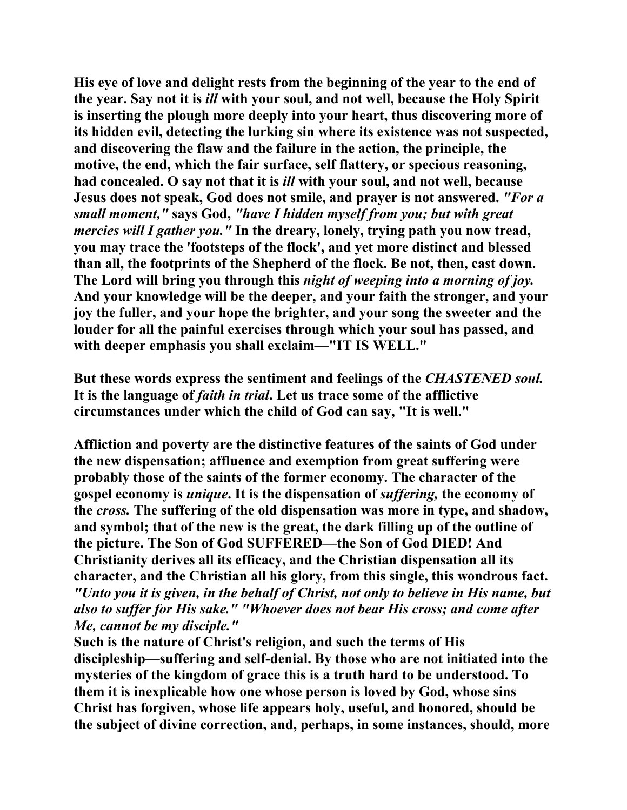**His eye of love and delight rests from the beginning of the year to the end of the year. Say not it is** *ill* **with your soul, and not well, because the Holy Spirit is inserting the plough more deeply into your heart, thus discovering more of its hidden evil, detecting the lurking sin where its existence was not suspected, and discovering the flaw and the failure in the action, the principle, the motive, the end, which the fair surface, self flattery, or specious reasoning, had concealed. O say not that it is** *ill* **with your soul, and not well, because Jesus does not speak, God does not smile, and prayer is not answered.** *"For a small moment,"* **says God,** *"have I hidden myself from you; but with great mercies will I gather you."* **In the dreary, lonely, trying path you now tread, you may trace the 'footsteps of the flock', and yet more distinct and blessed than all, the footprints of the Shepherd of the flock. Be not, then, cast down. The Lord will bring you through this** *night of weeping into a morning of joy.* **And your knowledge will be the deeper, and your faith the stronger, and your joy the fuller, and your hope the brighter, and your song the sweeter and the louder for all the painful exercises through which your soul has passed, and with deeper emphasis you shall exclaim—"IT IS WELL."** 

**But these words express the sentiment and feelings of the** *CHASTENED soul.*  **It is the language of** *faith in trial***. Let us trace some of the afflictive circumstances under which the child of God can say, "It is well."** 

**Affliction and poverty are the distinctive features of the saints of God under the new dispensation; affluence and exemption from great suffering were probably those of the saints of the former economy. The character of the gospel economy is** *unique***. It is the dispensation of** *suffering,* **the economy of the** *cross.* **The suffering of the old dispensation was more in type, and shadow, and symbol; that of the new is the great, the dark filling up of the outline of the picture. The Son of God SUFFERED—the Son of God DIED! And Christianity derives all its efficacy, and the Christian dispensation all its character, and the Christian all his glory, from this single, this wondrous fact.**  *"Unto you it is given, in the behalf of Christ, not only to believe in His name, but also to suffer for His sake." "Whoever does not bear His cross; and come after Me, cannot be my disciple."* 

**Such is the nature of Christ's religion, and such the terms of His discipleship—suffering and self-denial. By those who are not initiated into the mysteries of the kingdom of grace this is a truth hard to be understood. To them it is inexplicable how one whose person is loved by God, whose sins Christ has forgiven, whose life appears holy, useful, and honored, should be the subject of divine correction, and, perhaps, in some instances, should, more**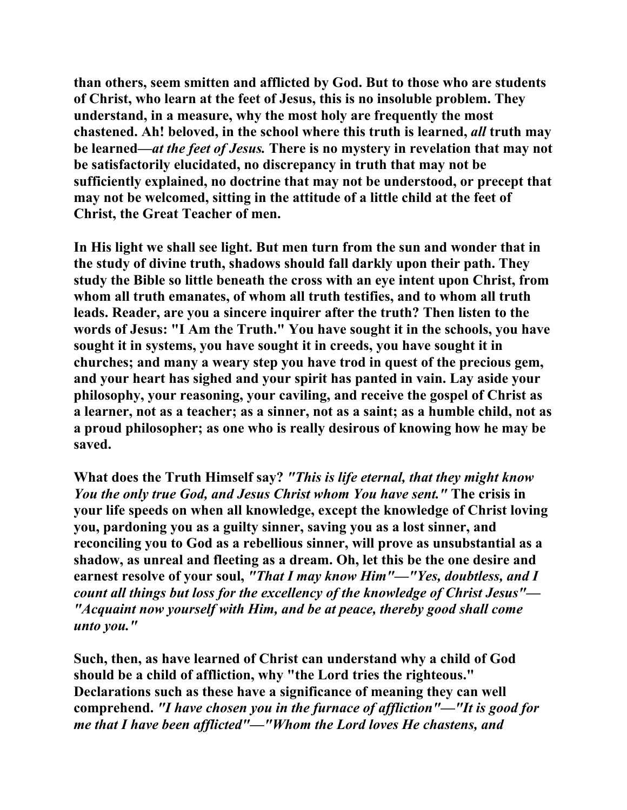**than others, seem smitten and afflicted by God. But to those who are students of Christ, who learn at the feet of Jesus, this is no insoluble problem. They understand, in a measure, why the most holy are frequently the most chastened. Ah! beloved, in the school where this truth is learned,** *all* **truth may be learned—***at the feet of Jesus.* **There is no mystery in revelation that may not be satisfactorily elucidated, no discrepancy in truth that may not be sufficiently explained, no doctrine that may not be understood, or precept that may not be welcomed, sitting in the attitude of a little child at the feet of Christ, the Great Teacher of men.** 

**In His light we shall see light. But men turn from the sun and wonder that in the study of divine truth, shadows should fall darkly upon their path. They study the Bible so little beneath the cross with an eye intent upon Christ, from whom all truth emanates, of whom all truth testifies, and to whom all truth leads. Reader, are you a sincere inquirer after the truth? Then listen to the words of Jesus: "I Am the Truth." You have sought it in the schools, you have sought it in systems, you have sought it in creeds, you have sought it in churches; and many a weary step you have trod in quest of the precious gem, and your heart has sighed and your spirit has panted in vain. Lay aside your philosophy, your reasoning, your caviling, and receive the gospel of Christ as a learner, not as a teacher; as a sinner, not as a saint; as a humble child, not as a proud philosopher; as one who is really desirous of knowing how he may be saved.** 

**What does the Truth Himself say?** *"This is life eternal, that they might know You the only true God, and Jesus Christ whom You have sent."* **The crisis in your life speeds on when all knowledge, except the knowledge of Christ loving you, pardoning you as a guilty sinner, saving you as a lost sinner, and reconciling you to God as a rebellious sinner, will prove as unsubstantial as a shadow, as unreal and fleeting as a dream. Oh, let this be the one desire and earnest resolve of your soul,** *"That I may know Him"—"Yes, doubtless, and I count all things but loss for the excellency of the knowledge of Christ Jesus"— "Acquaint now yourself with Him, and be at peace, thereby good shall come unto you."*

**Such, then, as have learned of Christ can understand why a child of God should be a child of affliction, why "the Lord tries the righteous." Declarations such as these have a significance of meaning they can well comprehend.** *"I have chosen you in the furnace of affliction"—"It is good for me that I have been afflicted"—"Whom the Lord loves He chastens, and*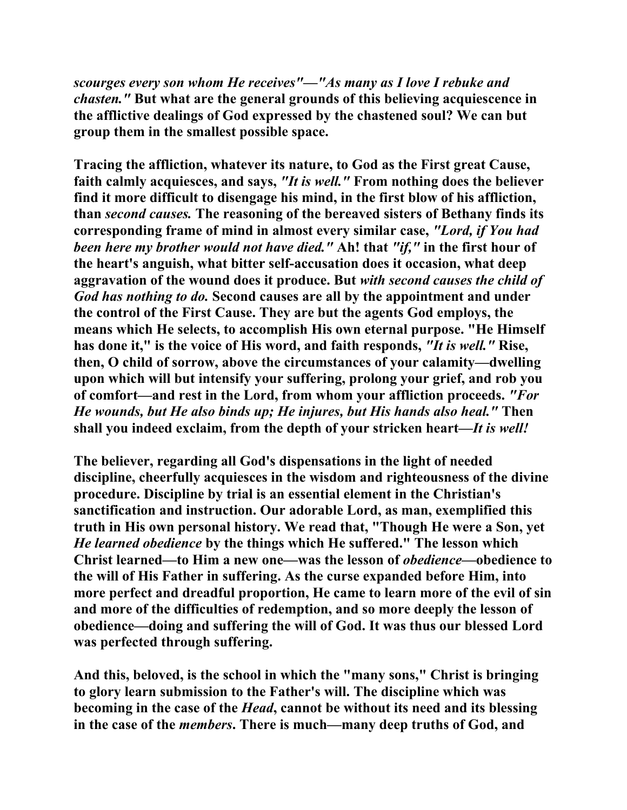*scourges every son whom He receives"—"As many as I love I rebuke and chasten."* **But what are the general grounds of this believing acquiescence in the afflictive dealings of God expressed by the chastened soul? We can but group them in the smallest possible space.** 

**Tracing the affliction, whatever its nature, to God as the First great Cause, faith calmly acquiesces, and says,** *"It is well."* **From nothing does the believer find it more difficult to disengage his mind, in the first blow of his affliction, than** *second causes.* **The reasoning of the bereaved sisters of Bethany finds its corresponding frame of mind in almost every similar case,** *"Lord, if You had been here my brother would not have died."* **Ah! that** *"if,"* **in the first hour of the heart's anguish, what bitter self-accusation does it occasion, what deep aggravation of the wound does it produce. But** *with second causes the child of God has nothing to do.* **Second causes are all by the appointment and under the control of the First Cause. They are but the agents God employs, the means which He selects, to accomplish His own eternal purpose. "He Himself has done it," is the voice of His word, and faith responds,** *"It is well."* **Rise, then, O child of sorrow, above the circumstances of your calamity—dwelling upon which will but intensify your suffering, prolong your grief, and rob you of comfort—and rest in the Lord, from whom your affliction proceeds.** *"For He wounds, but He also binds up; He injures, but His hands also heal."* **Then shall you indeed exclaim, from the depth of your stricken heart—***It is well!*

**The believer, regarding all God's dispensations in the light of needed discipline, cheerfully acquiesces in the wisdom and righteousness of the divine procedure. Discipline by trial is an essential element in the Christian's sanctification and instruction. Our adorable Lord, as man, exemplified this truth in His own personal history. We read that, "Though He were a Son, yet**  *He learned obedience* **by the things which He suffered." The lesson which Christ learned—to Him a new one—was the lesson of** *obedience***—obedience to the will of His Father in suffering. As the curse expanded before Him, into more perfect and dreadful proportion, He came to learn more of the evil of sin and more of the difficulties of redemption, and so more deeply the lesson of obedience—doing and suffering the will of God. It was thus our blessed Lord was perfected through suffering.** 

**And this, beloved, is the school in which the "many sons," Christ is bringing to glory learn submission to the Father's will. The discipline which was becoming in the case of the** *Head***, cannot be without its need and its blessing in the case of the** *members***. There is much—many deep truths of God, and**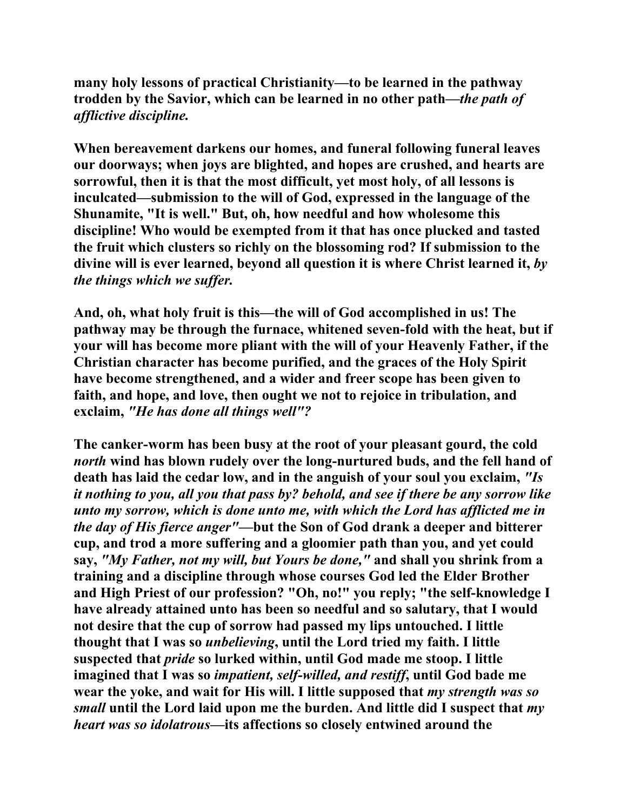**many holy lessons of practical Christianity—to be learned in the pathway trodden by the Savior, which can be learned in no other path—***the path of afflictive discipline.* 

**When bereavement darkens our homes, and funeral following funeral leaves our doorways; when joys are blighted, and hopes are crushed, and hearts are sorrowful, then it is that the most difficult, yet most holy, of all lessons is inculcated—submission to the will of God, expressed in the language of the Shunamite, "It is well." But, oh, how needful and how wholesome this discipline! Who would be exempted from it that has once plucked and tasted the fruit which clusters so richly on the blossoming rod? If submission to the divine will is ever learned, beyond all question it is where Christ learned it,** *by the things which we suffer.* 

**And, oh, what holy fruit is this—the will of God accomplished in us! The pathway may be through the furnace, whitened seven-fold with the heat, but if your will has become more pliant with the will of your Heavenly Father, if the Christian character has become purified, and the graces of the Holy Spirit have become strengthened, and a wider and freer scope has been given to faith, and hope, and love, then ought we not to rejoice in tribulation, and exclaim,** *"He has done all things well"?* 

**The canker-worm has been busy at the root of your pleasant gourd, the cold**  *north* **wind has blown rudely over the long-nurtured buds, and the fell hand of death has laid the cedar low, and in the anguish of your soul you exclaim,** *"Is it nothing to you, all you that pass by? behold, and see if there be any sorrow like unto my sorrow, which is done unto me, with which the Lord has afflicted me in the day of His fierce anger"***—but the Son of God drank a deeper and bitterer cup, and trod a more suffering and a gloomier path than you, and yet could say,** *"My Father, not my will, but Yours be done,"* **and shall you shrink from a training and a discipline through whose courses God led the Elder Brother and High Priest of our profession? "Oh, no!" you reply; "the self-knowledge I have already attained unto has been so needful and so salutary, that I would not desire that the cup of sorrow had passed my lips untouched. I little thought that I was so** *unbelieving***, until the Lord tried my faith. I little suspected that** *pride* **so lurked within, until God made me stoop. I little imagined that I was so** *impatient, self-willed, and restiff***, until God bade me wear the yoke, and wait for His will. I little supposed that** *my strength was so small* **until the Lord laid upon me the burden. And little did I suspect that** *my heart was so idolatrous***—its affections so closely entwined around the**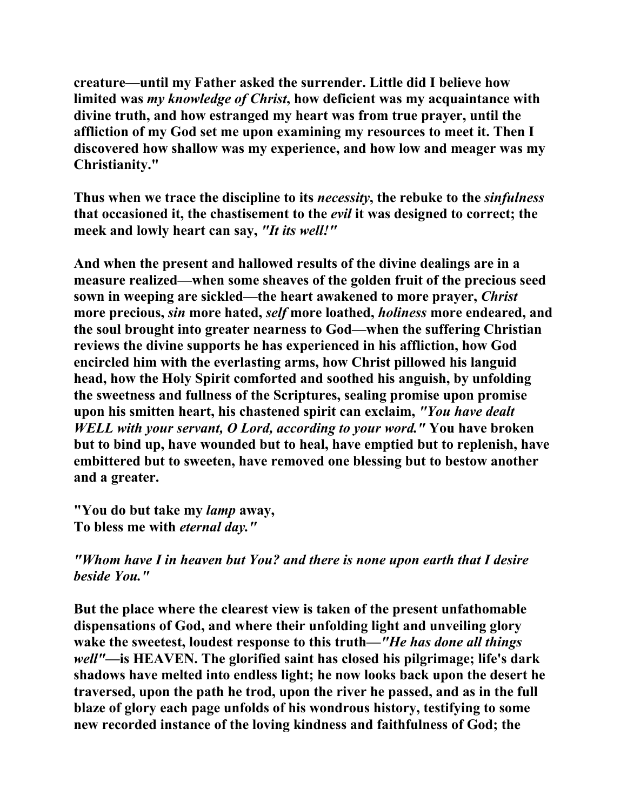**creature—until my Father asked the surrender. Little did I believe how limited was** *my knowledge of Christ***, how deficient was my acquaintance with divine truth, and how estranged my heart was from true prayer, until the affliction of my God set me upon examining my resources to meet it. Then I discovered how shallow was my experience, and how low and meager was my Christianity."** 

**Thus when we trace the discipline to its** *necessity***, the rebuke to the** *sinfulness* **that occasioned it, the chastisement to the** *evil* **it was designed to correct; the meek and lowly heart can say,** *"It its well!"*

**And when the present and hallowed results of the divine dealings are in a measure realized—when some sheaves of the golden fruit of the precious seed sown in weeping are sickled—the heart awakened to more prayer,** *Christ* **more precious,** *sin* **more hated,** *self* **more loathed,** *holiness* **more endeared, and the soul brought into greater nearness to God—when the suffering Christian reviews the divine supports he has experienced in his affliction, how God encircled him with the everlasting arms, how Christ pillowed his languid head, how the Holy Spirit comforted and soothed his anguish, by unfolding the sweetness and fullness of the Scriptures, sealing promise upon promise upon his smitten heart, his chastened spirit can exclaim,** *"You have dealt WELL with your servant, O Lord, according to your word."* **You have broken but to bind up, have wounded but to heal, have emptied but to replenish, have embittered but to sweeten, have removed one blessing but to bestow another and a greater.** 

**"You do but take my** *lamp* **away, To bless me with** *eternal day."*

*"Whom have I in heaven but You? and there is none upon earth that I desire beside You."*

**But the place where the clearest view is taken of the present unfathomable dispensations of God, and where their unfolding light and unveiling glory wake the sweetest, loudest response to this truth—***"He has done all things well"***—is HEAVEN. The glorified saint has closed his pilgrimage; life's dark shadows have melted into endless light; he now looks back upon the desert he traversed, upon the path he trod, upon the river he passed, and as in the full blaze of glory each page unfolds of his wondrous history, testifying to some new recorded instance of the loving kindness and faithfulness of God; the**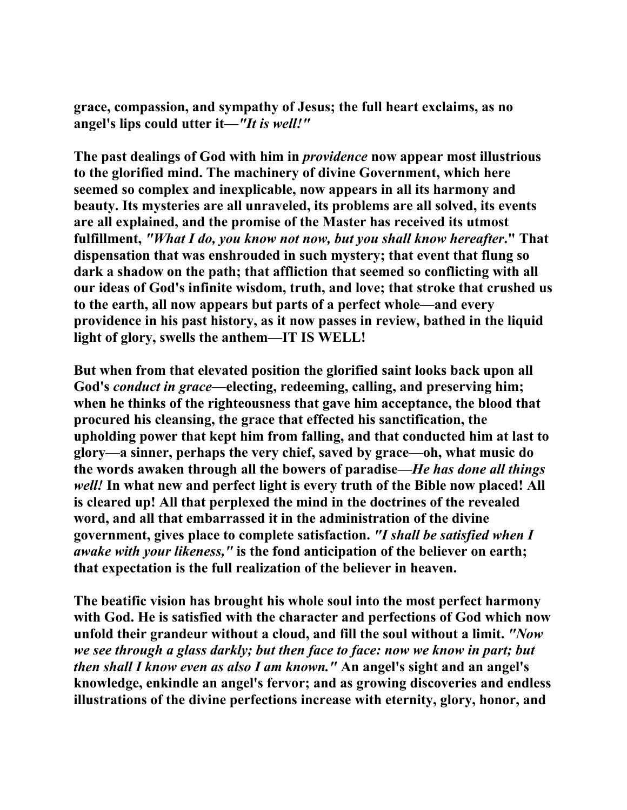**grace, compassion, and sympathy of Jesus; the full heart exclaims, as no angel's lips could utter it***—"It is well!"* 

**The past dealings of God with him in** *providence* **now appear most illustrious to the glorified mind. The machinery of divine Government, which here seemed so complex and inexplicable, now appears in all its harmony and beauty. Its mysteries are all unraveled, its problems are all solved, its events are all explained, and the promise of the Master has received its utmost fulfillment,** *"What I do, you know not now, but you shall know hereafter***." That dispensation that was enshrouded in such mystery; that event that flung so dark a shadow on the path; that affliction that seemed so conflicting with all our ideas of God's infinite wisdom, truth, and love; that stroke that crushed us to the earth, all now appears but parts of a perfect whole—and every providence in his past history, as it now passes in review, bathed in the liquid light of glory, swells the anthem—IT IS WELL!** 

**But when from that elevated position the glorified saint looks back upon all God's** *conduct in grace***—electing, redeeming, calling, and preserving him; when he thinks of the righteousness that gave him acceptance, the blood that procured his cleansing, the grace that effected his sanctification, the upholding power that kept him from falling, and that conducted him at last to glory—a sinner, perhaps the very chief, saved by grace—oh, what music do the words awaken through all the bowers of paradise—***He has done all things well!* **In what new and perfect light is every truth of the Bible now placed! All is cleared up! All that perplexed the mind in the doctrines of the revealed word, and all that embarrassed it in the administration of the divine government, gives place to complete satisfaction.** *"I shall be satisfied when I awake with your likeness,"* **is the fond anticipation of the believer on earth; that expectation is the full realization of the believer in heaven.** 

**The beatific vision has brought his whole soul into the most perfect harmony with God. He is satisfied with the character and perfections of God which now unfold their grandeur without a cloud, and fill the soul without a limit.** *"Now we see through a glass darkly; but then face to face: now we know in part; but then shall I know even as also I am known."* **An angel's sight and an angel's knowledge, enkindle an angel's fervor; and as growing discoveries and endless illustrations of the divine perfections increase with eternity, glory, honor, and**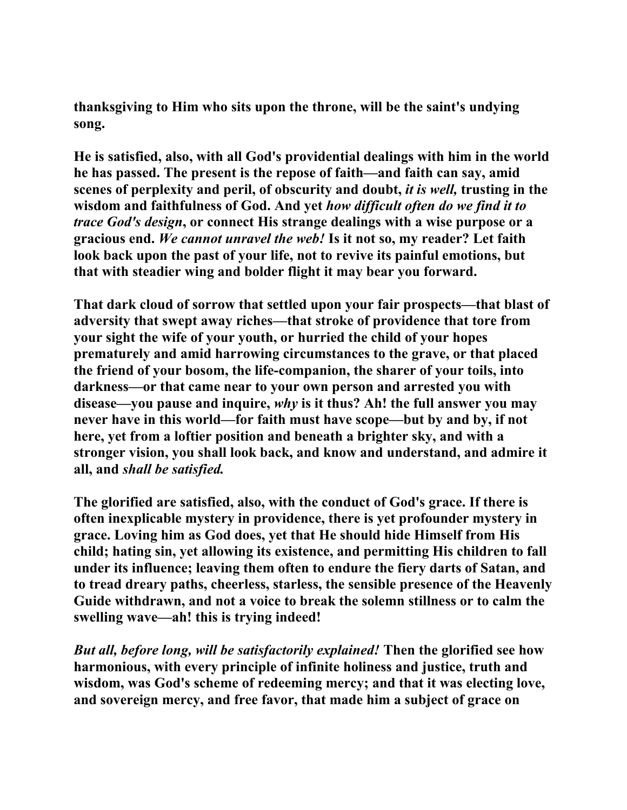**thanksgiving to Him who sits upon the throne, will be the saint's undying song.** 

**He is satisfied, also, with all God's providential dealings with him in the world he has passed. The present is the repose of faith—and faith can say, amid scenes of perplexity and peril, of obscurity and doubt,** *it is well,* **trusting in the wisdom and faithfulness of God. And yet** *how difficult often do we find it to trace God's design***, or connect His strange dealings with a wise purpose or a gracious end.** *We cannot unravel the web!* **Is it not so, my reader? Let faith look back upon the past of your life, not to revive its painful emotions, but that with steadier wing and bolder flight it may bear you forward.** 

**That dark cloud of sorrow that settled upon your fair prospects—that blast of adversity that swept away riches—that stroke of providence that tore from your sight the wife of your youth, or hurried the child of your hopes prematurely and amid harrowing circumstances to the grave, or that placed the friend of your bosom, the life-companion, the sharer of your toils, into darkness—or that came near to your own person and arrested you with disease—you pause and inquire,** *why* **is it thus? Ah! the full answer you may never have in this world—for faith must have scope—but by and by, if not here, yet from a loftier position and beneath a brighter sky, and with a stronger vision, you shall look back, and know and understand, and admire it all, and** *shall be satisfied.* 

**The glorified are satisfied, also, with the conduct of God's grace. If there is often inexplicable mystery in providence, there is yet profounder mystery in grace. Loving him as God does, yet that He should hide Himself from His child; hating sin, yet allowing its existence, and permitting His children to fall under its influence; leaving them often to endure the fiery darts of Satan, and to tread dreary paths, cheerless, starless, the sensible presence of the Heavenly Guide withdrawn, and not a voice to break the solemn stillness or to calm the swelling wave—ah! this is trying indeed!** 

*But all, before long, will be satisfactorily explained!* **Then the glorified see how harmonious, with every principle of infinite holiness and justice, truth and wisdom, was God's scheme of redeeming mercy; and that it was electing love, and sovereign mercy, and free favor, that made him a subject of grace on**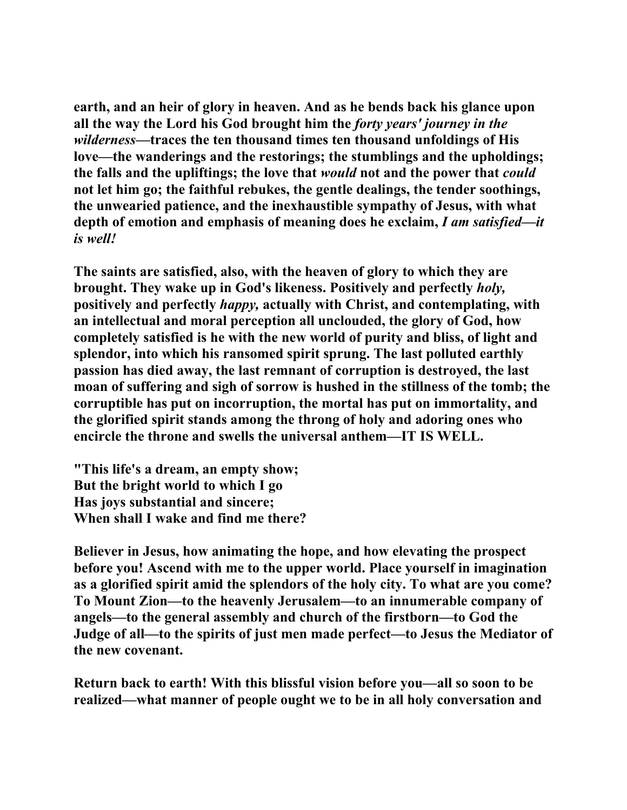**earth, and an heir of glory in heaven. And as he bends back his glance upon all the way the Lord his God brought him the** *forty years' journey in the wilderness***—traces the ten thousand times ten thousand unfoldings of His love—the wanderings and the restorings; the stumblings and the upholdings; the falls and the upliftings; the love that** *would* **not and the power that** *could* **not let him go; the faithful rebukes, the gentle dealings, the tender soothings, the unwearied patience, and the inexhaustible sympathy of Jesus, with what depth of emotion and emphasis of meaning does he exclaim,** *I am satisfied—it is well!* 

**The saints are satisfied, also, with the heaven of glory to which they are brought. They wake up in God's likeness. Positively and perfectly** *holy,*  **positively and perfectly** *happy,* **actually with Christ, and contemplating, with an intellectual and moral perception all unclouded, the glory of God, how completely satisfied is he with the new world of purity and bliss, of light and splendor, into which his ransomed spirit sprung. The last polluted earthly passion has died away, the last remnant of corruption is destroyed, the last moan of suffering and sigh of sorrow is hushed in the stillness of the tomb; the corruptible has put on incorruption, the mortal has put on immortality, and the glorified spirit stands among the throng of holy and adoring ones who encircle the throne and swells the universal anthem—IT IS WELL.** 

**"This life's a dream, an empty show; But the bright world to which I go Has joys substantial and sincere; When shall I wake and find me there?** 

**Believer in Jesus, how animating the hope, and how elevating the prospect before you! Ascend with me to the upper world. Place yourself in imagination as a glorified spirit amid the splendors of the holy city. To what are you come? To Mount Zion—to the heavenly Jerusalem—to an innumerable company of angels—to the general assembly and church of the firstborn—to God the Judge of all—to the spirits of just men made perfect—to Jesus the Mediator of the new covenant.** 

**Return back to earth! With this blissful vision before you—all so soon to be realized—what manner of people ought we to be in all holy conversation and**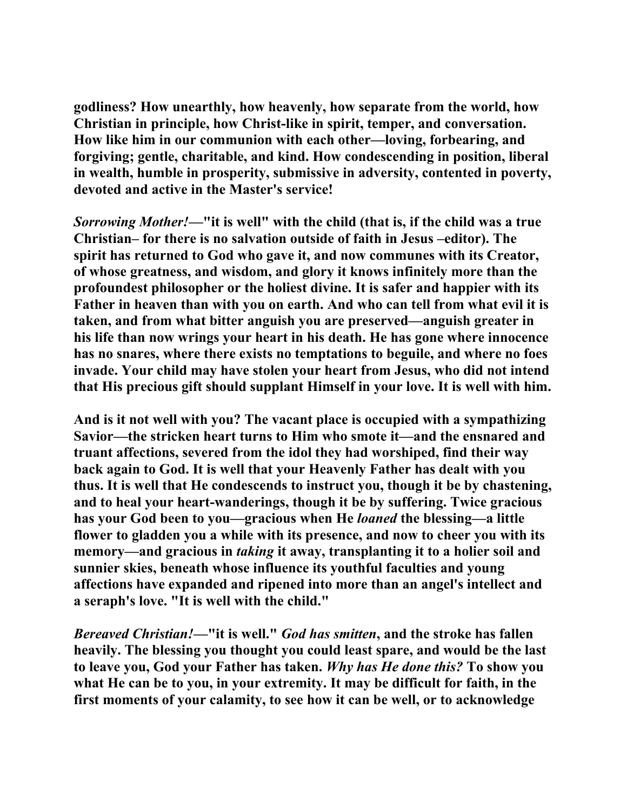**godliness? How unearthly, how heavenly, how separate from the world, how Christian in principle, how Christ-like in spirit, temper, and conversation. How like him in our communion with each other—loving, forbearing, and forgiving; gentle, charitable, and kind. How condescending in position, liberal in wealth, humble in prosperity, submissive in adversity, contented in poverty, devoted and active in the Master's service!** 

*Sorrowing Mother!***—"it is well" with the child (that is, if the child was a true Christian– for there is no salvation outside of faith in Jesus –editor). The spirit has returned to God who gave it, and now communes with its Creator, of whose greatness, and wisdom, and glory it knows infinitely more than the profoundest philosopher or the holiest divine. It is safer and happier with its Father in heaven than with you on earth. And who can tell from what evil it is taken, and from what bitter anguish you are preserved—anguish greater in his life than now wrings your heart in his death. He has gone where innocence has no snares, where there exists no temptations to beguile, and where no foes invade. Your child may have stolen your heart from Jesus, who did not intend that His precious gift should supplant Himself in your love. It is well with him.** 

**And is it not well with you? The vacant place is occupied with a sympathizing Savior—the stricken heart turns to Him who smote it—and the ensnared and truant affections, severed from the idol they had worshiped, find their way back again to God. It is well that your Heavenly Father has dealt with you thus. It is well that He condescends to instruct you, though it be by chastening, and to heal your heart-wanderings, though it be by suffering. Twice gracious has your God been to you—gracious when He** *loaned* **the blessing—a little flower to gladden you a while with its presence, and now to cheer you with its**  memory—and gracious in *taking* it away, transplanting it to a holier soil and **sunnier skies, beneath whose influence its youthful faculties and young affections have expanded and ripened into more than an angel's intellect and a seraph's love. "It is well with the child."** 

*Bereaved Christian!***—"it is well."** *God has smitten***, and the stroke has fallen heavily. The blessing you thought you could least spare, and would be the last to leave you, God your Father has taken.** *Why has He done this?* **To show you what He can be to you, in your extremity. It may be difficult for faith, in the first moments of your calamity, to see how it can be well, or to acknowledge**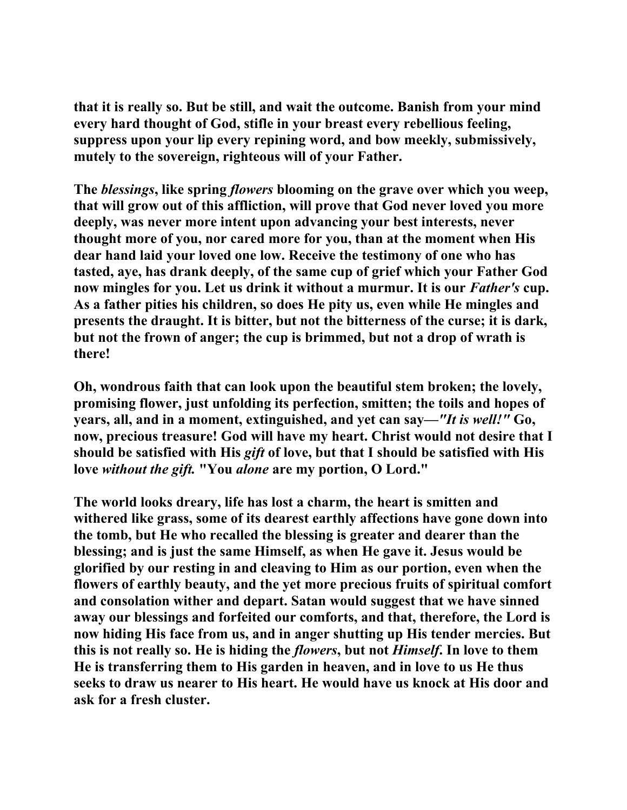**that it is really so. But be still, and wait the outcome. Banish from your mind every hard thought of God, stifle in your breast every rebellious feeling, suppress upon your lip every repining word, and bow meekly, submissively, mutely to the sovereign, righteous will of your Father.** 

**The** *blessings***, like spring** *flowers* **blooming on the grave over which you weep, that will grow out of this affliction, will prove that God never loved you more deeply, was never more intent upon advancing your best interests, never thought more of you, nor cared more for you, than at the moment when His dear hand laid your loved one low. Receive the testimony of one who has tasted, aye, has drank deeply, of the same cup of grief which your Father God now mingles for you.** Let us drink it without a murmur. It is our *Father's* cup. **As a father pities his children, so does He pity us, even while He mingles and presents the draught. It is bitter, but not the bitterness of the curse; it is dark, but not the frown of anger; the cup is brimmed, but not a drop of wrath is there!** 

**Oh, wondrous faith that can look upon the beautiful stem broken; the lovely, promising flower, just unfolding its perfection, smitten; the toils and hopes of years, all, and in a moment, extinguished, and yet can say—***"It is well!"* **Go, now, precious treasure! God will have my heart. Christ would not desire that I should be satisfied with His** *gift* **of love, but that I should be satisfied with His love** *without the gift.* **"You** *alone* **are my portion, O Lord."** 

**The world looks dreary, life has lost a charm, the heart is smitten and withered like grass, some of its dearest earthly affections have gone down into the tomb, but He who recalled the blessing is greater and dearer than the blessing; and is just the same Himself, as when He gave it. Jesus would be glorified by our resting in and cleaving to Him as our portion, even when the flowers of earthly beauty, and the yet more precious fruits of spiritual comfort and consolation wither and depart. Satan would suggest that we have sinned away our blessings and forfeited our comforts, and that, therefore, the Lord is now hiding His face from us, and in anger shutting up His tender mercies. But this is not really so. He is hiding the** *flowers***, but not** *Himself***. In love to them He is transferring them to His garden in heaven, and in love to us He thus seeks to draw us nearer to His heart. He would have us knock at His door and ask for a fresh cluster.**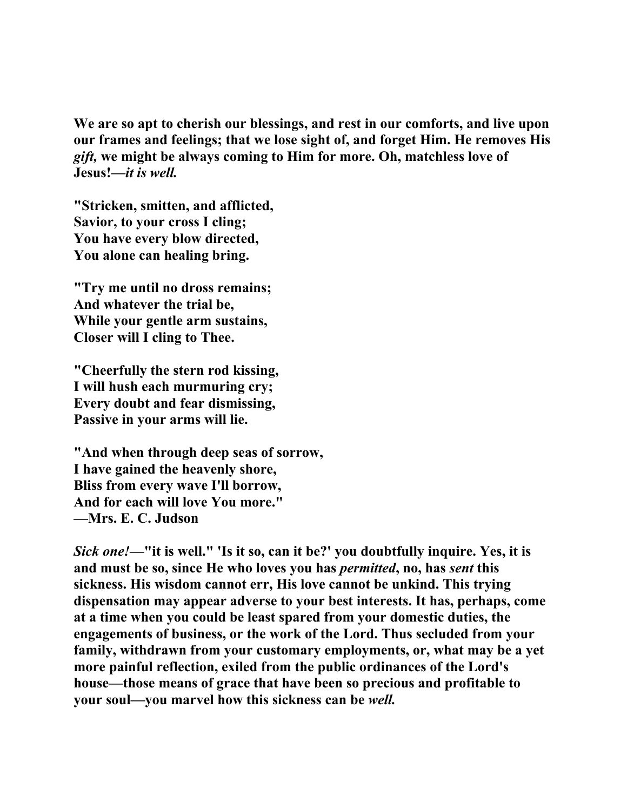**We are so apt to cherish our blessings, and rest in our comforts, and live upon our frames and feelings; that we lose sight of, and forget Him. He removes His**  *gift,* **we might be always coming to Him for more. Oh, matchless love of Jesus!—***it is well.*

**"Stricken, smitten, and afflicted, Savior, to your cross I cling; You have every blow directed, You alone can healing bring.** 

**"Try me until no dross remains; And whatever the trial be, While your gentle arm sustains, Closer will I cling to Thee.** 

**"Cheerfully the stern rod kissing, I will hush each murmuring cry; Every doubt and fear dismissing, Passive in your arms will lie.** 

**"And when through deep seas of sorrow, I have gained the heavenly shore, Bliss from every wave I'll borrow, And for each will love You more." —Mrs. E. C. Judson** 

*Sick one!***—"it is well." 'Is it so, can it be?' you doubtfully inquire. Yes, it is and must be so, since He who loves you has** *permitted***, no, has** *sent* **this sickness. His wisdom cannot err, His love cannot be unkind. This trying dispensation may appear adverse to your best interests. It has, perhaps, come at a time when you could be least spared from your domestic duties, the engagements of business, or the work of the Lord. Thus secluded from your family, withdrawn from your customary employments, or, what may be a yet more painful reflection, exiled from the public ordinances of the Lord's house—those means of grace that have been so precious and profitable to your soul—you marvel how this sickness can be** *well.*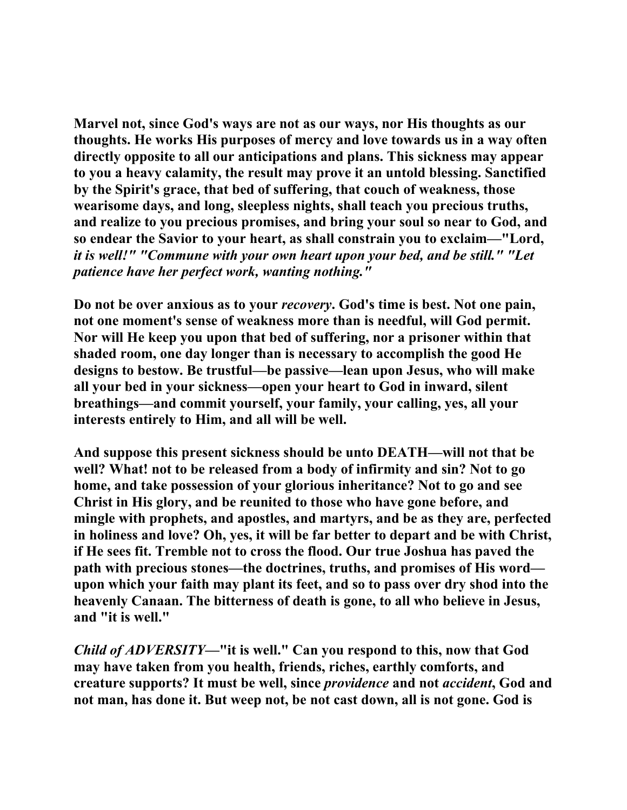**Marvel not, since God's ways are not as our ways, nor His thoughts as our thoughts. He works His purposes of mercy and love towards us in a way often directly opposite to all our anticipations and plans. This sickness may appear to you a heavy calamity, the result may prove it an untold blessing. Sanctified by the Spirit's grace, that bed of suffering, that couch of weakness, those wearisome days, and long, sleepless nights, shall teach you precious truths, and realize to you precious promises, and bring your soul so near to God, and so endear the Savior to your heart, as shall constrain you to exclaim—"Lord,**  *it is well!" "Commune with your own heart upon your bed, and be still." "Let patience have her perfect work, wanting nothing."* 

**Do not be over anxious as to your** *recovery***. God's time is best. Not one pain, not one moment's sense of weakness more than is needful, will God permit. Nor will He keep you upon that bed of suffering, nor a prisoner within that shaded room, one day longer than is necessary to accomplish the good He designs to bestow. Be trustful—be passive—lean upon Jesus, who will make all your bed in your sickness—open your heart to God in inward, silent breathings—and commit yourself, your family, your calling, yes, all your interests entirely to Him, and all will be well.** 

**And suppose this present sickness should be unto DEATH—will not that be well? What! not to be released from a body of infirmity and sin? Not to go home, and take possession of your glorious inheritance? Not to go and see Christ in His glory, and be reunited to those who have gone before, and mingle with prophets, and apostles, and martyrs, and be as they are, perfected in holiness and love? Oh, yes, it will be far better to depart and be with Christ, if He sees fit. Tremble not to cross the flood. Our true Joshua has paved the path with precious stones—the doctrines, truths, and promises of His word upon which your faith may plant its feet, and so to pass over dry shod into the heavenly Canaan. The bitterness of death is gone, to all who believe in Jesus, and "it is well."** 

*Child of ADVERSITY***—"it is well." Can you respond to this, now that God may have taken from you health, friends, riches, earthly comforts, and creature supports? It must be well, since** *providence* **and not** *accident***, God and not man, has done it. But weep not, be not cast down, all is not gone. God is**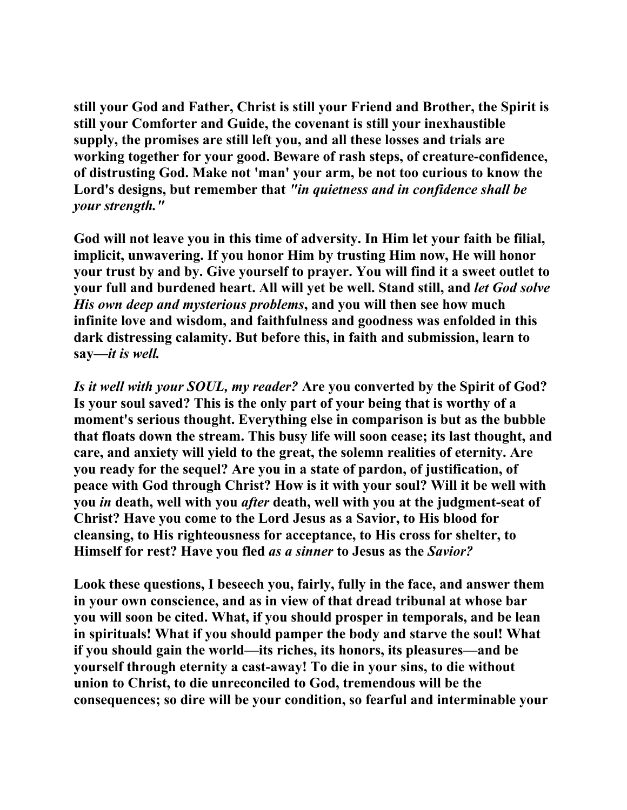**still your God and Father, Christ is still your Friend and Brother, the Spirit is still your Comforter and Guide, the covenant is still your inexhaustible supply, the promises are still left you, and all these losses and trials are working together for your good. Beware of rash steps, of creature-confidence, of distrusting God. Make not 'man' your arm, be not too curious to know the Lord's designs, but remember that** *"in quietness and in confidence shall be your strength."* 

**God will not leave you in this time of adversity. In Him let your faith be filial, implicit, unwavering. If you honor Him by trusting Him now, He will honor your trust by and by. Give yourself to prayer. You will find it a sweet outlet to your full and burdened heart. All will yet be well. Stand still, and** *let God solve His own deep and mysterious problems***, and you will then see how much infinite love and wisdom, and faithfulness and goodness was enfolded in this dark distressing calamity. But before this, in faith and submission, learn to say—***it is well.*

*Is it well with your SOUL, my reader?* **Are you converted by the Spirit of God? Is your soul saved? This is the only part of your being that is worthy of a moment's serious thought. Everything else in comparison is but as the bubble that floats down the stream. This busy life will soon cease; its last thought, and care, and anxiety will yield to the great, the solemn realities of eternity. Are you ready for the sequel? Are you in a state of pardon, of justification, of peace with God through Christ? How is it with your soul? Will it be well with you** *in* **death, well with you** *after* **death, well with you at the judgment-seat of Christ? Have you come to the Lord Jesus as a Savior, to His blood for cleansing, to His righteousness for acceptance, to His cross for shelter, to Himself for rest? Have you fled** *as a sinner* **to Jesus as the** *Savior?* 

**Look these questions, I beseech you, fairly, fully in the face, and answer them in your own conscience, and as in view of that dread tribunal at whose bar you will soon be cited. What, if you should prosper in temporals, and be lean in spirituals! What if you should pamper the body and starve the soul! What if you should gain the world—its riches, its honors, its pleasures—and be yourself through eternity a cast-away! To die in your sins, to die without union to Christ, to die unreconciled to God, tremendous will be the consequences; so dire will be your condition, so fearful and interminable your**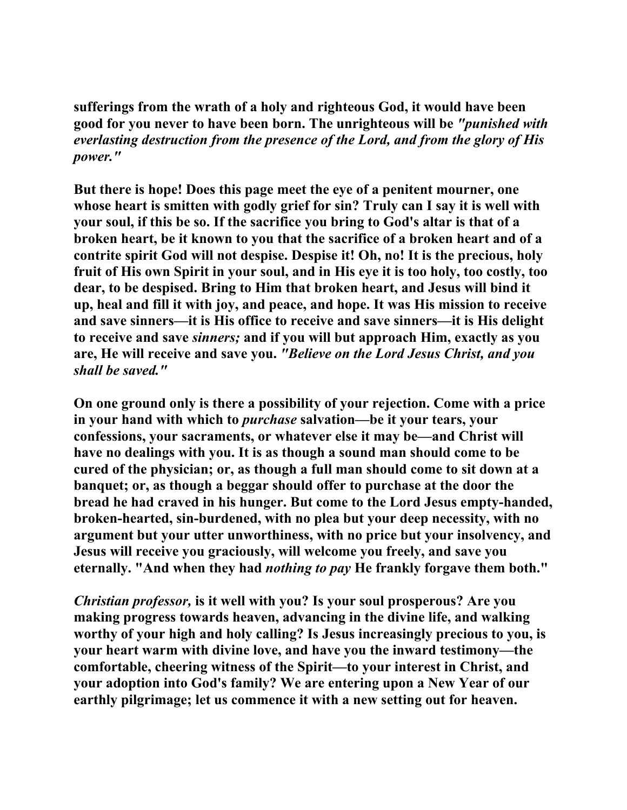**sufferings from the wrath of a holy and righteous God, it would have been good for you never to have been born. The unrighteous will be** *"punished with everlasting destruction from the presence of the Lord, and from the glory of His power."*

**But there is hope! Does this page meet the eye of a penitent mourner, one whose heart is smitten with godly grief for sin? Truly can I say it is well with your soul, if this be so. If the sacrifice you bring to God's altar is that of a broken heart, be it known to you that the sacrifice of a broken heart and of a contrite spirit God will not despise. Despise it! Oh, no! It is the precious, holy fruit of His own Spirit in your soul, and in His eye it is too holy, too costly, too dear, to be despised. Bring to Him that broken heart, and Jesus will bind it up, heal and fill it with joy, and peace, and hope. It was His mission to receive and save sinners—it is His office to receive and save sinners—it is His delight to receive and save** *sinners;* **and if you will but approach Him, exactly as you are, He will receive and save you.** *"Believe on the Lord Jesus Christ, and you shall be saved."*

**On one ground only is there a possibility of your rejection. Come with a price in your hand with which to** *purchase* **salvation—be it your tears, your confessions, your sacraments, or whatever else it may be—and Christ will have no dealings with you. It is as though a sound man should come to be cured of the physician; or, as though a full man should come to sit down at a banquet; or, as though a beggar should offer to purchase at the door the bread he had craved in his hunger. But come to the Lord Jesus empty-handed, broken-hearted, sin-burdened, with no plea but your deep necessity, with no argument but your utter unworthiness, with no price but your insolvency, and Jesus will receive you graciously, will welcome you freely, and save you eternally. "And when they had** *nothing to pay* **He frankly forgave them both."** 

*Christian professor,* **is it well with you? Is your soul prosperous? Are you making progress towards heaven, advancing in the divine life, and walking worthy of your high and holy calling? Is Jesus increasingly precious to you, is your heart warm with divine love, and have you the inward testimony—the comfortable, cheering witness of the Spirit—to your interest in Christ, and your adoption into God's family? We are entering upon a New Year of our earthly pilgrimage; let us commence it with a new setting out for heaven.**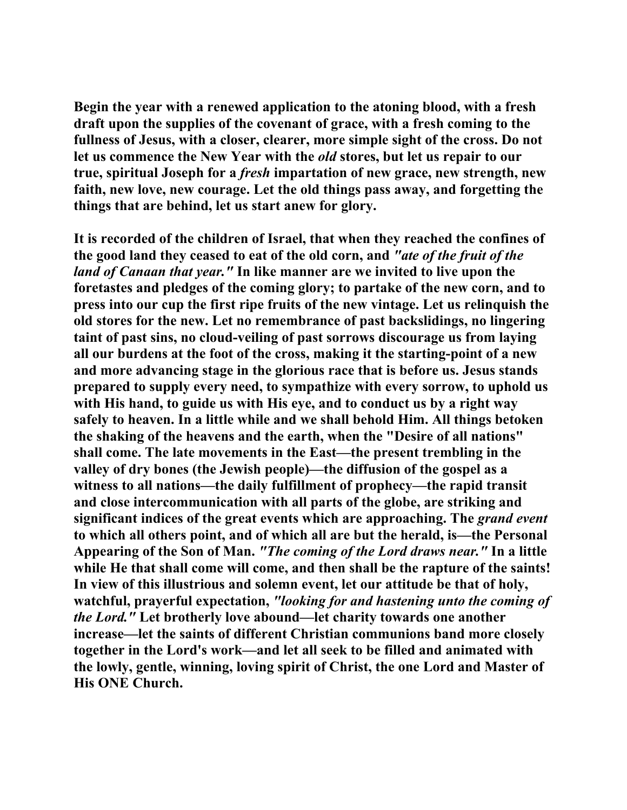**Begin the year with a renewed application to the atoning blood, with a fresh draft upon the supplies of the covenant of grace, with a fresh coming to the fullness of Jesus, with a closer, clearer, more simple sight of the cross. Do not let us commence the New Year with the** *old* **stores, but let us repair to our true, spiritual Joseph for a** *fresh* **impartation of new grace, new strength, new faith, new love, new courage. Let the old things pass away, and forgetting the things that are behind, let us start anew for glory.** 

**It is recorded of the children of Israel, that when they reached the confines of the good land they ceased to eat of the old corn, and** *"ate of the fruit of the land of Canaan that year."* **In like manner are we invited to live upon the foretastes and pledges of the coming glory; to partake of the new corn, and to press into our cup the first ripe fruits of the new vintage. Let us relinquish the old stores for the new. Let no remembrance of past backslidings, no lingering taint of past sins, no cloud-veiling of past sorrows discourage us from laying all our burdens at the foot of the cross, making it the starting-point of a new and more advancing stage in the glorious race that is before us. Jesus stands prepared to supply every need, to sympathize with every sorrow, to uphold us with His hand, to guide us with His eye, and to conduct us by a right way safely to heaven. In a little while and we shall behold Him. All things betoken the shaking of the heavens and the earth, when the "Desire of all nations" shall come. The late movements in the East—the present trembling in the valley of dry bones (the Jewish people)—the diffusion of the gospel as a witness to all nations—the daily fulfillment of prophecy—the rapid transit and close intercommunication with all parts of the globe, are striking and significant indices of the great events which are approaching. The** *grand event*  **to which all others point, and of which all are but the herald, is—the Personal Appearing of the Son of Man.** *"The coming of the Lord draws near."* **In a little while He that shall come will come, and then shall be the rapture of the saints! In view of this illustrious and solemn event, let our attitude be that of holy, watchful, prayerful expectation,** *"looking for and hastening unto the coming of the Lord."* **Let brotherly love abound—let charity towards one another increase—let the saints of different Christian communions band more closely together in the Lord's work—and let all seek to be filled and animated with the lowly, gentle, winning, loving spirit of Christ, the one Lord and Master of His ONE Church.**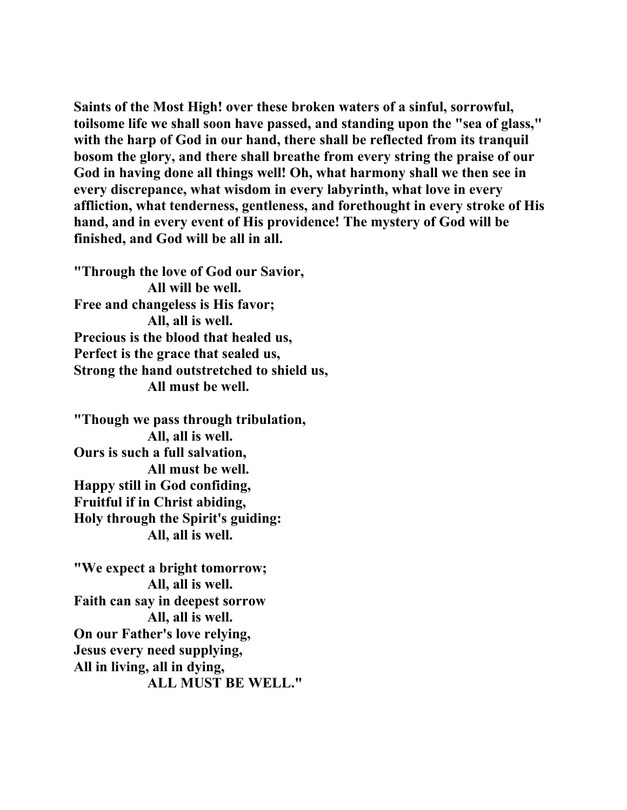**Saints of the Most High! over these broken waters of a sinful, sorrowful, toilsome life we shall soon have passed, and standing upon the "sea of glass," with the harp of God in our hand, there shall be reflected from its tranquil bosom the glory, and there shall breathe from every string the praise of our God in having done all things well! Oh, what harmony shall we then see in every discrepance, what wisdom in every labyrinth, what love in every affliction, what tenderness, gentleness, and forethought in every stroke of His hand, and in every event of His providence! The mystery of God will be finished, and God will be all in all.** 

**"Through the love of God our Savior, All will be well. Free and changeless is His favor; All, all is well. Precious is the blood that healed us, Perfect is the grace that sealed us, Strong the hand outstretched to shield us, All must be well.** 

**"Though we pass through tribulation, All, all is well. Ours is such a full salvation, All must be well. Happy still in God confiding, Fruitful if in Christ abiding, Holy through the Spirit's guiding: All, all is well.** 

**"We expect a bright tomorrow; All, all is well. Faith can say in deepest sorrow All, all is well. On our Father's love relying, Jesus every need supplying, All in living, all in dying, ALL MUST BE WELL."**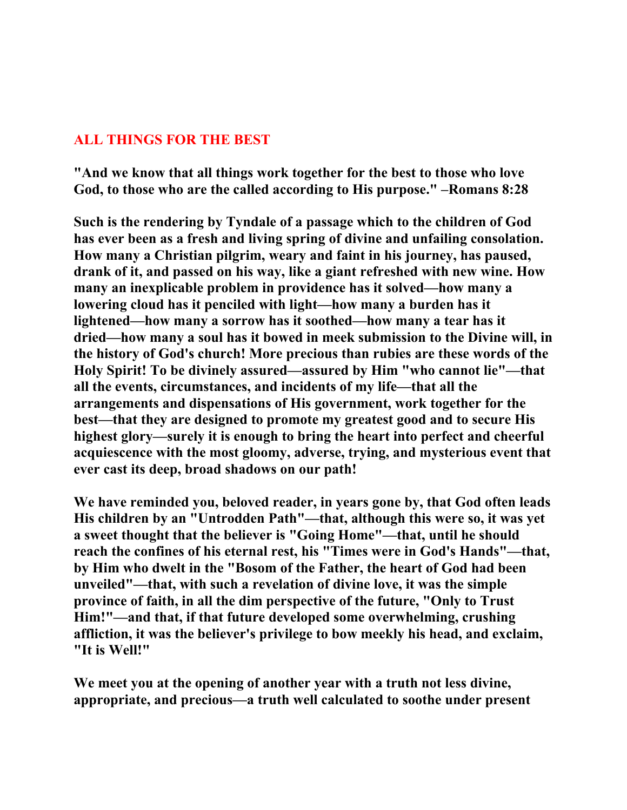## **ALL THINGS FOR THE BEST**

**"And we know that all things work together for the best to those who love God, to those who are the called according to His purpose." –Romans 8:28** 

**Such is the rendering by Tyndale of a passage which to the children of God has ever been as a fresh and living spring of divine and unfailing consolation. How many a Christian pilgrim, weary and faint in his journey, has paused, drank of it, and passed on his way, like a giant refreshed with new wine. How many an inexplicable problem in providence has it solved—how many a lowering cloud has it penciled with light—how many a burden has it lightened—how many a sorrow has it soothed—how many a tear has it dried—how many a soul has it bowed in meek submission to the Divine will, in the history of God's church! More precious than rubies are these words of the Holy Spirit! To be divinely assured—assured by Him "who cannot lie"—that all the events, circumstances, and incidents of my life—that all the arrangements and dispensations of His government, work together for the best—that they are designed to promote my greatest good and to secure His highest glory—surely it is enough to bring the heart into perfect and cheerful acquiescence with the most gloomy, adverse, trying, and mysterious event that ever cast its deep, broad shadows on our path!** 

**We have reminded you, beloved reader, in years gone by, that God often leads His children by an "Untrodden Path"—that, although this were so, it was yet a sweet thought that the believer is "Going Home"—that, until he should reach the confines of his eternal rest, his "Times were in God's Hands"—that, by Him who dwelt in the "Bosom of the Father, the heart of God had been unveiled"—that, with such a revelation of divine love, it was the simple province of faith, in all the dim perspective of the future, "Only to Trust Him!"—and that, if that future developed some overwhelming, crushing affliction, it was the believer's privilege to bow meekly his head, and exclaim, "It is Well!"** 

**We meet you at the opening of another year with a truth not less divine, appropriate, and precious—a truth well calculated to soothe under present**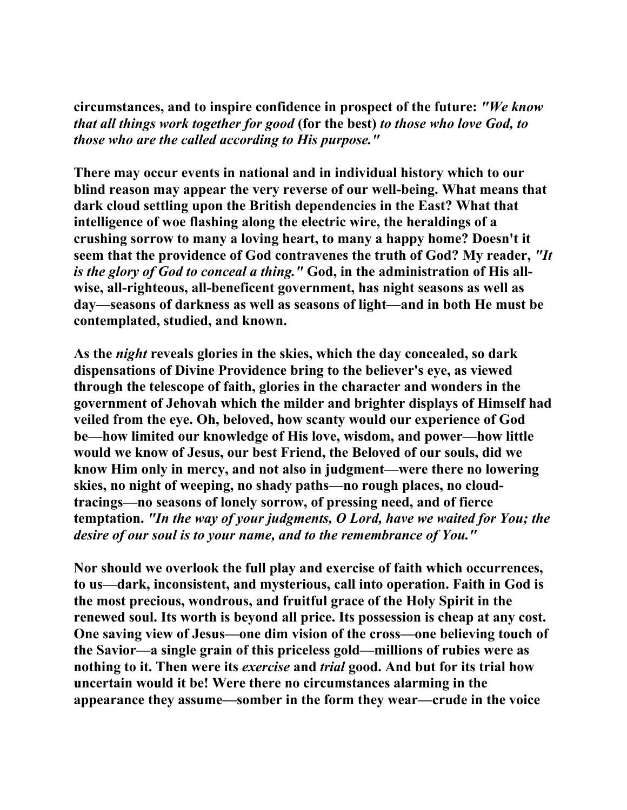**circumstances, and to inspire confidence in prospect of the future:** *"We know that all things work together for good* **(for the best)** *to those who love God, to those who are the called according to His purpose."*

**There may occur events in national and in individual history which to our blind reason may appear the very reverse of our well-being. What means that dark cloud settling upon the British dependencies in the East? What that intelligence of woe flashing along the electric wire, the heraldings of a crushing sorrow to many a loving heart, to many a happy home? Doesn't it seem that the providence of God contravenes the truth of God? My reader,** *"It is the glory of God to conceal a thing."* **God, in the administration of His allwise, all-righteous, all-beneficent government, has night seasons as well as day—seasons of darkness as well as seasons of light—and in both He must be contemplated, studied, and known.** 

**As the** *night* **reveals glories in the skies, which the day concealed, so dark dispensations of Divine Providence bring to the believer's eye, as viewed through the telescope of faith, glories in the character and wonders in the government of Jehovah which the milder and brighter displays of Himself had veiled from the eye. Oh, beloved, how scanty would our experience of God be—how limited our knowledge of His love, wisdom, and power—how little would we know of Jesus, our best Friend, the Beloved of our souls, did we know Him only in mercy, and not also in judgment—were there no lowering skies, no night of weeping, no shady paths—no rough places, no cloudtracings—no seasons of lonely sorrow, of pressing need, and of fierce temptation.** *"In the way of your judgments, O Lord, have we waited for You; the desire of our soul is to your name, and to the remembrance of You."*

**Nor should we overlook the full play and exercise of faith which occurrences, to us—dark, inconsistent, and mysterious, call into operation. Faith in God is the most precious, wondrous, and fruitful grace of the Holy Spirit in the renewed soul. Its worth is beyond all price. Its possession is cheap at any cost. One saving view of Jesus—one dim vision of the cross—one believing touch of the Savior—a single grain of this priceless gold—millions of rubies were as nothing to it. Then were its** *exercise* **and** *trial* **good. And but for its trial how uncertain would it be! Were there no circumstances alarming in the appearance they assume—somber in the form they wear—crude in the voice**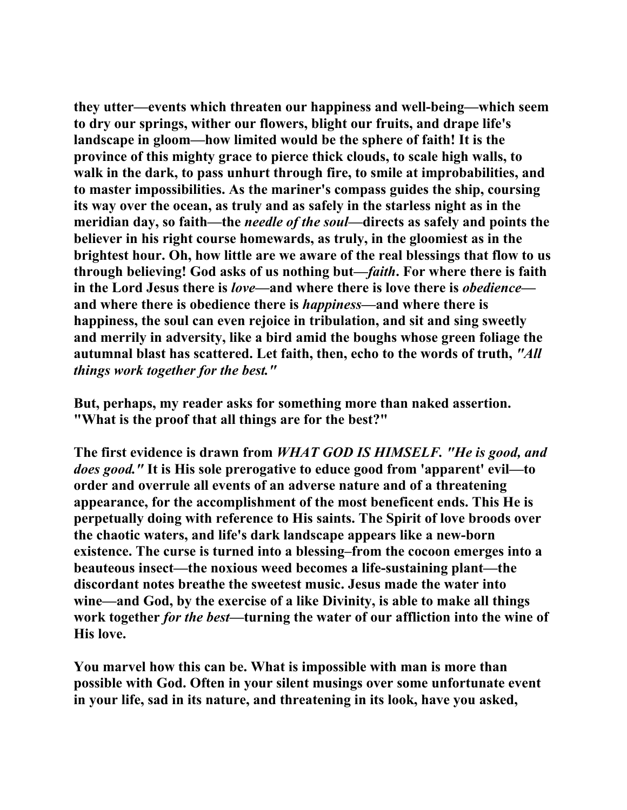**they utter—events which threaten our happiness and well-being—which seem to dry our springs, wither our flowers, blight our fruits, and drape life's landscape in gloom—how limited would be the sphere of faith! It is the province of this mighty grace to pierce thick clouds, to scale high walls, to walk in the dark, to pass unhurt through fire, to smile at improbabilities, and to master impossibilities. As the mariner's compass guides the ship, coursing its way over the ocean, as truly and as safely in the starless night as in the meridian day, so faith—the** *needle of the soul***—directs as safely and points the believer in his right course homewards, as truly, in the gloomiest as in the brightest hour. Oh, how little are we aware of the real blessings that flow to us through believing! God asks of us nothing but—***faith***. For where there is faith in the Lord Jesus there is** *love***—and where there is love there is** *obedience* **and where there is obedience there is** *happiness***—and where there is happiness, the soul can even rejoice in tribulation, and sit and sing sweetly and merrily in adversity, like a bird amid the boughs whose green foliage the autumnal blast has scattered. Let faith, then, echo to the words of truth,** *"All things work together for the best."*

**But, perhaps, my reader asks for something more than naked assertion. "What is the proof that all things are for the best?"** 

**The first evidence is drawn from** *WHAT GOD IS HIMSELF. "He is good, and does good."* **It is His sole prerogative to educe good from 'apparent' evil—to order and overrule all events of an adverse nature and of a threatening appearance, for the accomplishment of the most beneficent ends. This He is perpetually doing with reference to His saints. The Spirit of love broods over the chaotic waters, and life's dark landscape appears like a new-born existence. The curse is turned into a blessing–from the cocoon emerges into a beauteous insect—the noxious weed becomes a life-sustaining plant—the discordant notes breathe the sweetest music. Jesus made the water into wine—and God, by the exercise of a like Divinity, is able to make all things work together** *for the best***—turning the water of our affliction into the wine of His love.** 

**You marvel how this can be. What is impossible with man is more than possible with God. Often in your silent musings over some unfortunate event in your life, sad in its nature, and threatening in its look, have you asked,**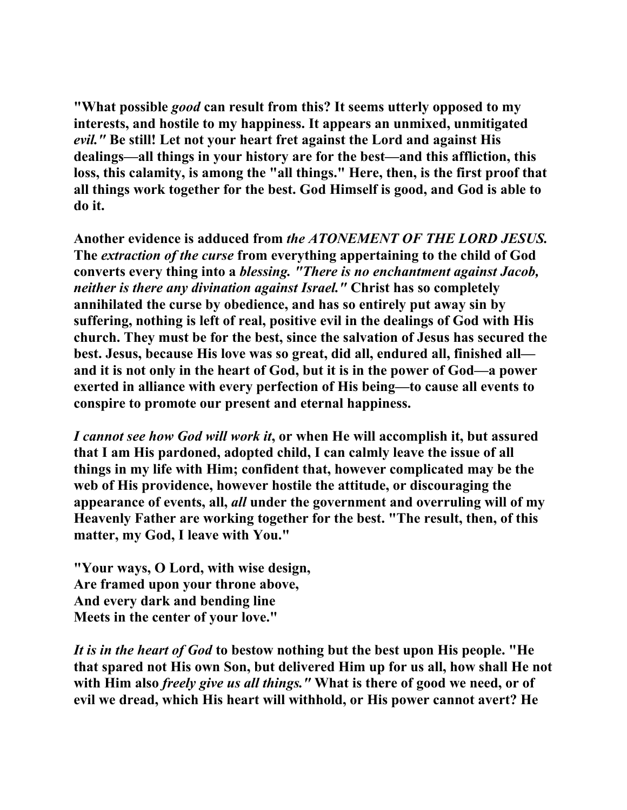**"What possible** *good* **can result from this? It seems utterly opposed to my interests, and hostile to my happiness. It appears an unmixed, unmitigated**  *evil."* **Be still! Let not your heart fret against the Lord and against His dealings—all things in your history are for the best—and this affliction, this loss, this calamity, is among the "all things." Here, then, is the first proof that all things work together for the best. God Himself is good, and God is able to do it.** 

**Another evidence is adduced from** *the ATONEMENT OF THE LORD JESUS.*  **The** *extraction of the curse* **from everything appertaining to the child of God converts every thing into a** *blessing. "There is no enchantment against Jacob, neither is there any divination against Israel."* **Christ has so completely annihilated the curse by obedience, and has so entirely put away sin by suffering, nothing is left of real, positive evil in the dealings of God with His church. They must be for the best, since the salvation of Jesus has secured the best. Jesus, because His love was so great, did all, endured all, finished all and it is not only in the heart of God, but it is in the power of God—a power exerted in alliance with every perfection of His being—to cause all events to conspire to promote our present and eternal happiness.** 

*I cannot see how God will work it***, or when He will accomplish it, but assured that I am His pardoned, adopted child, I can calmly leave the issue of all things in my life with Him; confident that, however complicated may be the web of His providence, however hostile the attitude, or discouraging the appearance of events, all,** *all* **under the government and overruling will of my Heavenly Father are working together for the best. "The result, then, of this matter, my God, I leave with You."** 

**"Your ways, O Lord, with wise design, Are framed upon your throne above, And every dark and bending line Meets in the center of your love."** 

*It is in the heart of God* **to bestow nothing but the best upon His people. "He that spared not His own Son, but delivered Him up for us all, how shall He not with Him also** *freely give us all things."* **What is there of good we need, or of evil we dread, which His heart will withhold, or His power cannot avert? He**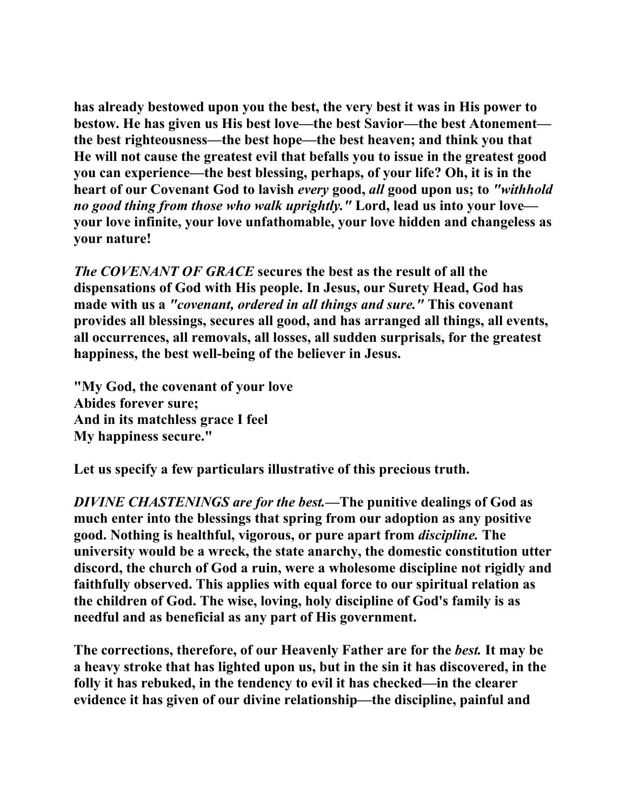**has already bestowed upon you the best, the very best it was in His power to bestow. He has given us His best love—the best Savior—the best Atonement the best righteousness—the best hope—the best heaven; and think you that He will not cause the greatest evil that befalls you to issue in the greatest good you can experience—the best blessing, perhaps, of your life? Oh, it is in the heart of our Covenant God to lavish** *every* **good,** *all* **good upon us; to** *"withhold no good thing from those who walk uprightly."* **Lord, lead us into your love your love infinite, your love unfathomable, your love hidden and changeless as your nature!** 

*The COVENANT OF GRACE* **secures the best as the result of all the dispensations of God with His people. In Jesus, our Surety Head, God has made with us a** *"covenant, ordered in all things and sure."* **This covenant provides all blessings, secures all good, and has arranged all things, all events, all occurrences, all removals, all losses, all sudden surprisals, for the greatest happiness, the best well-being of the believer in Jesus.** 

**"My God, the covenant of your love Abides forever sure; And in its matchless grace I feel My happiness secure."** 

**Let us specify a few particulars illustrative of this precious truth.** 

*DIVINE CHASTENINGS are for the best.***—The punitive dealings of God as much enter into the blessings that spring from our adoption as any positive good. Nothing is healthful, vigorous, or pure apart from** *discipline.* **The university would be a wreck, the state anarchy, the domestic constitution utter discord, the church of God a ruin, were a wholesome discipline not rigidly and faithfully observed. This applies with equal force to our spiritual relation as the children of God. The wise, loving, holy discipline of God's family is as needful and as beneficial as any part of His government.** 

**The corrections, therefore, of our Heavenly Father are for the** *best.* **It may be a heavy stroke that has lighted upon us, but in the sin it has discovered, in the folly it has rebuked, in the tendency to evil it has checked—in the clearer evidence it has given of our divine relationship—the discipline, painful and**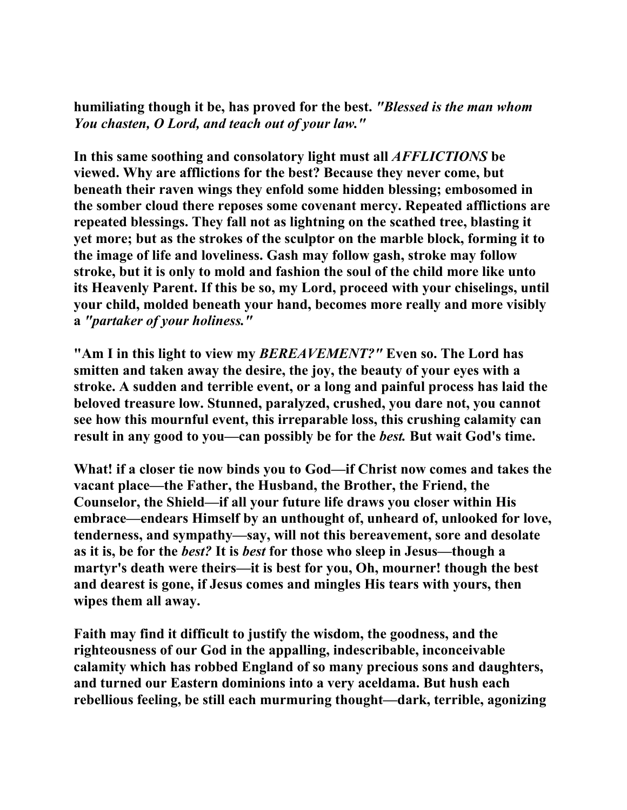**humiliating though it be, has proved for the best.** *"Blessed is the man whom You chasten, O Lord, and teach out of your law."*

**In this same soothing and consolatory light must all** *AFFLICTIONS* **be viewed. Why are afflictions for the best? Because they never come, but beneath their raven wings they enfold some hidden blessing; embosomed in the somber cloud there reposes some covenant mercy. Repeated afflictions are repeated blessings. They fall not as lightning on the scathed tree, blasting it yet more; but as the strokes of the sculptor on the marble block, forming it to the image of life and loveliness. Gash may follow gash, stroke may follow stroke, but it is only to mold and fashion the soul of the child more like unto its Heavenly Parent. If this be so, my Lord, proceed with your chiselings, until your child, molded beneath your hand, becomes more really and more visibly a** *"partaker of your holiness."*

**"Am I in this light to view my** *BEREAVEMENT?"* **Even so. The Lord has smitten and taken away the desire, the joy, the beauty of your eyes with a stroke. A sudden and terrible event, or a long and painful process has laid the beloved treasure low. Stunned, paralyzed, crushed, you dare not, you cannot see how this mournful event, this irreparable loss, this crushing calamity can result in any good to you—can possibly be for the** *best.* **But wait God's time.** 

**What! if a closer tie now binds you to God—if Christ now comes and takes the vacant place—the Father, the Husband, the Brother, the Friend, the Counselor, the Shield—if all your future life draws you closer within His embrace—endears Himself by an unthought of, unheard of, unlooked for love, tenderness, and sympathy—say, will not this bereavement, sore and desolate as it is, be for the** *best?* **It is** *best* **for those who sleep in Jesus—though a martyr's death were theirs—it is best for you, Oh, mourner! though the best and dearest is gone, if Jesus comes and mingles His tears with yours, then wipes them all away.** 

**Faith may find it difficult to justify the wisdom, the goodness, and the righteousness of our God in the appalling, indescribable, inconceivable calamity which has robbed England of so many precious sons and daughters, and turned our Eastern dominions into a very aceldama. But hush each rebellious feeling, be still each murmuring thought—dark, terrible, agonizing**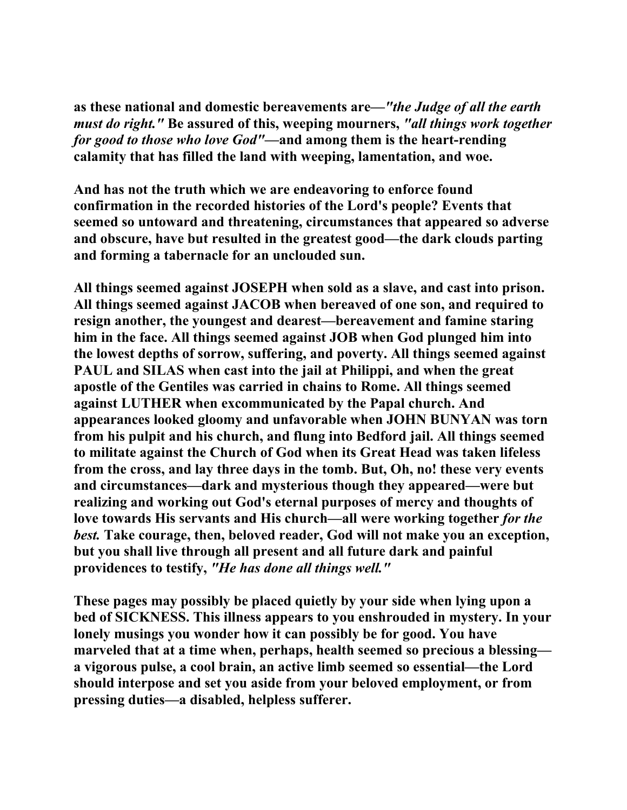**as these national and domestic bereavements are—***"the Judge of all the earth must do right."* **Be assured of this, weeping mourners,** *"all things work together for good to those who love God"***—and among them is the heart-rending calamity that has filled the land with weeping, lamentation, and woe.** 

**And has not the truth which we are endeavoring to enforce found confirmation in the recorded histories of the Lord's people? Events that seemed so untoward and threatening, circumstances that appeared so adverse and obscure, have but resulted in the greatest good—the dark clouds parting and forming a tabernacle for an unclouded sun.** 

**All things seemed against JOSEPH when sold as a slave, and cast into prison. All things seemed against JACOB when bereaved of one son, and required to resign another, the youngest and dearest—bereavement and famine staring him in the face. All things seemed against JOB when God plunged him into the lowest depths of sorrow, suffering, and poverty. All things seemed against PAUL and SILAS when cast into the jail at Philippi, and when the great apostle of the Gentiles was carried in chains to Rome. All things seemed against LUTHER when excommunicated by the Papal church. And appearances looked gloomy and unfavorable when JOHN BUNYAN was torn from his pulpit and his church, and flung into Bedford jail. All things seemed to militate against the Church of God when its Great Head was taken lifeless from the cross, and lay three days in the tomb. But, Oh, no! these very events and circumstances—dark and mysterious though they appeared—were but realizing and working out God's eternal purposes of mercy and thoughts of love towards His servants and His church—all were working together** *for the best.* **Take courage, then, beloved reader, God will not make you an exception, but you shall live through all present and all future dark and painful providences to testify,** *"He has done all things well."*

**These pages may possibly be placed quietly by your side when lying upon a bed of SICKNESS. This illness appears to you enshrouded in mystery. In your lonely musings you wonder how it can possibly be for good. You have marveled that at a time when, perhaps, health seemed so precious a blessing a vigorous pulse, a cool brain, an active limb seemed so essential—the Lord should interpose and set you aside from your beloved employment, or from pressing duties—a disabled, helpless sufferer.**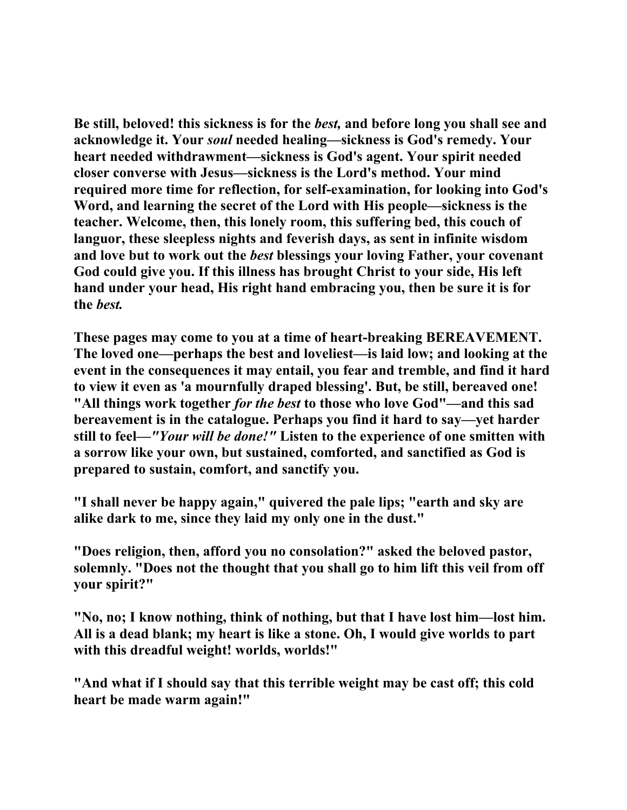**Be still, beloved! this sickness is for the** *best,* **and before long you shall see and acknowledge it. Your** *soul* **needed healing—sickness is God's remedy. Your heart needed withdrawment—sickness is God's agent. Your spirit needed closer converse with Jesus—sickness is the Lord's method. Your mind required more time for reflection, for self-examination, for looking into God's Word, and learning the secret of the Lord with His people—sickness is the teacher. Welcome, then, this lonely room, this suffering bed, this couch of languor, these sleepless nights and feverish days, as sent in infinite wisdom and love but to work out the** *best* **blessings your loving Father, your covenant God could give you. If this illness has brought Christ to your side, His left hand under your head, His right hand embracing you, then be sure it is for the** *best.*

**These pages may come to you at a time of heart-breaking BEREAVEMENT. The loved one—perhaps the best and loveliest—is laid low; and looking at the event in the consequences it may entail, you fear and tremble, and find it hard to view it even as 'a mournfully draped blessing'. But, be still, bereaved one! "All things work together** *for the best* **to those who love God"—and this sad bereavement is in the catalogue. Perhaps you find it hard to say—yet harder still to feel***—"Your will be done!"* **Listen to the experience of one smitten with a sorrow like your own, but sustained, comforted, and sanctified as God is prepared to sustain, comfort, and sanctify you.** 

**"I shall never be happy again," quivered the pale lips; "earth and sky are alike dark to me, since they laid my only one in the dust."** 

**"Does religion, then, afford you no consolation?" asked the beloved pastor, solemnly. "Does not the thought that you shall go to him lift this veil from off your spirit?"** 

**"No, no; I know nothing, think of nothing, but that I have lost him—lost him. All is a dead blank; my heart is like a stone. Oh, I would give worlds to part with this dreadful weight! worlds, worlds!"** 

**"And what if I should say that this terrible weight may be cast off; this cold heart be made warm again!"**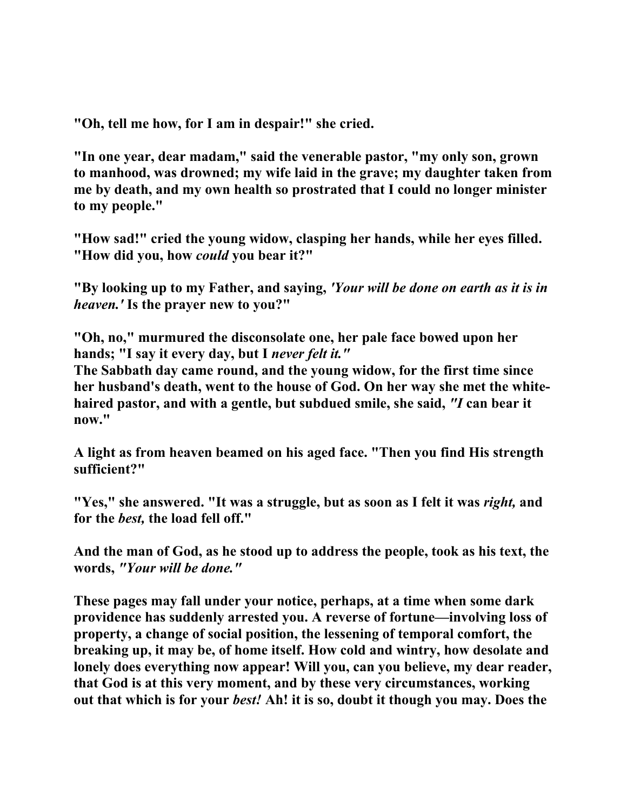**"Oh, tell me how, for I am in despair!" she cried.** 

**"In one year, dear madam," said the venerable pastor, "my only son, grown to manhood, was drowned; my wife laid in the grave; my daughter taken from me by death, and my own health so prostrated that I could no longer minister to my people."** 

**"How sad!" cried the young widow, clasping her hands, while her eyes filled. "How did you, how** *could* **you bear it?"** 

**"By looking up to my Father, and saying,** *'Your will be done on earth as it is in heaven.'* **Is the prayer new to you?"** 

**"Oh, no," murmured the disconsolate one, her pale face bowed upon her hands; "I say it every day, but I** *never felt it."*

**The Sabbath day came round, and the young widow, for the first time since her husband's death, went to the house of God. On her way she met the whitehaired pastor, and with a gentle, but subdued smile, she said,** *"I* **can bear it now."** 

**A light as from heaven beamed on his aged face. "Then you find His strength sufficient?"** 

**"Yes," she answered. "It was a struggle, but as soon as I felt it was** *right,* **and for the** *best,* **the load fell off."** 

**And the man of God, as he stood up to address the people, took as his text, the words,** *"Your will be done."*

**These pages may fall under your notice, perhaps, at a time when some dark providence has suddenly arrested you. A reverse of fortune—involving loss of property, a change of social position, the lessening of temporal comfort, the breaking up, it may be, of home itself. How cold and wintry, how desolate and lonely does everything now appear! Will you, can you believe, my dear reader, that God is at this very moment, and by these very circumstances, working out that which is for your** *best!* **Ah! it is so, doubt it though you may. Does the**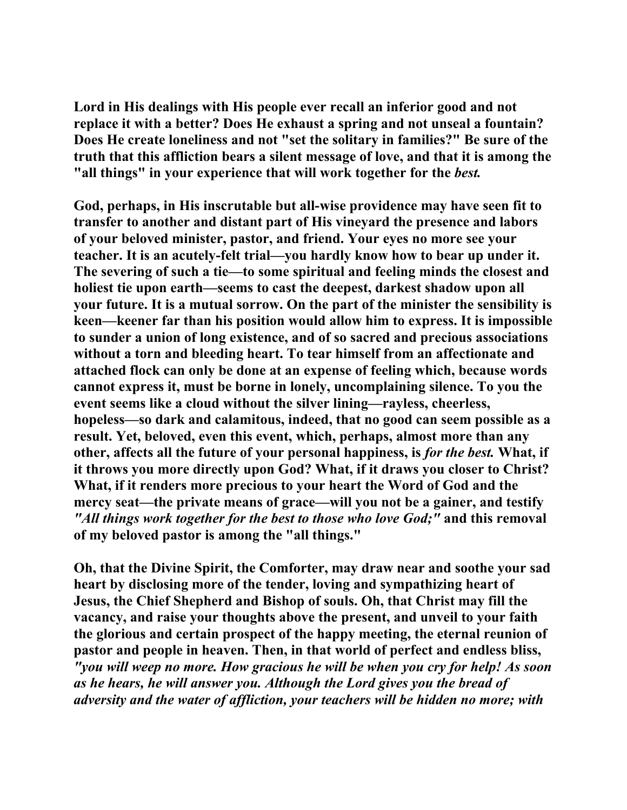**Lord in His dealings with His people ever recall an inferior good and not replace it with a better? Does He exhaust a spring and not unseal a fountain? Does He create loneliness and not "set the solitary in families?" Be sure of the truth that this affliction bears a silent message of love, and that it is among the "all things" in your experience that will work together for the** *best.*

**God, perhaps, in His inscrutable but all-wise providence may have seen fit to transfer to another and distant part of His vineyard the presence and labors of your beloved minister, pastor, and friend. Your eyes no more see your teacher. It is an acutely-felt trial—you hardly know how to bear up under it. The severing of such a tie—to some spiritual and feeling minds the closest and holiest tie upon earth—seems to cast the deepest, darkest shadow upon all your future. It is a mutual sorrow. On the part of the minister the sensibility is keen—keener far than his position would allow him to express. It is impossible to sunder a union of long existence, and of so sacred and precious associations without a torn and bleeding heart. To tear himself from an affectionate and attached flock can only be done at an expense of feeling which, because words cannot express it, must be borne in lonely, uncomplaining silence. To you the event seems like a cloud without the silver lining—rayless, cheerless, hopeless—so dark and calamitous, indeed, that no good can seem possible as a result. Yet, beloved, even this event, which, perhaps, almost more than any other, affects all the future of your personal happiness, is** *for the best.* **What, if it throws you more directly upon God? What, if it draws you closer to Christ? What, if it renders more precious to your heart the Word of God and the mercy seat—the private means of grace—will you not be a gainer, and testify**  *"All things work together for the best to those who love God;"* **and this removal of my beloved pastor is among the "all things."** 

**Oh, that the Divine Spirit, the Comforter, may draw near and soothe your sad heart by disclosing more of the tender, loving and sympathizing heart of Jesus, the Chief Shepherd and Bishop of souls. Oh, that Christ may fill the vacancy, and raise your thoughts above the present, and unveil to your faith the glorious and certain prospect of the happy meeting, the eternal reunion of pastor and people in heaven. Then, in that world of perfect and endless bliss,** *"you will weep no more. How gracious he will be when you cry for help! As soon as he hears, he will answer you. Although the Lord gives you the bread of adversity and the water of affliction, your teachers will be hidden no more; with*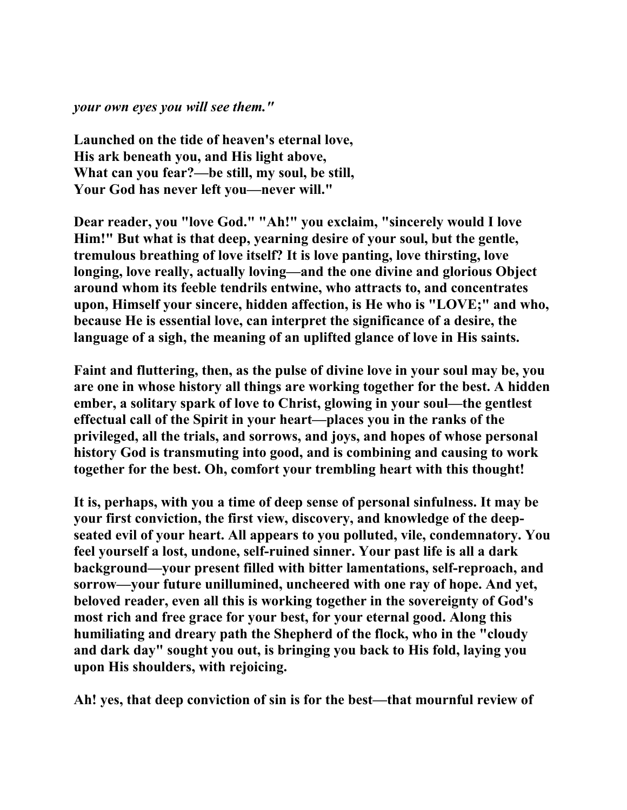*your own eyes you will see them."*

**Launched on the tide of heaven's eternal love, His ark beneath you, and His light above, What can you fear?—be still, my soul, be still, Your God has never left you—never will."** 

**Dear reader, you "love God." "Ah!" you exclaim, "sincerely would I love Him!" But what is that deep, yearning desire of your soul, but the gentle, tremulous breathing of love itself? It is love panting, love thirsting, love longing, love really, actually loving—and the one divine and glorious Object around whom its feeble tendrils entwine, who attracts to, and concentrates upon, Himself your sincere, hidden affection, is He who is "LOVE;" and who, because He is essential love, can interpret the significance of a desire, the language of a sigh, the meaning of an uplifted glance of love in His saints.** 

**Faint and fluttering, then, as the pulse of divine love in your soul may be, you are one in whose history all things are working together for the best. A hidden ember, a solitary spark of love to Christ, glowing in your soul—the gentlest effectual call of the Spirit in your heart—places you in the ranks of the privileged, all the trials, and sorrows, and joys, and hopes of whose personal history God is transmuting into good, and is combining and causing to work together for the best. Oh, comfort your trembling heart with this thought!** 

**It is, perhaps, with you a time of deep sense of personal sinfulness. It may be your first conviction, the first view, discovery, and knowledge of the deepseated evil of your heart. All appears to you polluted, vile, condemnatory. You feel yourself a lost, undone, self-ruined sinner. Your past life is all a dark background—your present filled with bitter lamentations, self-reproach, and sorrow—your future unillumined, uncheered with one ray of hope. And yet, beloved reader, even all this is working together in the sovereignty of God's most rich and free grace for your best, for your eternal good. Along this humiliating and dreary path the Shepherd of the flock, who in the "cloudy and dark day" sought you out, is bringing you back to His fold, laying you upon His shoulders, with rejoicing.** 

**Ah! yes, that deep conviction of sin is for the best—that mournful review of**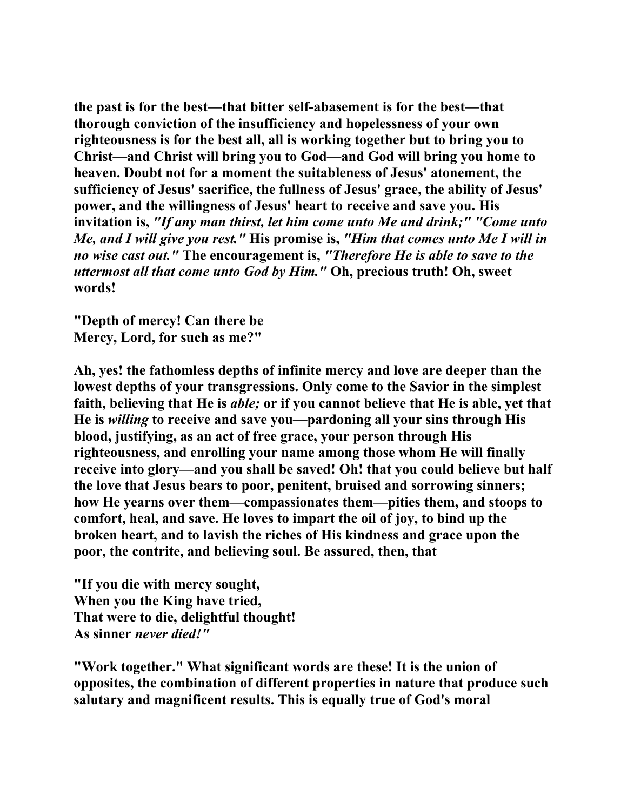**the past is for the best—that bitter self-abasement is for the best—that thorough conviction of the insufficiency and hopelessness of your own righteousness is for the best all, all is working together but to bring you to Christ—and Christ will bring you to God—and God will bring you home to heaven. Doubt not for a moment the suitableness of Jesus' atonement, the sufficiency of Jesus' sacrifice, the fullness of Jesus' grace, the ability of Jesus' power, and the willingness of Jesus' heart to receive and save you. His invitation is,** *"If any man thirst, let him come unto Me and drink;" "Come unto Me, and I will give you rest."* **His promise is,** *"Him that comes unto Me I will in no wise cast out."* **The encouragement is,** *"Therefore He is able to save to the uttermost all that come unto God by Him."* **Oh, precious truth! Oh, sweet words!** 

**"Depth of mercy! Can there be Mercy, Lord, for such as me?"** 

**Ah, yes! the fathomless depths of infinite mercy and love are deeper than the lowest depths of your transgressions. Only come to the Savior in the simplest faith, believing that He is** *able;* **or if you cannot believe that He is able, yet that He is** *willing* **to receive and save you—pardoning all your sins through His blood, justifying, as an act of free grace, your person through His righteousness, and enrolling your name among those whom He will finally receive into glory—and you shall be saved! Oh! that you could believe but half the love that Jesus bears to poor, penitent, bruised and sorrowing sinners; how He yearns over them—compassionates them—pities them, and stoops to comfort, heal, and save. He loves to impart the oil of joy, to bind up the broken heart, and to lavish the riches of His kindness and grace upon the poor, the contrite, and believing soul. Be assured, then, that** 

**"If you die with mercy sought, When you the King have tried, That were to die, delightful thought! As sinner** *never died!"*

**"Work together." What significant words are these! It is the union of opposites, the combination of different properties in nature that produce such salutary and magnificent results. This is equally true of God's moral**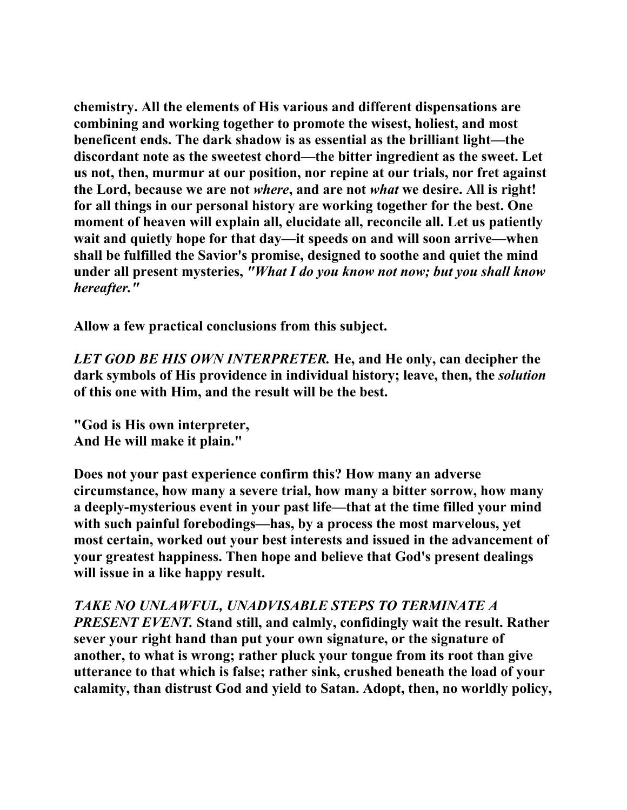**chemistry. All the elements of His various and different dispensations are combining and working together to promote the wisest, holiest, and most beneficent ends. The dark shadow is as essential as the brilliant light—the discordant note as the sweetest chord—the bitter ingredient as the sweet. Let us not, then, murmur at our position, nor repine at our trials, nor fret against the Lord, because we are not** *where***, and are not** *what* **we desire. All is right! for all things in our personal history are working together for the best. One moment of heaven will explain all, elucidate all, reconcile all. Let us patiently wait and quietly hope for that day—it speeds on and will soon arrive—when shall be fulfilled the Savior's promise, designed to soothe and quiet the mind under all present mysteries,** *"What I do you know not now; but you shall know hereafter."*

**Allow a few practical conclusions from this subject.** 

*LET GOD BE HIS OWN INTERPRETER.* **He, and He only, can decipher the dark symbols of His providence in individual history; leave, then, the** *solution* **of this one with Him, and the result will be the best.** 

**"God is His own interpreter, And He will make it plain."** 

**Does not your past experience confirm this? How many an adverse circumstance, how many a severe trial, how many a bitter sorrow, how many a deeply-mysterious event in your past life—that at the time filled your mind with such painful forebodings—has, by a process the most marvelous, yet most certain, worked out your best interests and issued in the advancement of your greatest happiness. Then hope and believe that God's present dealings will issue in a like happy result.** 

*TAKE NO UNLAWFUL, UNADVISABLE STEPS TO TERMINATE A PRESENT EVENT.* **Stand still, and calmly, confidingly wait the result. Rather sever your right hand than put your own signature, or the signature of another, to what is wrong; rather pluck your tongue from its root than give utterance to that which is false; rather sink, crushed beneath the load of your calamity, than distrust God and yield to Satan. Adopt, then, no worldly policy,**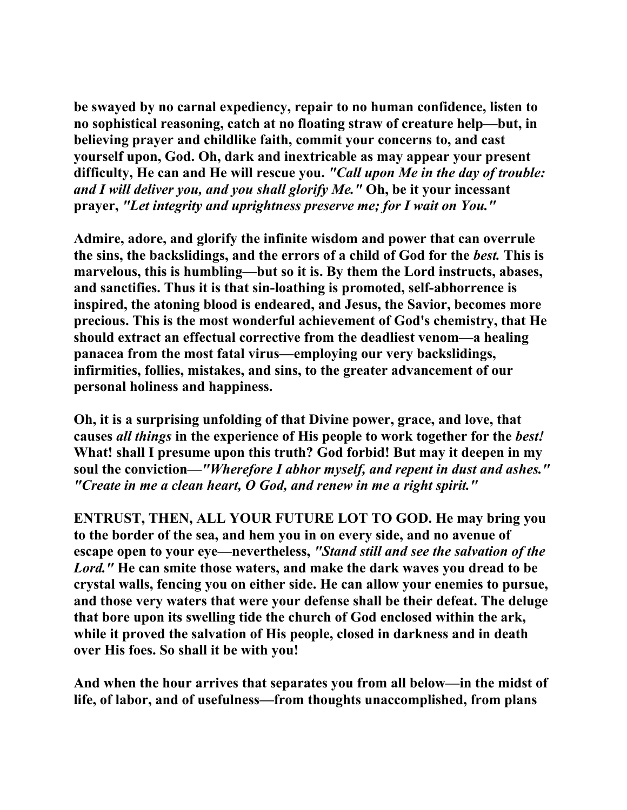**be swayed by no carnal expediency, repair to no human confidence, listen to no sophistical reasoning, catch at no floating straw of creature help—but, in believing prayer and childlike faith, commit your concerns to, and cast yourself upon, God. Oh, dark and inextricable as may appear your present difficulty, He can and He will rescue you.** *"Call upon Me in the day of trouble: and I will deliver you, and you shall glorify Me."* **Oh, be it your incessant prayer,** *"Let integrity and uprightness preserve me; for I wait on You."*

**Admire, adore, and glorify the infinite wisdom and power that can overrule the sins, the backslidings, and the errors of a child of God for the** *best.* **This is marvelous, this is humbling—but so it is. By them the Lord instructs, abases, and sanctifies. Thus it is that sin-loathing is promoted, self-abhorrence is inspired, the atoning blood is endeared, and Jesus, the Savior, becomes more precious. This is the most wonderful achievement of God's chemistry, that He should extract an effectual corrective from the deadliest venom—a healing panacea from the most fatal virus—employing our very backslidings, infirmities, follies, mistakes, and sins, to the greater advancement of our personal holiness and happiness.** 

**Oh, it is a surprising unfolding of that Divine power, grace, and love, that causes** *all things* **in the experience of His people to work together for the** *best!*  **What! shall I presume upon this truth? God forbid! But may it deepen in my soul the conviction—***"Wherefore I abhor myself, and repent in dust and ashes." "Create in me a clean heart, O God, and renew in me a right spirit."*

**ENTRUST, THEN, ALL YOUR FUTURE LOT TO GOD. He may bring you to the border of the sea, and hem you in on every side, and no avenue of escape open to your eye—nevertheless,** *"Stand still and see the salvation of the Lord."* **He can smite those waters, and make the dark waves you dread to be crystal walls, fencing you on either side. He can allow your enemies to pursue, and those very waters that were your defense shall be their defeat. The deluge that bore upon its swelling tide the church of God enclosed within the ark, while it proved the salvation of His people, closed in darkness and in death over His foes. So shall it be with you!** 

**And when the hour arrives that separates you from all below—in the midst of life, of labor, and of usefulness—from thoughts unaccomplished, from plans**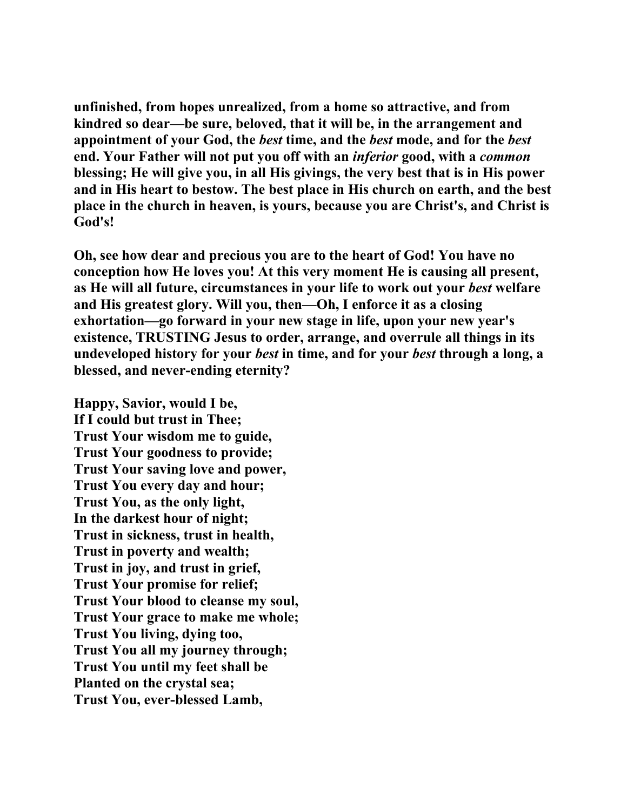**unfinished, from hopes unrealized, from a home so attractive, and from kindred so dear—be sure, beloved, that it will be, in the arrangement and appointment of your God, the** *best* **time, and the** *best* **mode, and for the** *best*  **end. Your Father will not put you off with an** *inferior* **good, with a** *common* **blessing; He will give you, in all His givings, the very best that is in His power and in His heart to bestow. The best place in His church on earth, and the best place in the church in heaven, is yours, because you are Christ's, and Christ is God's!** 

**Oh, see how dear and precious you are to the heart of God! You have no conception how He loves you! At this very moment He is causing all present, as He will all future, circumstances in your life to work out your** *best* **welfare and His greatest glory. Will you, then—Oh, I enforce it as a closing exhortation—go forward in your new stage in life, upon your new year's existence, TRUSTING Jesus to order, arrange, and overrule all things in its undeveloped history for your** *best* **in time, and for your** *best* **through a long, a blessed, and never-ending eternity?** 

**Happy, Savior, would I be, If I could but trust in Thee; Trust Your wisdom me to guide, Trust Your goodness to provide; Trust Your saving love and power, Trust You every day and hour; Trust You, as the only light, In the darkest hour of night; Trust in sickness, trust in health, Trust in poverty and wealth; Trust in joy, and trust in grief, Trust Your promise for relief; Trust Your blood to cleanse my soul, Trust Your grace to make me whole; Trust You living, dying too, Trust You all my journey through; Trust You until my feet shall be Planted on the crystal sea; Trust You, ever-blessed Lamb,**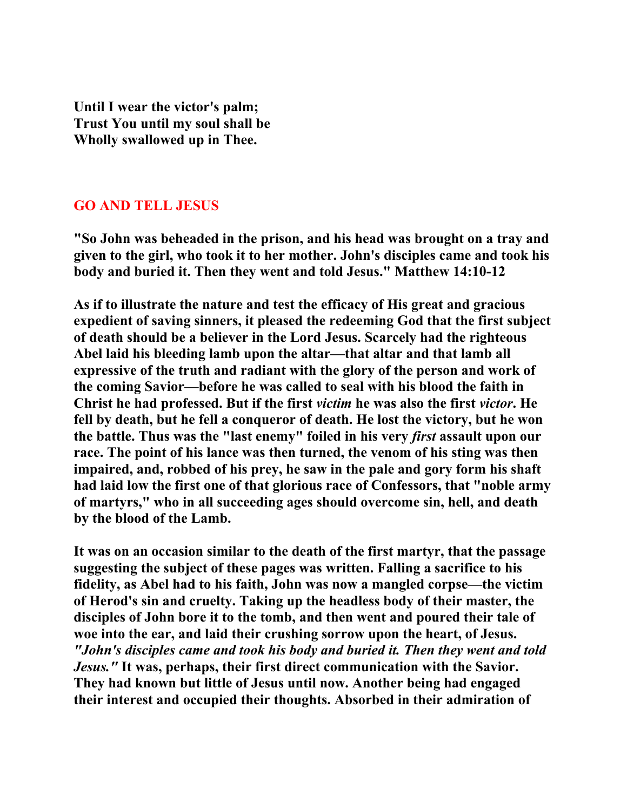**Until I wear the victor's palm; Trust You until my soul shall be Wholly swallowed up in Thee.** 

## **GO AND TELL JESUS**

**"So John was beheaded in the prison, and his head was brought on a tray and given to the girl, who took it to her mother. John's disciples came and took his body and buried it. Then they went and told Jesus." Matthew 14:10-12** 

**As if to illustrate the nature and test the efficacy of His great and gracious expedient of saving sinners, it pleased the redeeming God that the first subject of death should be a believer in the Lord Jesus. Scarcely had the righteous Abel laid his bleeding lamb upon the altar—that altar and that lamb all expressive of the truth and radiant with the glory of the person and work of the coming Savior—before he was called to seal with his blood the faith in Christ he had professed. But if the first** *victim* **he was also the first** *victor***. He fell by death, but he fell a conqueror of death. He lost the victory, but he won the battle. Thus was the "last enemy" foiled in his very** *first* **assault upon our race. The point of his lance was then turned, the venom of his sting was then impaired, and, robbed of his prey, he saw in the pale and gory form his shaft had laid low the first one of that glorious race of Confessors, that "noble army of martyrs," who in all succeeding ages should overcome sin, hell, and death by the blood of the Lamb.** 

**It was on an occasion similar to the death of the first martyr, that the passage suggesting the subject of these pages was written. Falling a sacrifice to his fidelity, as Abel had to his faith, John was now a mangled corpse—the victim of Herod's sin and cruelty. Taking up the headless body of their master, the disciples of John bore it to the tomb, and then went and poured their tale of woe into the ear, and laid their crushing sorrow upon the heart, of Jesus.**  *"John's disciples came and took his body and buried it. Then they went and told Jesus."* **It was, perhaps, their first direct communication with the Savior. They had known but little of Jesus until now. Another being had engaged their interest and occupied their thoughts. Absorbed in their admiration of**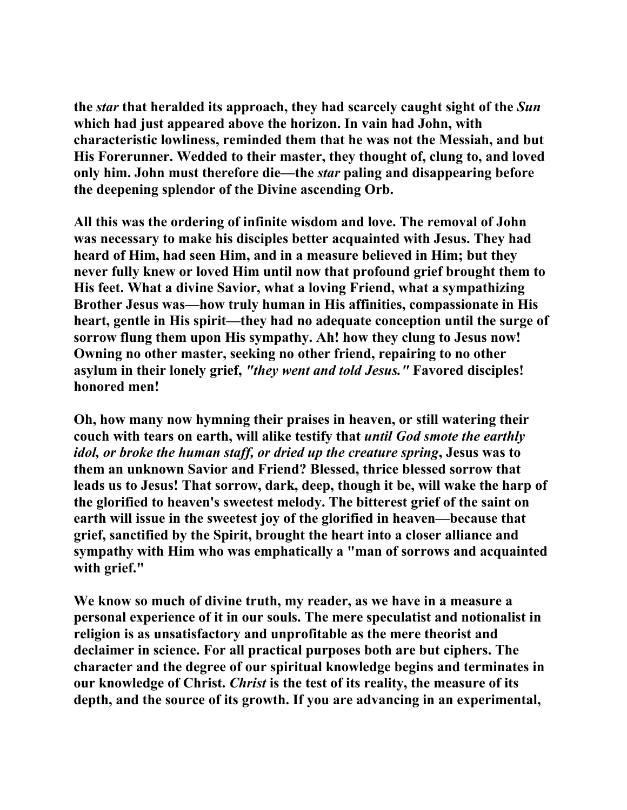**the** *star* **that heralded its approach, they had scarcely caught sight of the** *Sun* **which had just appeared above the horizon. In vain had John, with characteristic lowliness, reminded them that he was not the Messiah, and but His Forerunner. Wedded to their master, they thought of, clung to, and loved only him. John must therefore die—the** *star* **paling and disappearing before the deepening splendor of the Divine ascending Orb.** 

**All this was the ordering of infinite wisdom and love. The removal of John was necessary to make his disciples better acquainted with Jesus. They had heard of Him, had seen Him, and in a measure believed in Him; but they never fully knew or loved Him until now that profound grief brought them to His feet. What a divine Savior, what a loving Friend, what a sympathizing Brother Jesus was—how truly human in His affinities, compassionate in His heart, gentle in His spirit—they had no adequate conception until the surge of sorrow flung them upon His sympathy. Ah! how they clung to Jesus now! Owning no other master, seeking no other friend, repairing to no other asylum in their lonely grief,** *"they went and told Jesus."* **Favored disciples! honored men!** 

**Oh, how many now hymning their praises in heaven, or still watering their couch with tears on earth, will alike testify that** *until God smote the earthly idol, or broke the human staff, or dried up the creature spring***, Jesus was to them an unknown Savior and Friend? Blessed, thrice blessed sorrow that leads us to Jesus! That sorrow, dark, deep, though it be, will wake the harp of the glorified to heaven's sweetest melody. The bitterest grief of the saint on earth will issue in the sweetest joy of the glorified in heaven—because that grief, sanctified by the Spirit, brought the heart into a closer alliance and sympathy with Him who was emphatically a "man of sorrows and acquainted with grief."** 

**We know so much of divine truth, my reader, as we have in a measure a personal experience of it in our souls. The mere speculatist and notionalist in religion is as unsatisfactory and unprofitable as the mere theorist and declaimer in science. For all practical purposes both are but ciphers. The character and the degree of our spiritual knowledge begins and terminates in our knowledge of Christ.** *Christ* **is the test of its reality, the measure of its depth, and the source of its growth. If you are advancing in an experimental,**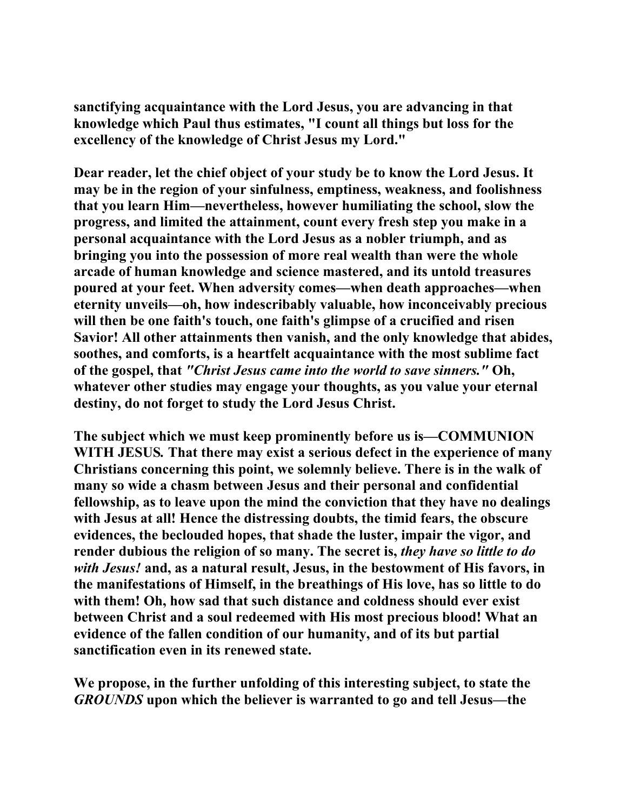**sanctifying acquaintance with the Lord Jesus, you are advancing in that knowledge which Paul thus estimates, "I count all things but loss for the excellency of the knowledge of Christ Jesus my Lord."** 

**Dear reader, let the chief object of your study be to know the Lord Jesus. It may be in the region of your sinfulness, emptiness, weakness, and foolishness that you learn Him—nevertheless, however humiliating the school, slow the progress, and limited the attainment, count every fresh step you make in a personal acquaintance with the Lord Jesus as a nobler triumph, and as bringing you into the possession of more real wealth than were the whole arcade of human knowledge and science mastered, and its untold treasures poured at your feet. When adversity comes—when death approaches—when eternity unveils—oh, how indescribably valuable, how inconceivably precious will then be one faith's touch, one faith's glimpse of a crucified and risen Savior! All other attainments then vanish, and the only knowledge that abides, soothes, and comforts, is a heartfelt acquaintance with the most sublime fact of the gospel, that** *"Christ Jesus came into the world to save sinners."* **Oh, whatever other studies may engage your thoughts, as you value your eternal destiny, do not forget to study the Lord Jesus Christ.** 

**The subject which we must keep prominently before us is—COMMUNION WITH JESUS***.* **That there may exist a serious defect in the experience of many Christians concerning this point, we solemnly believe. There is in the walk of many so wide a chasm between Jesus and their personal and confidential fellowship, as to leave upon the mind the conviction that they have no dealings with Jesus at all! Hence the distressing doubts, the timid fears, the obscure evidences, the beclouded hopes, that shade the luster, impair the vigor, and render dubious the religion of so many. The secret is,** *they have so little to do with Jesus!* **and, as a natural result, Jesus, in the bestowment of His favors, in the manifestations of Himself, in the breathings of His love, has so little to do with them! Oh, how sad that such distance and coldness should ever exist between Christ and a soul redeemed with His most precious blood! What an evidence of the fallen condition of our humanity, and of its but partial sanctification even in its renewed state.** 

**We propose, in the further unfolding of this interesting subject, to state the**  *GROUNDS* **upon which the believer is warranted to go and tell Jesus—the**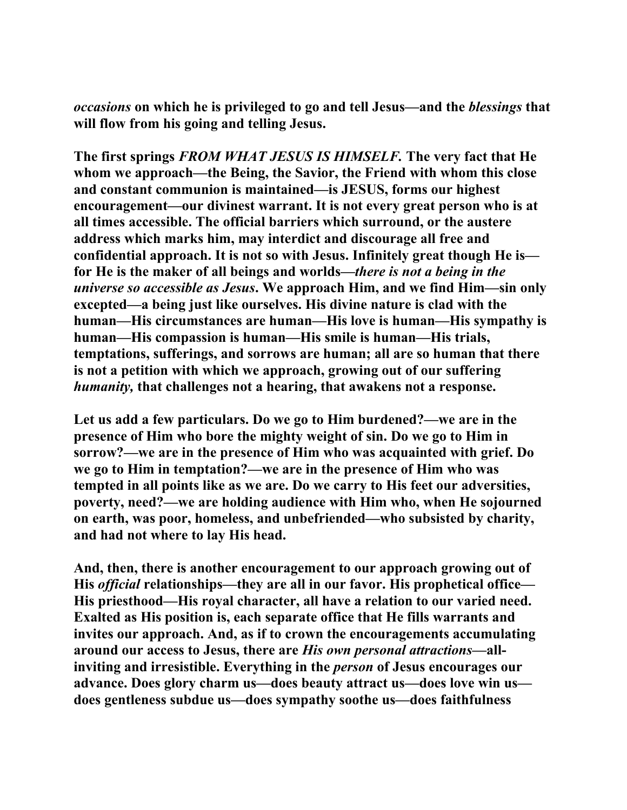*occasions* **on which he is privileged to go and tell Jesus—and the** *blessings* **that will flow from his going and telling Jesus.** 

**The first springs** *FROM WHAT JESUS IS HIMSELF.* **The very fact that He whom we approach—the Being, the Savior, the Friend with whom this close and constant communion is maintained—is JESUS, forms our highest encouragement—our divinest warrant. It is not every great person who is at all times accessible. The official barriers which surround, or the austere address which marks him, may interdict and discourage all free and confidential approach. It is not so with Jesus. Infinitely great though He is for He is the maker of all beings and worlds—***there is not a being in the universe so accessible as Jesus***. We approach Him, and we find Him—sin only excepted—a being just like ourselves. His divine nature is clad with the human—His circumstances are human—His love is human—His sympathy is human—His compassion is human—His smile is human—His trials, temptations, sufferings, and sorrows are human; all are so human that there is not a petition with which we approach, growing out of our suffering**  *humanity,* **that challenges not a hearing, that awakens not a response.** 

**Let us add a few particulars. Do we go to Him burdened?—we are in the presence of Him who bore the mighty weight of sin. Do we go to Him in sorrow?—we are in the presence of Him who was acquainted with grief. Do we go to Him in temptation?—we are in the presence of Him who was tempted in all points like as we are. Do we carry to His feet our adversities, poverty, need?—we are holding audience with Him who, when He sojourned on earth, was poor, homeless, and unbefriended—who subsisted by charity, and had not where to lay His head.** 

**And, then, there is another encouragement to our approach growing out of His** *official* **relationships—they are all in our favor. His prophetical office— His priesthood—His royal character, all have a relation to our varied need. Exalted as His position is, each separate office that He fills warrants and invites our approach. And, as if to crown the encouragements accumulating around our access to Jesus, there are** *His own personal attractions***—allinviting and irresistible. Everything in the** *person* **of Jesus encourages our advance. Does glory charm us—does beauty attract us—does love win us does gentleness subdue us—does sympathy soothe us—does faithfulness**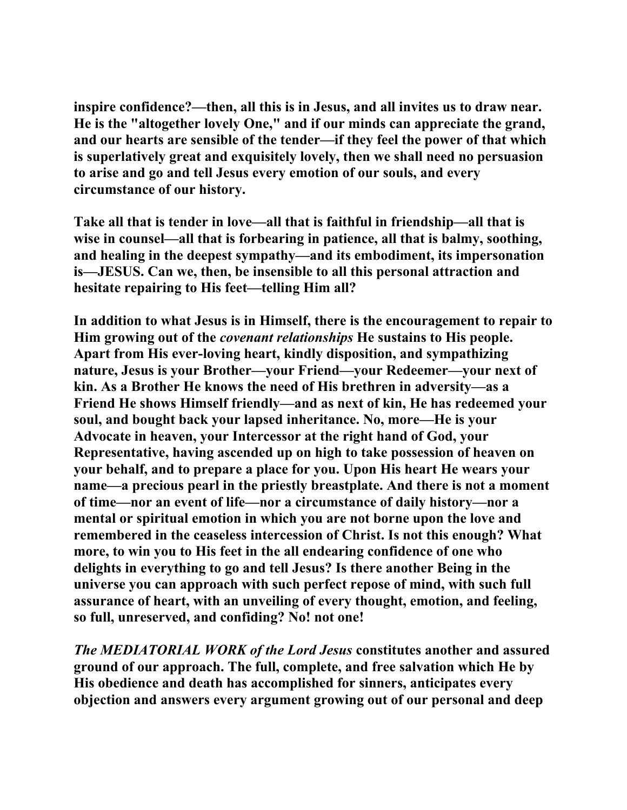**inspire confidence?—then, all this is in Jesus, and all invites us to draw near. He is the "altogether lovely One," and if our minds can appreciate the grand, and our hearts are sensible of the tender—if they feel the power of that which is superlatively great and exquisitely lovely, then we shall need no persuasion to arise and go and tell Jesus every emotion of our souls, and every circumstance of our history.** 

**Take all that is tender in love—all that is faithful in friendship—all that is wise in counsel—all that is forbearing in patience, all that is balmy, soothing, and healing in the deepest sympathy—and its embodiment, its impersonation is—JESUS. Can we, then, be insensible to all this personal attraction and hesitate repairing to His feet—telling Him all?** 

**In addition to what Jesus is in Himself, there is the encouragement to repair to Him growing out of the** *covenant relationships* **He sustains to His people. Apart from His ever-loving heart, kindly disposition, and sympathizing nature, Jesus is your Brother—your Friend—your Redeemer—your next of kin. As a Brother He knows the need of His brethren in adversity—as a Friend He shows Himself friendly—and as next of kin, He has redeemed your soul, and bought back your lapsed inheritance. No, more—He is your Advocate in heaven, your Intercessor at the right hand of God, your Representative, having ascended up on high to take possession of heaven on your behalf, and to prepare a place for you. Upon His heart He wears your name—a precious pearl in the priestly breastplate. And there is not a moment of time—nor an event of life—nor a circumstance of daily history—nor a mental or spiritual emotion in which you are not borne upon the love and remembered in the ceaseless intercession of Christ. Is not this enough? What more, to win you to His feet in the all endearing confidence of one who delights in everything to go and tell Jesus? Is there another Being in the universe you can approach with such perfect repose of mind, with such full assurance of heart, with an unveiling of every thought, emotion, and feeling, so full, unreserved, and confiding? No! not one!** 

*The MEDIATORIAL WORK of the Lord Jesus* **constitutes another and assured ground of our approach. The full, complete, and free salvation which He by His obedience and death has accomplished for sinners, anticipates every objection and answers every argument growing out of our personal and deep**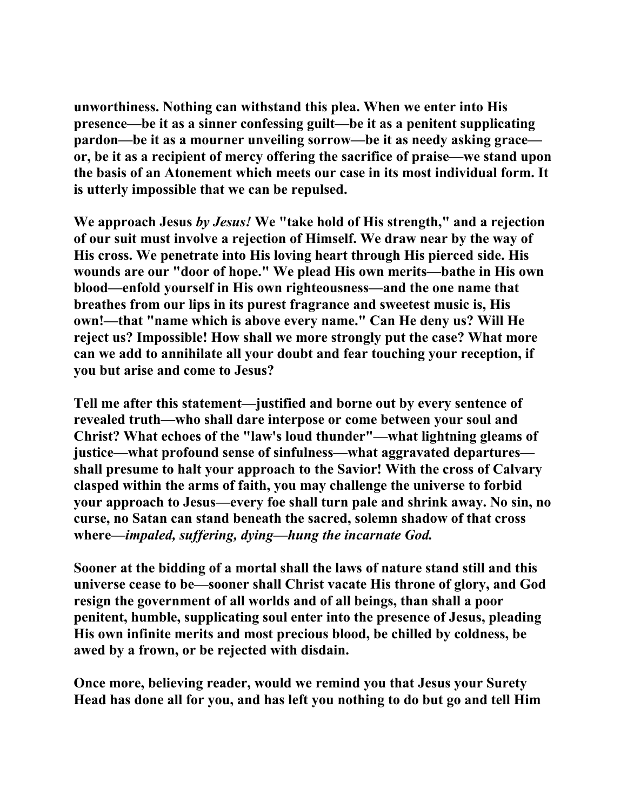**unworthiness. Nothing can withstand this plea. When we enter into His presence—be it as a sinner confessing guilt—be it as a penitent supplicating pardon—be it as a mourner unveiling sorrow—be it as needy asking grace or, be it as a recipient of mercy offering the sacrifice of praise—we stand upon the basis of an Atonement which meets our case in its most individual form. It is utterly impossible that we can be repulsed.** 

**We approach Jesus** *by Jesus!* **We "take hold of His strength," and a rejection of our suit must involve a rejection of Himself. We draw near by the way of His cross. We penetrate into His loving heart through His pierced side. His wounds are our "door of hope." We plead His own merits—bathe in His own blood—enfold yourself in His own righteousness—and the one name that breathes from our lips in its purest fragrance and sweetest music is, His own!—that "name which is above every name." Can He deny us? Will He reject us? Impossible! How shall we more strongly put the case? What more can we add to annihilate all your doubt and fear touching your reception, if you but arise and come to Jesus?** 

**Tell me after this statement—justified and borne out by every sentence of revealed truth—who shall dare interpose or come between your soul and Christ? What echoes of the "law's loud thunder"—what lightning gleams of justice—what profound sense of sinfulness—what aggravated departures shall presume to halt your approach to the Savior! With the cross of Calvary clasped within the arms of faith, you may challenge the universe to forbid your approach to Jesus—every foe shall turn pale and shrink away. No sin, no curse, no Satan can stand beneath the sacred, solemn shadow of that cross where***—impaled, suffering, dying—hung the incarnate God.* 

**Sooner at the bidding of a mortal shall the laws of nature stand still and this universe cease to be—sooner shall Christ vacate His throne of glory, and God resign the government of all worlds and of all beings, than shall a poor penitent, humble, supplicating soul enter into the presence of Jesus, pleading His own infinite merits and most precious blood, be chilled by coldness, be awed by a frown, or be rejected with disdain.** 

**Once more, believing reader, would we remind you that Jesus your Surety Head has done all for you, and has left you nothing to do but go and tell Him**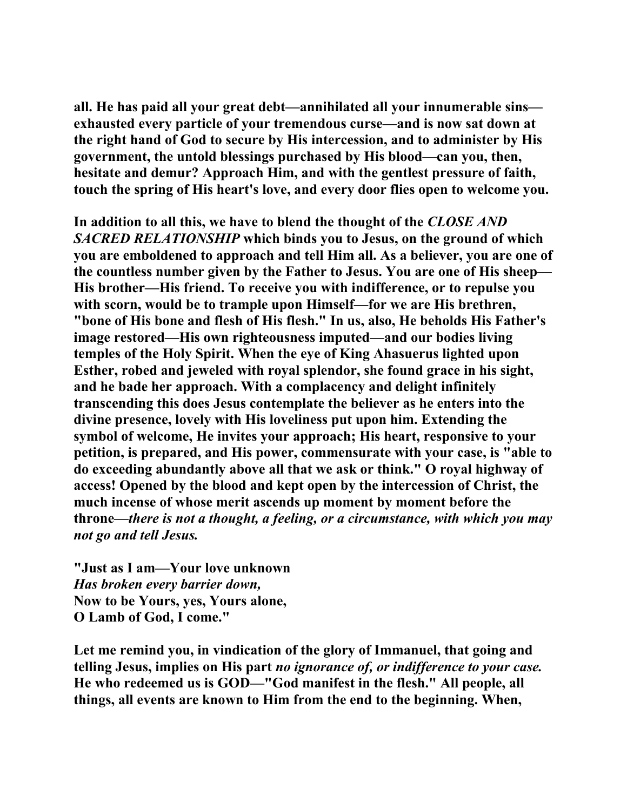**all. He has paid all your great debt—annihilated all your innumerable sins exhausted every particle of your tremendous curse—and is now sat down at the right hand of God to secure by His intercession, and to administer by His government, the untold blessings purchased by His blood—can you, then, hesitate and demur? Approach Him, and with the gentlest pressure of faith, touch the spring of His heart's love, and every door flies open to welcome you.** 

**In addition to all this, we have to blend the thought of the** *CLOSE AND SACRED RELATIONSHIP* **which binds you to Jesus, on the ground of which you are emboldened to approach and tell Him all. As a believer, you are one of the countless number given by the Father to Jesus. You are one of His sheep— His brother—His friend. To receive you with indifference, or to repulse you with scorn, would be to trample upon Himself—for we are His brethren, "bone of His bone and flesh of His flesh." In us, also, He beholds His Father's image restored—His own righteousness imputed—and our bodies living temples of the Holy Spirit. When the eye of King Ahasuerus lighted upon Esther, robed and jeweled with royal splendor, she found grace in his sight, and he bade her approach. With a complacency and delight infinitely transcending this does Jesus contemplate the believer as he enters into the divine presence, lovely with His loveliness put upon him. Extending the symbol of welcome, He invites your approach; His heart, responsive to your petition, is prepared, and His power, commensurate with your case, is "able to do exceeding abundantly above all that we ask or think." O royal highway of access! Opened by the blood and kept open by the intercession of Christ, the much incense of whose merit ascends up moment by moment before the throne—***there is not a thought, a feeling, or a circumstance, with which you may not go and tell Jesus.*

**"Just as I am—Your love unknown**  *Has broken every barrier down,*  **Now to be Yours, yes, Yours alone, O Lamb of God, I come."** 

**Let me remind you, in vindication of the glory of Immanuel, that going and telling Jesus, implies on His part** *no ignorance of, or indifference to your case.*  **He who redeemed us is GOD—"God manifest in the flesh." All people, all things, all events are known to Him from the end to the beginning. When,**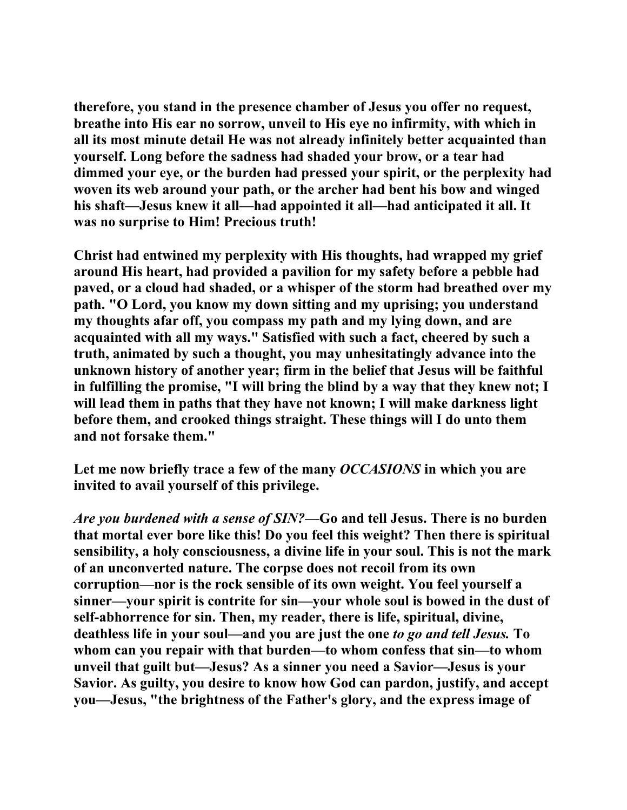**therefore, you stand in the presence chamber of Jesus you offer no request, breathe into His ear no sorrow, unveil to His eye no infirmity, with which in all its most minute detail He was not already infinitely better acquainted than yourself. Long before the sadness had shaded your brow, or a tear had dimmed your eye, or the burden had pressed your spirit, or the perplexity had woven its web around your path, or the archer had bent his bow and winged his shaft—Jesus knew it all—had appointed it all—had anticipated it all. It was no surprise to Him! Precious truth!** 

**Christ had entwined my perplexity with His thoughts, had wrapped my grief around His heart, had provided a pavilion for my safety before a pebble had paved, or a cloud had shaded, or a whisper of the storm had breathed over my path. "O Lord, you know my down sitting and my uprising; you understand my thoughts afar off, you compass my path and my lying down, and are acquainted with all my ways." Satisfied with such a fact, cheered by such a truth, animated by such a thought, you may unhesitatingly advance into the unknown history of another year; firm in the belief that Jesus will be faithful in fulfilling the promise, "I will bring the blind by a way that they knew not; I**  will lead them in paths that they have not known; I will make darkness light **before them, and crooked things straight. These things will I do unto them and not forsake them."** 

**Let me now briefly trace a few of the many** *OCCASIONS* **in which you are invited to avail yourself of this privilege.** 

*Are you burdened with a sense of SIN?***—Go and tell Jesus. There is no burden that mortal ever bore like this! Do you feel this weight? Then there is spiritual sensibility, a holy consciousness, a divine life in your soul. This is not the mark of an unconverted nature. The corpse does not recoil from its own corruption—nor is the rock sensible of its own weight. You feel yourself a sinner—your spirit is contrite for sin—your whole soul is bowed in the dust of self-abhorrence for sin. Then, my reader, there is life, spiritual, divine, deathless life in your soul—and you are just the one** *to go and tell Jesus.* **To whom can you repair with that burden—to whom confess that sin—to whom unveil that guilt but—Jesus? As a sinner you need a Savior—Jesus is your Savior. As guilty, you desire to know how God can pardon, justify, and accept you—Jesus, "the brightness of the Father's glory, and the express image of**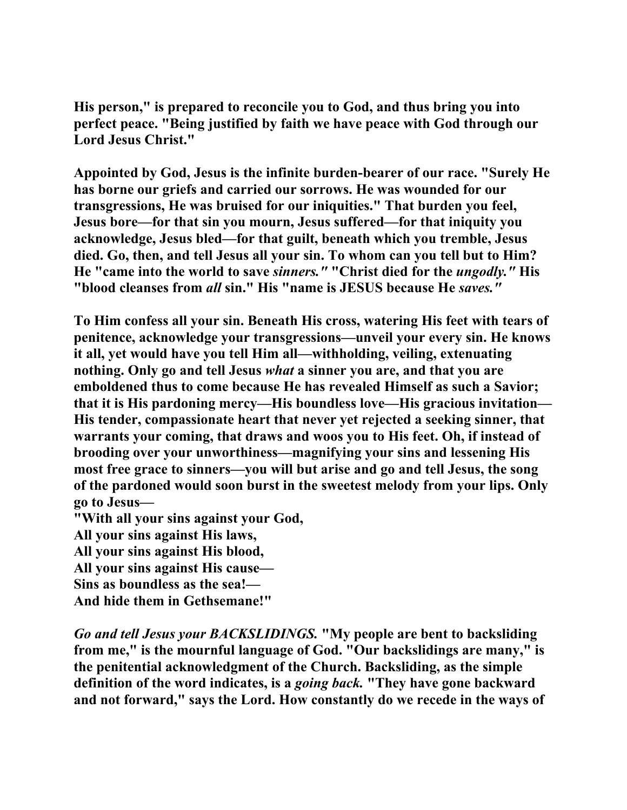**His person," is prepared to reconcile you to God, and thus bring you into perfect peace. "Being justified by faith we have peace with God through our Lord Jesus Christ."** 

**Appointed by God, Jesus is the infinite burden-bearer of our race. "Surely He has borne our griefs and carried our sorrows. He was wounded for our transgressions, He was bruised for our iniquities." That burden you feel, Jesus bore—for that sin you mourn, Jesus suffered—for that iniquity you acknowledge, Jesus bled—for that guilt, beneath which you tremble, Jesus died. Go, then, and tell Jesus all your sin. To whom can you tell but to Him? He "came into the world to save** *sinners."* **"Christ died for the** *ungodly."* **His "blood cleanses from** *all* **sin." His "name is JESUS because He** *saves."* 

**To Him confess all your sin. Beneath His cross, watering His feet with tears of penitence, acknowledge your transgressions—unveil your every sin. He knows it all, yet would have you tell Him all—withholding, veiling, extenuating nothing. Only go and tell Jesus** *what* **a sinner you are, and that you are emboldened thus to come because He has revealed Himself as such a Savior; that it is His pardoning mercy—His boundless love—His gracious invitation— His tender, compassionate heart that never yet rejected a seeking sinner, that warrants your coming, that draws and woos you to His feet. Oh, if instead of brooding over your unworthiness—magnifying your sins and lessening His most free grace to sinners—you will but arise and go and tell Jesus, the song of the pardoned would soon burst in the sweetest melody from your lips. Only go to Jesus—** 

**"With all your sins against your God,** 

**All your sins against His laws,** 

**All your sins against His blood,** 

**All your sins against His cause—** 

**Sins as boundless as the sea!—** 

**And hide them in Gethsemane!"** 

*Go and tell Jesus your BACKSLIDINGS.* **"My people are bent to backsliding from me," is the mournful language of God. "Our backslidings are many," is the penitential acknowledgment of the Church. Backsliding, as the simple definition of the word indicates, is a** *going back.* **"They have gone backward and not forward," says the Lord. How constantly do we recede in the ways of**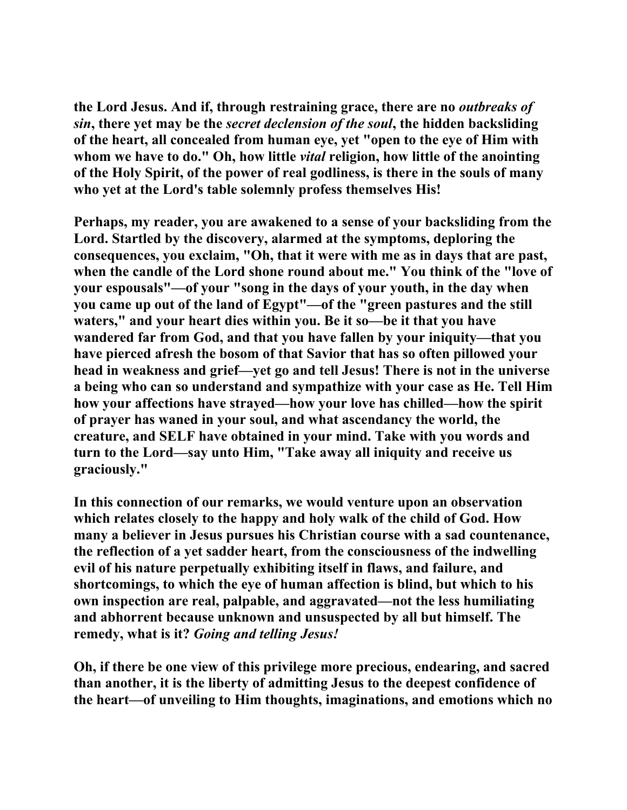**the Lord Jesus. And if, through restraining grace, there are no** *outbreaks of sin***, there yet may be the** *secret declension of the soul***, the hidden backsliding of the heart, all concealed from human eye, yet "open to the eye of Him with whom we have to do." Oh, how little** *vital* **religion, how little of the anointing of the Holy Spirit, of the power of real godliness, is there in the souls of many who yet at the Lord's table solemnly profess themselves His!** 

**Perhaps, my reader, you are awakened to a sense of your backsliding from the Lord. Startled by the discovery, alarmed at the symptoms, deploring the consequences, you exclaim, "Oh, that it were with me as in days that are past, when the candle of the Lord shone round about me." You think of the "love of your espousals"—of your "song in the days of your youth, in the day when you came up out of the land of Egypt"—of the "green pastures and the still waters," and your heart dies within you. Be it so—be it that you have wandered far from God, and that you have fallen by your iniquity—that you have pierced afresh the bosom of that Savior that has so often pillowed your head in weakness and grief—yet go and tell Jesus! There is not in the universe a being who can so understand and sympathize with your case as He. Tell Him how your affections have strayed—how your love has chilled—how the spirit of prayer has waned in your soul, and what ascendancy the world, the creature, and SELF have obtained in your mind. Take with you words and turn to the Lord—say unto Him, "Take away all iniquity and receive us graciously."** 

**In this connection of our remarks, we would venture upon an observation which relates closely to the happy and holy walk of the child of God. How many a believer in Jesus pursues his Christian course with a sad countenance, the reflection of a yet sadder heart, from the consciousness of the indwelling evil of his nature perpetually exhibiting itself in flaws, and failure, and shortcomings, to which the eye of human affection is blind, but which to his own inspection are real, palpable, and aggravated—not the less humiliating and abhorrent because unknown and unsuspected by all but himself. The remedy, what is it?** *Going and telling Jesus!* 

**Oh, if there be one view of this privilege more precious, endearing, and sacred than another, it is the liberty of admitting Jesus to the deepest confidence of the heart—of unveiling to Him thoughts, imaginations, and emotions which no**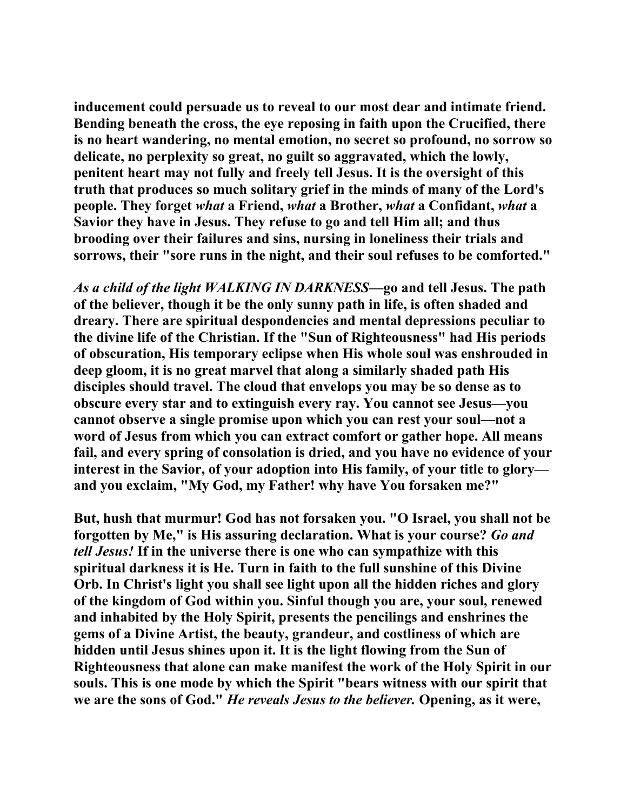**inducement could persuade us to reveal to our most dear and intimate friend. Bending beneath the cross, the eye reposing in faith upon the Crucified, there is no heart wandering, no mental emotion, no secret so profound, no sorrow so delicate, no perplexity so great, no guilt so aggravated, which the lowly, penitent heart may not fully and freely tell Jesus. It is the oversight of this truth that produces so much solitary grief in the minds of many of the Lord's people. They forget** *what* **a Friend,** *what* **a Brother,** *what* **a Confidant,** *what* **a Savior they have in Jesus. They refuse to go and tell Him all; and thus brooding over their failures and sins, nursing in loneliness their trials and sorrows, their "sore runs in the night, and their soul refuses to be comforted."** 

*As a child of the light WALKING IN DARKNESS***—go and tell Jesus. The path of the believer, though it be the only sunny path in life, is often shaded and dreary. There are spiritual despondencies and mental depressions peculiar to the divine life of the Christian. If the "Sun of Righteousness" had His periods of obscuration, His temporary eclipse when His whole soul was enshrouded in deep gloom, it is no great marvel that along a similarly shaded path His disciples should travel. The cloud that envelops you may be so dense as to obscure every star and to extinguish every ray. You cannot see Jesus—you cannot observe a single promise upon which you can rest your soul—not a word of Jesus from which you can extract comfort or gather hope. All means fail, and every spring of consolation is dried, and you have no evidence of your interest in the Savior, of your adoption into His family, of your title to glory and you exclaim, "My God, my Father! why have You forsaken me?"** 

**But, hush that murmur! God has not forsaken you. "O Israel, you shall not be forgotten by Me," is His assuring declaration. What is your course?** *Go and tell Jesus!* **If in the universe there is one who can sympathize with this spiritual darkness it is He. Turn in faith to the full sunshine of this Divine Orb. In Christ's light you shall see light upon all the hidden riches and glory of the kingdom of God within you. Sinful though you are, your soul, renewed and inhabited by the Holy Spirit, presents the pencilings and enshrines the gems of a Divine Artist, the beauty, grandeur, and costliness of which are hidden until Jesus shines upon it. It is the light flowing from the Sun of Righteousness that alone can make manifest the work of the Holy Spirit in our souls. This is one mode by which the Spirit "bears witness with our spirit that we are the sons of God."** *He reveals Jesus to the believer.* **Opening, as it were,**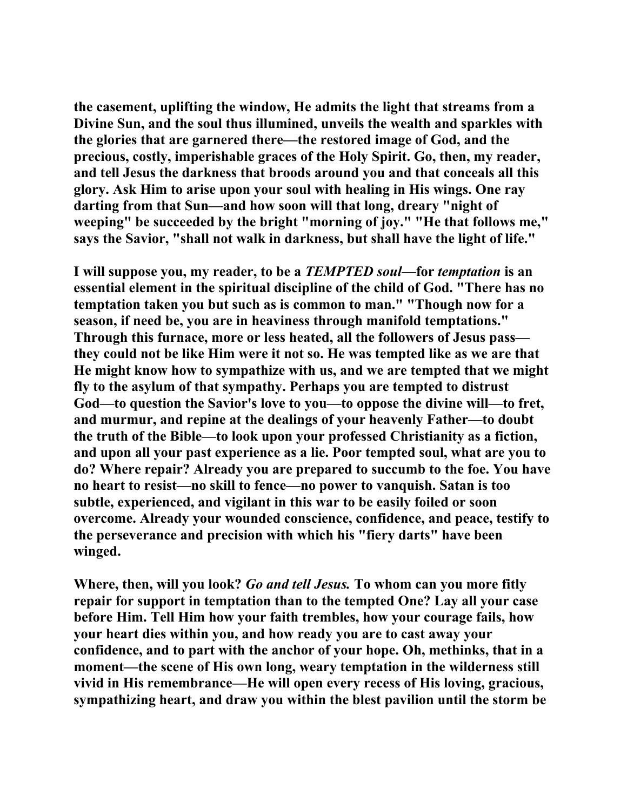**the casement, uplifting the window, He admits the light that streams from a Divine Sun, and the soul thus illumined, unveils the wealth and sparkles with the glories that are garnered there—the restored image of God, and the precious, costly, imperishable graces of the Holy Spirit. Go, then, my reader, and tell Jesus the darkness that broods around you and that conceals all this glory. Ask Him to arise upon your soul with healing in His wings. One ray darting from that Sun—and how soon will that long, dreary "night of weeping" be succeeded by the bright "morning of joy." "He that follows me," says the Savior, "shall not walk in darkness, but shall have the light of life."** 

**I will suppose you, my reader, to be a** *TEMPTED soul***—for** *temptation* **is an essential element in the spiritual discipline of the child of God. "There has no temptation taken you but such as is common to man." "Though now for a season, if need be, you are in heaviness through manifold temptations." Through this furnace, more or less heated, all the followers of Jesus pass they could not be like Him were it not so. He was tempted like as we are that He might know how to sympathize with us, and we are tempted that we might fly to the asylum of that sympathy. Perhaps you are tempted to distrust God—to question the Savior's love to you—to oppose the divine will—to fret, and murmur, and repine at the dealings of your heavenly Father—to doubt the truth of the Bible—to look upon your professed Christianity as a fiction, and upon all your past experience as a lie. Poor tempted soul, what are you to do? Where repair? Already you are prepared to succumb to the foe. You have no heart to resist—no skill to fence—no power to vanquish. Satan is too subtle, experienced, and vigilant in this war to be easily foiled or soon overcome. Already your wounded conscience, confidence, and peace, testify to the perseverance and precision with which his "fiery darts" have been winged.** 

**Where, then, will you look?** *Go and tell Jesus.* **To whom can you more fitly repair for support in temptation than to the tempted One? Lay all your case before Him. Tell Him how your faith trembles, how your courage fails, how your heart dies within you, and how ready you are to cast away your confidence, and to part with the anchor of your hope. Oh, methinks, that in a moment—the scene of His own long, weary temptation in the wilderness still vivid in His remembrance—He will open every recess of His loving, gracious, sympathizing heart, and draw you within the blest pavilion until the storm be**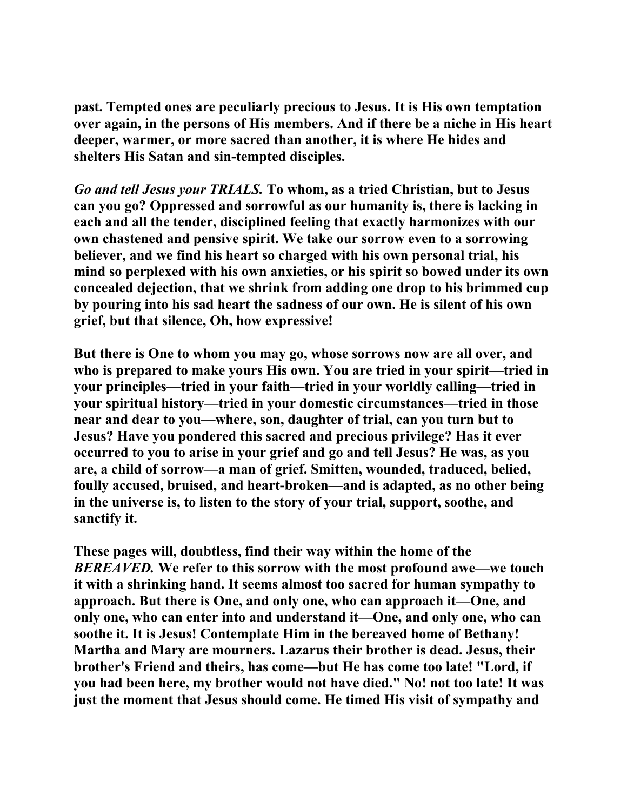**past. Tempted ones are peculiarly precious to Jesus. It is His own temptation over again, in the persons of His members. And if there be a niche in His heart deeper, warmer, or more sacred than another, it is where He hides and shelters His Satan and sin-tempted disciples.** 

*Go and tell Jesus your TRIALS.* **To whom, as a tried Christian, but to Jesus can you go? Oppressed and sorrowful as our humanity is, there is lacking in each and all the tender, disciplined feeling that exactly harmonizes with our own chastened and pensive spirit. We take our sorrow even to a sorrowing believer, and we find his heart so charged with his own personal trial, his mind so perplexed with his own anxieties, or his spirit so bowed under its own concealed dejection, that we shrink from adding one drop to his brimmed cup by pouring into his sad heart the sadness of our own. He is silent of his own grief, but that silence, Oh, how expressive!** 

**But there is One to whom you may go, whose sorrows now are all over, and who is prepared to make yours His own. You are tried in your spirit—tried in your principles—tried in your faith—tried in your worldly calling—tried in your spiritual history—tried in your domestic circumstances—tried in those near and dear to you—where, son, daughter of trial, can you turn but to Jesus? Have you pondered this sacred and precious privilege? Has it ever occurred to you to arise in your grief and go and tell Jesus? He was, as you are, a child of sorrow—a man of grief. Smitten, wounded, traduced, belied, foully accused, bruised, and heart-broken—and is adapted, as no other being in the universe is, to listen to the story of your trial, support, soothe, and sanctify it.** 

**These pages will, doubtless, find their way within the home of the**  *BEREAVED.* **We refer to this sorrow with the most profound awe—we touch it with a shrinking hand. It seems almost too sacred for human sympathy to approach. But there is One, and only one, who can approach it—One, and only one, who can enter into and understand it—One, and only one, who can soothe it. It is Jesus! Contemplate Him in the bereaved home of Bethany! Martha and Mary are mourners. Lazarus their brother is dead. Jesus, their brother's Friend and theirs, has come—but He has come too late! "Lord, if you had been here, my brother would not have died." No! not too late! It was just the moment that Jesus should come. He timed His visit of sympathy and**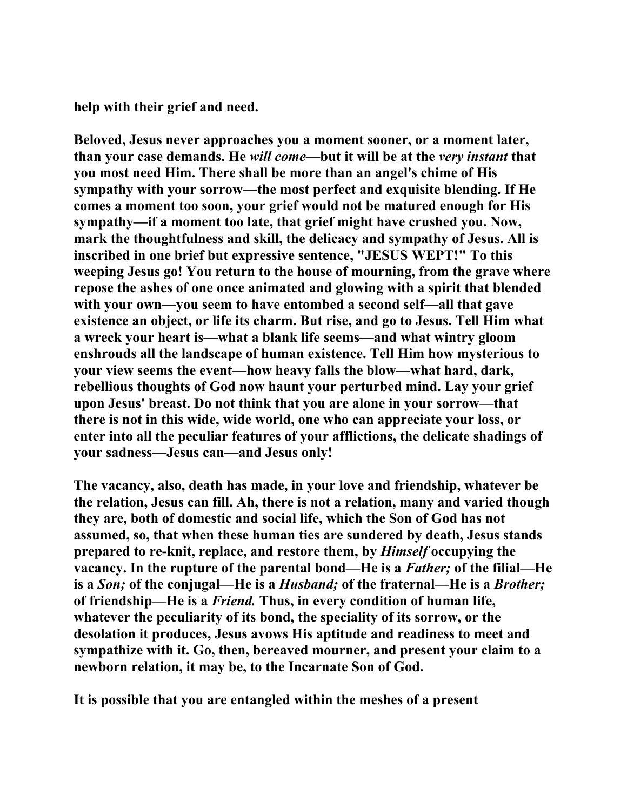**help with their grief and need.** 

**Beloved, Jesus never approaches you a moment sooner, or a moment later, than your case demands. He** *will come***—but it will be at the** *very instant* **that you most need Him. There shall be more than an angel's chime of His sympathy with your sorrow—the most perfect and exquisite blending. If He comes a moment too soon, your grief would not be matured enough for His sympathy—if a moment too late, that grief might have crushed you. Now, mark the thoughtfulness and skill, the delicacy and sympathy of Jesus. All is inscribed in one brief but expressive sentence, "JESUS WEPT!" To this weeping Jesus go! You return to the house of mourning, from the grave where repose the ashes of one once animated and glowing with a spirit that blended with your own—you seem to have entombed a second self—all that gave existence an object, or life its charm. But rise, and go to Jesus. Tell Him what a wreck your heart is—what a blank life seems—and what wintry gloom enshrouds all the landscape of human existence. Tell Him how mysterious to your view seems the event—how heavy falls the blow—what hard, dark, rebellious thoughts of God now haunt your perturbed mind. Lay your grief upon Jesus' breast. Do not think that you are alone in your sorrow—that there is not in this wide, wide world, one who can appreciate your loss, or enter into all the peculiar features of your afflictions, the delicate shadings of your sadness—Jesus can—and Jesus only!** 

**The vacancy, also, death has made, in your love and friendship, whatever be the relation, Jesus can fill. Ah, there is not a relation, many and varied though they are, both of domestic and social life, which the Son of God has not assumed, so, that when these human ties are sundered by death, Jesus stands prepared to re-knit, replace, and restore them, by** *Himself* **occupying the vacancy. In the rupture of the parental bond—He is a** *Father;* **of the filial—He is a** *Son;* **of the conjugal—He is a** *Husband;* **of the fraternal—He is a** *Brother;*  **of friendship—He is a** *Friend.* **Thus, in every condition of human life, whatever the peculiarity of its bond, the speciality of its sorrow, or the desolation it produces, Jesus avows His aptitude and readiness to meet and sympathize with it. Go, then, bereaved mourner, and present your claim to a newborn relation, it may be, to the Incarnate Son of God.** 

**It is possible that you are entangled within the meshes of a present**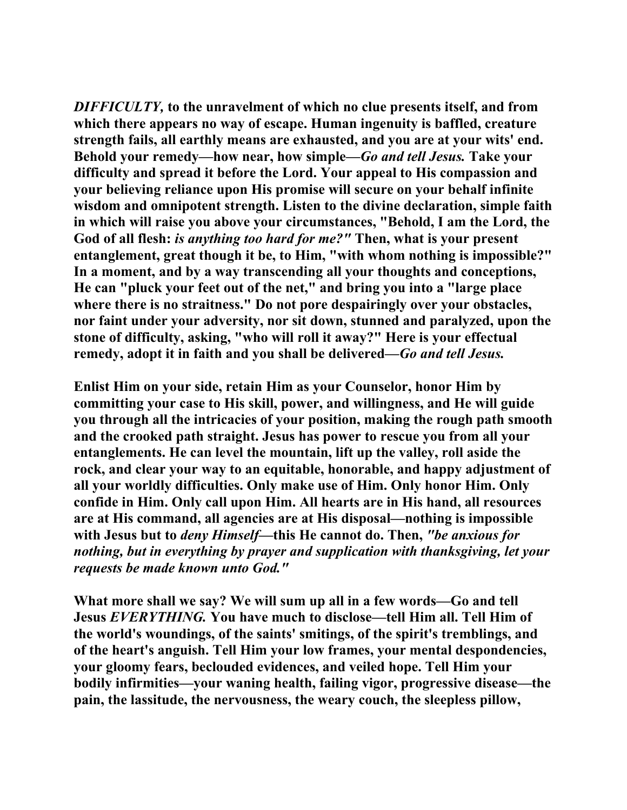*DIFFICULTY,* **to the unravelment of which no clue presents itself, and from which there appears no way of escape. Human ingenuity is baffled, creature strength fails, all earthly means are exhausted, and you are at your wits' end. Behold your remedy—how near, how simple—***Go and tell Jesus.* **Take your difficulty and spread it before the Lord. Your appeal to His compassion and your believing reliance upon His promise will secure on your behalf infinite wisdom and omnipotent strength. Listen to the divine declaration, simple faith in which will raise you above your circumstances, "Behold, I am the Lord, the God of all flesh:** *is anything too hard for me?"* **Then, what is your present entanglement, great though it be, to Him, "with whom nothing is impossible?" In a moment, and by a way transcending all your thoughts and conceptions, He can "pluck your feet out of the net," and bring you into a "large place where there is no straitness." Do not pore despairingly over your obstacles, nor faint under your adversity, nor sit down, stunned and paralyzed, upon the stone of difficulty, asking, "who will roll it away?" Here is your effectual remedy, adopt it in faith and you shall be delivered—***Go and tell Jesus.* 

**Enlist Him on your side, retain Him as your Counselor, honor Him by committing your case to His skill, power, and willingness, and He will guide you through all the intricacies of your position, making the rough path smooth and the crooked path straight. Jesus has power to rescue you from all your entanglements. He can level the mountain, lift up the valley, roll aside the rock, and clear your way to an equitable, honorable, and happy adjustment of all your worldly difficulties. Only make use of Him. Only honor Him. Only confide in Him. Only call upon Him. All hearts are in His hand, all resources are at His command, all agencies are at His disposal—nothing is impossible with Jesus but to** *deny Himself***—this He cannot do. Then,** *"be anxious for nothing, but in everything by prayer and supplication with thanksgiving, let your requests be made known unto God."*

**What more shall we say? We will sum up all in a few words—Go and tell Jesus** *EVERYTHING.* **You have much to disclose—tell Him all. Tell Him of the world's woundings, of the saints' smitings, of the spirit's tremblings, and of the heart's anguish. Tell Him your low frames, your mental despondencies, your gloomy fears, beclouded evidences, and veiled hope. Tell Him your bodily infirmities—your waning health, failing vigor, progressive disease—the pain, the lassitude, the nervousness, the weary couch, the sleepless pillow,**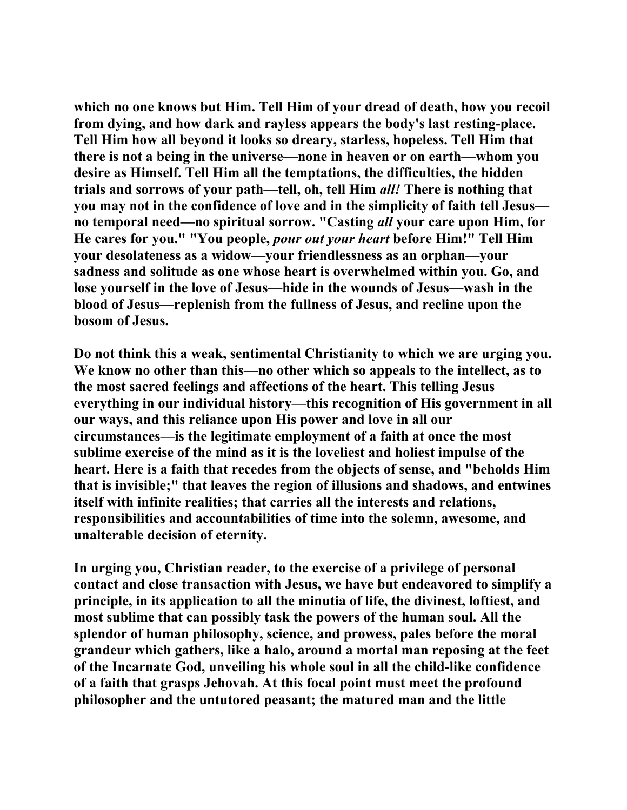**which no one knows but Him. Tell Him of your dread of death, how you recoil from dying, and how dark and rayless appears the body's last resting-place. Tell Him how all beyond it looks so dreary, starless, hopeless. Tell Him that there is not a being in the universe—none in heaven or on earth—whom you desire as Himself. Tell Him all the temptations, the difficulties, the hidden trials and sorrows of your path—tell, oh, tell Him** *all!* **There is nothing that you may not in the confidence of love and in the simplicity of faith tell Jesus no temporal need—no spiritual sorrow. "Casting** *all* **your care upon Him, for He cares for you." "You people,** *pour out your heart* **before Him!" Tell Him your desolateness as a widow—your friendlessness as an orphan—your sadness and solitude as one whose heart is overwhelmed within you. Go, and lose yourself in the love of Jesus—hide in the wounds of Jesus—wash in the blood of Jesus—replenish from the fullness of Jesus, and recline upon the bosom of Jesus.** 

**Do not think this a weak, sentimental Christianity to which we are urging you. We know no other than this—no other which so appeals to the intellect, as to the most sacred feelings and affections of the heart. This telling Jesus everything in our individual history—this recognition of His government in all our ways, and this reliance upon His power and love in all our circumstances—is the legitimate employment of a faith at once the most sublime exercise of the mind as it is the loveliest and holiest impulse of the heart. Here is a faith that recedes from the objects of sense, and "beholds Him that is invisible;" that leaves the region of illusions and shadows, and entwines itself with infinite realities; that carries all the interests and relations, responsibilities and accountabilities of time into the solemn, awesome, and unalterable decision of eternity.** 

**In urging you, Christian reader, to the exercise of a privilege of personal contact and close transaction with Jesus, we have but endeavored to simplify a principle, in its application to all the minutia of life, the divinest, loftiest, and most sublime that can possibly task the powers of the human soul. All the splendor of human philosophy, science, and prowess, pales before the moral grandeur which gathers, like a halo, around a mortal man reposing at the feet of the Incarnate God, unveiling his whole soul in all the child-like confidence of a faith that grasps Jehovah. At this focal point must meet the profound philosopher and the untutored peasant; the matured man and the little**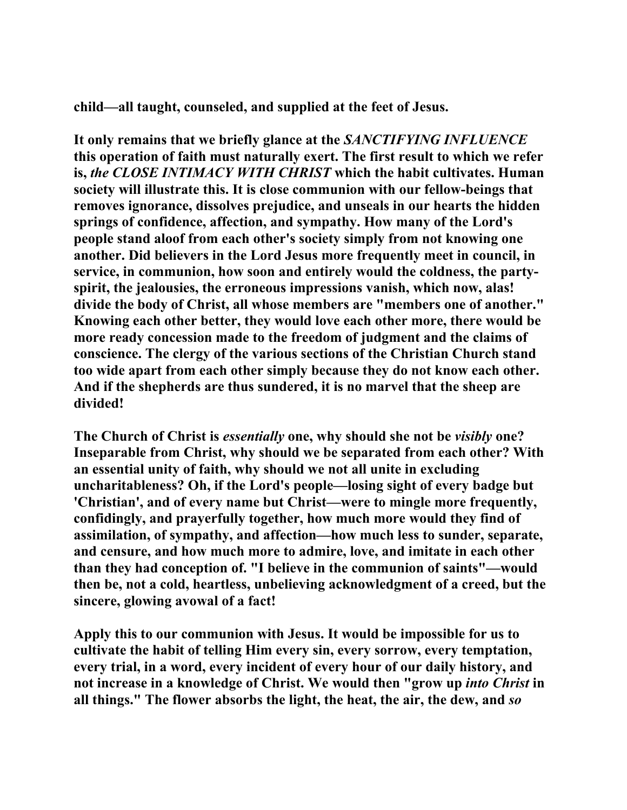**child—all taught, counseled, and supplied at the feet of Jesus.** 

**It only remains that we briefly glance at the** *SANCTIFYING INFLUENCE*  **this operation of faith must naturally exert. The first result to which we refer is,** *the CLOSE INTIMACY WITH CHRIST* **which the habit cultivates. Human society will illustrate this. It is close communion with our fellow-beings that removes ignorance, dissolves prejudice, and unseals in our hearts the hidden springs of confidence, affection, and sympathy. How many of the Lord's people stand aloof from each other's society simply from not knowing one another. Did believers in the Lord Jesus more frequently meet in council, in service, in communion, how soon and entirely would the coldness, the partyspirit, the jealousies, the erroneous impressions vanish, which now, alas! divide the body of Christ, all whose members are "members one of another." Knowing each other better, they would love each other more, there would be more ready concession made to the freedom of judgment and the claims of conscience. The clergy of the various sections of the Christian Church stand too wide apart from each other simply because they do not know each other. And if the shepherds are thus sundered, it is no marvel that the sheep are divided!** 

**The Church of Christ is** *essentially* **one, why should she not be** *visibly* **one? Inseparable from Christ, why should we be separated from each other? With an essential unity of faith, why should we not all unite in excluding uncharitableness? Oh, if the Lord's people—losing sight of every badge but 'Christian', and of every name but Christ—were to mingle more frequently, confidingly, and prayerfully together, how much more would they find of assimilation, of sympathy, and affection—how much less to sunder, separate, and censure, and how much more to admire, love, and imitate in each other than they had conception of. "I believe in the communion of saints"—would then be, not a cold, heartless, unbelieving acknowledgment of a creed, but the sincere, glowing avowal of a fact!** 

**Apply this to our communion with Jesus. It would be impossible for us to cultivate the habit of telling Him every sin, every sorrow, every temptation, every trial, in a word, every incident of every hour of our daily history, and not increase in a knowledge of Christ. We would then "grow up** *into Christ* **in all things." The flower absorbs the light, the heat, the air, the dew, and** *so*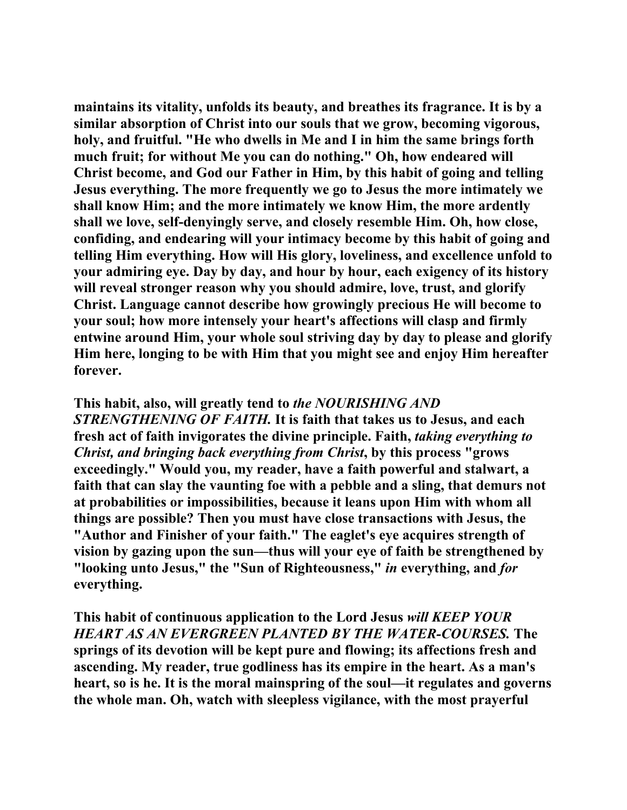**maintains its vitality, unfolds its beauty, and breathes its fragrance. It is by a similar absorption of Christ into our souls that we grow, becoming vigorous, holy, and fruitful. "He who dwells in Me and I in him the same brings forth much fruit; for without Me you can do nothing." Oh, how endeared will Christ become, and God our Father in Him, by this habit of going and telling Jesus everything. The more frequently we go to Jesus the more intimately we shall know Him; and the more intimately we know Him, the more ardently shall we love, self-denyingly serve, and closely resemble Him. Oh, how close, confiding, and endearing will your intimacy become by this habit of going and telling Him everything. How will His glory, loveliness, and excellence unfold to your admiring eye. Day by day, and hour by hour, each exigency of its history will reveal stronger reason why you should admire, love, trust, and glorify Christ. Language cannot describe how growingly precious He will become to your soul; how more intensely your heart's affections will clasp and firmly entwine around Him, your whole soul striving day by day to please and glorify Him here, longing to be with Him that you might see and enjoy Him hereafter forever.** 

## **This habit, also, will greatly tend to** *the NOURISHING AND*

*STRENGTHENING OF FAITH.* **It is faith that takes us to Jesus, and each fresh act of faith invigorates the divine principle. Faith,** *taking everything to Christ, and bringing back everything from Christ***, by this process "grows exceedingly." Would you, my reader, have a faith powerful and stalwart, a faith that can slay the vaunting foe with a pebble and a sling, that demurs not at probabilities or impossibilities, because it leans upon Him with whom all things are possible? Then you must have close transactions with Jesus, the "Author and Finisher of your faith." The eaglet's eye acquires strength of vision by gazing upon the sun—thus will your eye of faith be strengthened by "looking unto Jesus," the "Sun of Righteousness,"** *in* **everything, and** *for*  **everything.** 

**This habit of continuous application to the Lord Jesus** *will KEEP YOUR HEART AS AN EVERGREEN PLANTED BY THE WATER-COURSES.* **The springs of its devotion will be kept pure and flowing; its affections fresh and ascending. My reader, true godliness has its empire in the heart. As a man's heart, so is he. It is the moral mainspring of the soul—it regulates and governs the whole man. Oh, watch with sleepless vigilance, with the most prayerful**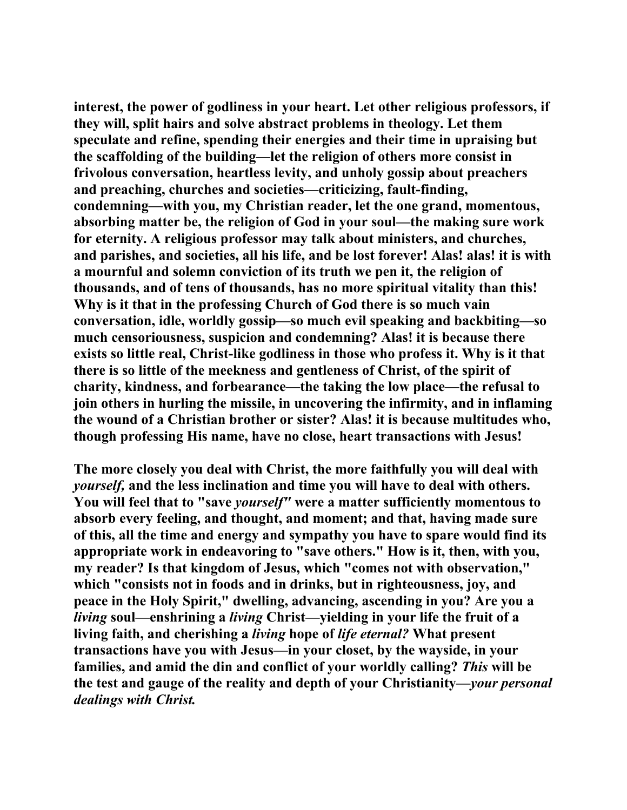**interest, the power of godliness in your heart. Let other religious professors, if they will, split hairs and solve abstract problems in theology. Let them speculate and refine, spending their energies and their time in upraising but the scaffolding of the building—let the religion of others more consist in frivolous conversation, heartless levity, and unholy gossip about preachers and preaching, churches and societies—criticizing, fault-finding, condemning—with you, my Christian reader, let the one grand, momentous, absorbing matter be, the religion of God in your soul—the making sure work for eternity. A religious professor may talk about ministers, and churches, and parishes, and societies, all his life, and be lost forever! Alas! alas! it is with a mournful and solemn conviction of its truth we pen it, the religion of thousands, and of tens of thousands, has no more spiritual vitality than this! Why is it that in the professing Church of God there is so much vain conversation, idle, worldly gossip—so much evil speaking and backbiting—so much censoriousness, suspicion and condemning? Alas! it is because there exists so little real, Christ-like godliness in those who profess it. Why is it that there is so little of the meekness and gentleness of Christ, of the spirit of charity, kindness, and forbearance—the taking the low place—the refusal to join others in hurling the missile, in uncovering the infirmity, and in inflaming the wound of a Christian brother or sister? Alas! it is because multitudes who, though professing His name, have no close, heart transactions with Jesus!** 

**The more closely you deal with Christ, the more faithfully you will deal with**  *yourself,* **and the less inclination and time you will have to deal with others. You will feel that to "save** *yourself"* **were a matter sufficiently momentous to absorb every feeling, and thought, and moment; and that, having made sure of this, all the time and energy and sympathy you have to spare would find its appropriate work in endeavoring to "save others." How is it, then, with you, my reader? Is that kingdom of Jesus, which "comes not with observation," which "consists not in foods and in drinks, but in righteousness, joy, and peace in the Holy Spirit," dwelling, advancing, ascending in you? Are you a**  *living* **soul—enshrining a** *living* **Christ—yielding in your life the fruit of a living faith, and cherishing a** *living* **hope of** *life eternal?* **What present transactions have you with Jesus—in your closet, by the wayside, in your families, and amid the din and conflict of your worldly calling?** *This* **will be the test and gauge of the reality and depth of your Christianity—***your personal dealings with Christ.*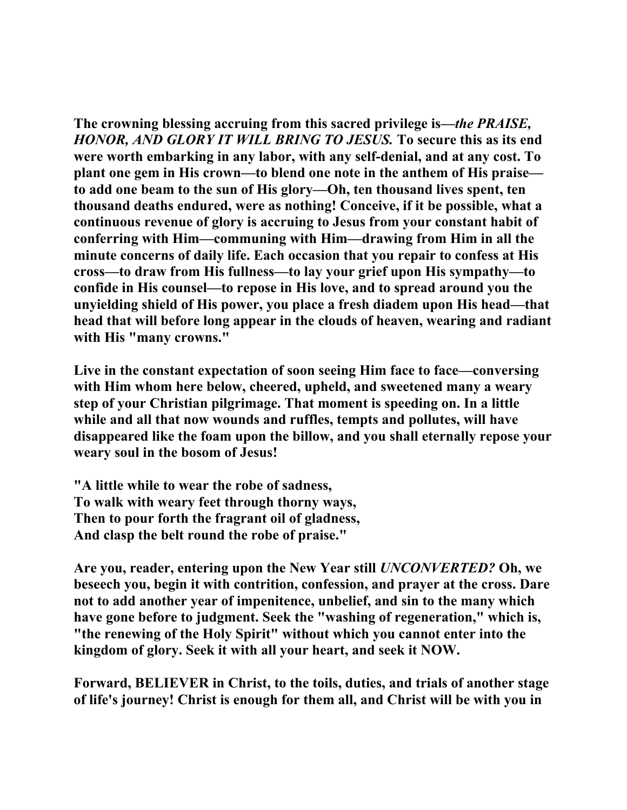**The crowning blessing accruing from this sacred privilege is—***the PRAISE, HONOR, AND GLORY IT WILL BRING TO JESUS.* **To secure this as its end were worth embarking in any labor, with any self-denial, and at any cost. To plant one gem in His crown—to blend one note in the anthem of His praise to add one beam to the sun of His glory—Oh, ten thousand lives spent, ten thousand deaths endured, were as nothing! Conceive, if it be possible, what a continuous revenue of glory is accruing to Jesus from your constant habit of conferring with Him—communing with Him—drawing from Him in all the minute concerns of daily life. Each occasion that you repair to confess at His cross—to draw from His fullness—to lay your grief upon His sympathy—to confide in His counsel—to repose in His love, and to spread around you the unyielding shield of His power, you place a fresh diadem upon His head—that head that will before long appear in the clouds of heaven, wearing and radiant with His "many crowns."** 

**Live in the constant expectation of soon seeing Him face to face—conversing with Him whom here below, cheered, upheld, and sweetened many a weary step of your Christian pilgrimage. That moment is speeding on. In a little while and all that now wounds and ruffles, tempts and pollutes, will have disappeared like the foam upon the billow, and you shall eternally repose your weary soul in the bosom of Jesus!** 

**"A little while to wear the robe of sadness, To walk with weary feet through thorny ways, Then to pour forth the fragrant oil of gladness, And clasp the belt round the robe of praise."** 

**Are you, reader, entering upon the New Year still** *UNCONVERTED?* **Oh, we beseech you, begin it with contrition, confession, and prayer at the cross. Dare not to add another year of impenitence, unbelief, and sin to the many which have gone before to judgment. Seek the "washing of regeneration," which is, "the renewing of the Holy Spirit" without which you cannot enter into the kingdom of glory. Seek it with all your heart, and seek it NOW.** 

**Forward, BELIEVER in Christ, to the toils, duties, and trials of another stage of life's journey! Christ is enough for them all, and Christ will be with you in**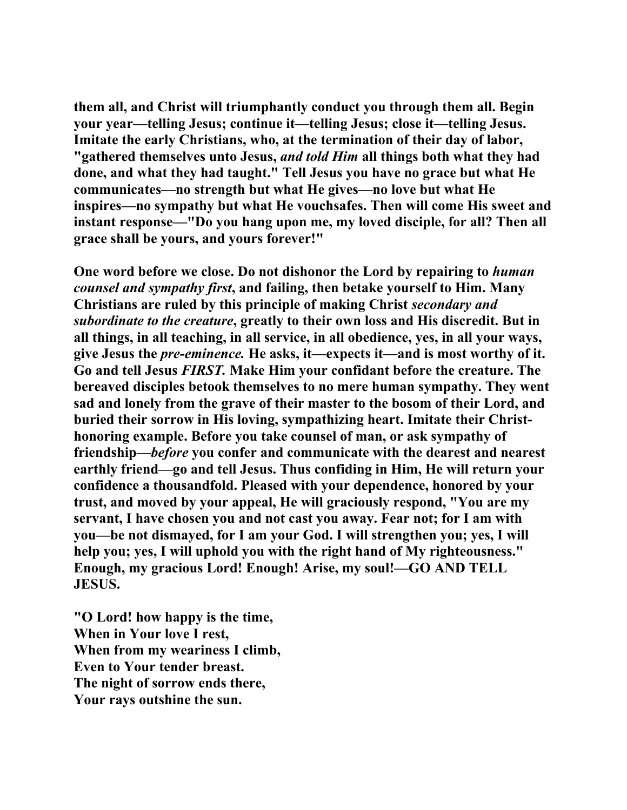**them all, and Christ will triumphantly conduct you through them all. Begin your year—telling Jesus; continue it—telling Jesus; close it—telling Jesus. Imitate the early Christians, who, at the termination of their day of labor, "gathered themselves unto Jesus,** *and told Him* **all things both what they had done, and what they had taught." Tell Jesus you have no grace but what He communicates—no strength but what He gives—no love but what He inspires—no sympathy but what He vouchsafes. Then will come His sweet and instant response—"Do you hang upon me, my loved disciple, for all? Then all grace shall be yours, and yours forever!"** 

**One word before we close. Do not dishonor the Lord by repairing to** *human counsel and sympathy first***, and failing, then betake yourself to Him. Many Christians are ruled by this principle of making Christ** *secondary and subordinate to the creature***, greatly to their own loss and His discredit. But in all things, in all teaching, in all service, in all obedience, yes, in all your ways, give Jesus the** *pre-eminence.* **He asks, it—expects it—and is most worthy of it. Go and tell Jesus** *FIRST.* **Make Him your confidant before the creature. The bereaved disciples betook themselves to no mere human sympathy. They went sad and lonely from the grave of their master to the bosom of their Lord, and buried their sorrow in His loving, sympathizing heart. Imitate their Christhonoring example. Before you take counsel of man, or ask sympathy of friendship—***before* **you confer and communicate with the dearest and nearest earthly friend—go and tell Jesus. Thus confiding in Him, He will return your confidence a thousandfold. Pleased with your dependence, honored by your trust, and moved by your appeal, He will graciously respond, "You are my servant, I have chosen you and not cast you away. Fear not; for I am with you—be not dismayed, for I am your God. I will strengthen you; yes, I will help you; yes, I will uphold you with the right hand of My righteousness." Enough, my gracious Lord! Enough! Arise, my soul!—GO AND TELL JESUS.** 

**"O Lord! how happy is the time, When in Your love I rest, When from my weariness I climb, Even to Your tender breast. The night of sorrow ends there, Your rays outshine the sun.**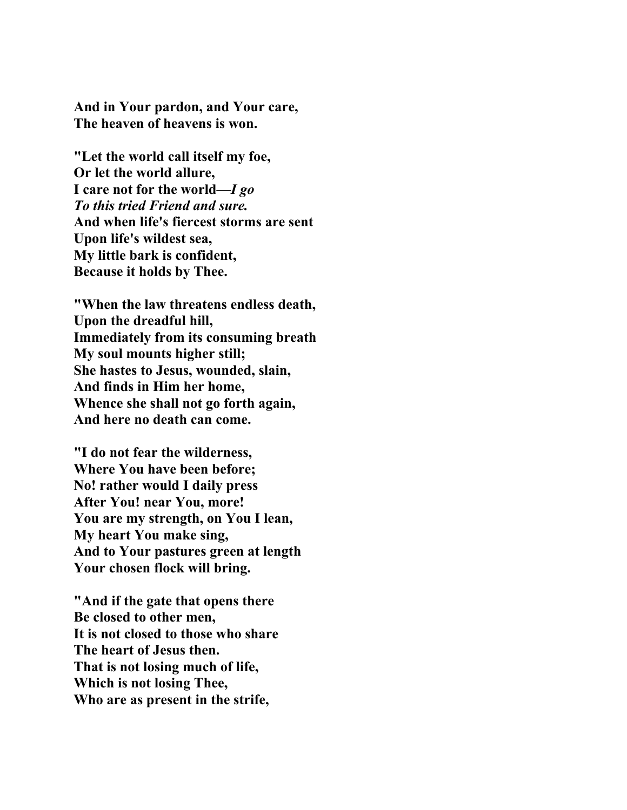**And in Your pardon, and Your care, The heaven of heavens is won.** 

**"Let the world call itself my foe, Or let the world allure, I care not for the world—***I go To this tried Friend and sure.* **And when life's fiercest storms are sent Upon life's wildest sea, My little bark is confident, Because it holds by Thee.** 

**"When the law threatens endless death, Upon the dreadful hill, Immediately from its consuming breath My soul mounts higher still; She hastes to Jesus, wounded, slain, And finds in Him her home, Whence she shall not go forth again, And here no death can come.** 

**"I do not fear the wilderness, Where You have been before; No! rather would I daily press After You! near You, more! You are my strength, on You I lean, My heart You make sing, And to Your pastures green at length Your chosen flock will bring.** 

**"And if the gate that opens there Be closed to other men, It is not closed to those who share The heart of Jesus then. That is not losing much of life, Which is not losing Thee, Who are as present in the strife,**